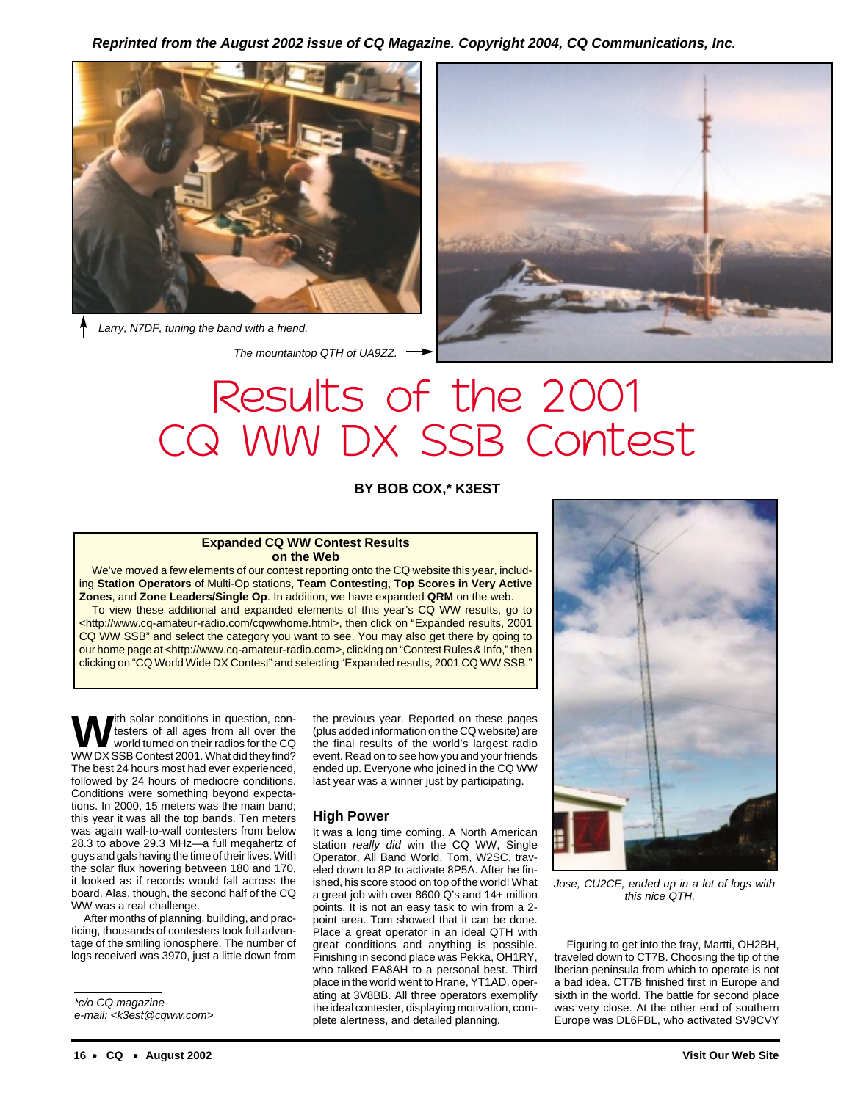**Reprinted from the August 2002 issue of CQ Magazine. Copyright 2004, CQ Communications, Inc.**



Larry, N7DF, tuning the band with a friend.

The mountaintop QTH of UA9ZZ.



# Results of the 2001 CQ WW DX SSB Contest

**BY BOB COX,\* K3EST**

#### **Expanded CQ WW Contest Results on the Web**

We've moved a few elements of our contest reporting onto the CQ website this year, including **Station Operators** of Multi-Op stations, **Team Contesting**, **Top Scores in Very Active Zones**, and **Zone Leaders/Single Op**. In addition, we have expanded **QRM** on the web.

To view these additional and expanded elements of this year's CQ WW results, go to <http://www.cq-amateur-radio.com/cqwwhome.html>, then click on "Expanded results, 2001 CQ WW SSB" and select the category you want to see. You may also get there by going to our home page at <http://www.cq-amateur-radio.com>, clicking on "Contest Rules & Info," then clicking on "CQ World Wide DX Contest" and selecting "Expanded results, 2001 CQ WW SSB."

**Ith solar conditions in question, con**testers of all ages from all over the world turned on their radios for the CQ WW DX SSB Contest 2001. What did they find? The best 24 hours most had ever experienced, followed by 24 hours of mediocre conditions. Conditions were something beyond expectations. In 2000, 15 meters was the main band; this year it was all the top bands. Ten meters was again wall-to-wall contesters from below 28.3 to above 29.3 MHz—a full megahertz of guys and gals having the time of their lives. With the solar flux hovering between 180 and 170, it looked as if records would fall across the board. Alas, though, the second half of the CQ WW was a real challenge.

After months of planning, building, and practicing, thousands of contesters took full advantage of the smiling ionosphere. The number of logs received was 3970, just a little down from

\*c/o CQ magazine

e-mail: <k3est@cqww.com>

the previous year. Reported on these pages (plus added information on the CQ website) are the final results of the world's largest radio event. Read on to see how you and your friends ended up. Everyone who joined in the CQ WW last year was a winner just by participating.

#### **High Power**

It was a long time coming. A North American station really did win the CQ WW, Single Operator, All Band World. Tom, W2SC, traveled down to 8P to activate 8P5A. After he finished, his score stood on top of the world! What a great job with over 8600 Q's and 14+ million points. It is not an easy task to win from a 2 point area. Tom showed that it can be done. Place a great operator in an ideal QTH with great conditions and anything is possible. Finishing in second place was Pekka, OH1RY, who talked EA8AH to a personal best. Third place in the world went to Hrane, YT1AD, operating at 3V8BB. All three operators exemplify the ideal contester, displaying motivation, complete alertness, and detailed planning.



Jose, CU2CE, ended up in a lot of logs with this nice QTH.

Figuring to get into the fray, Martti, OH2BH, traveled down to CT7B. Choosing the tip of the Iberian peninsula from which to operate is not a bad idea. CT7B finished first in Europe and sixth in the world. The battle for second place was very close. At the other end of southern Europe was DL6FBL, who activated SV9CVY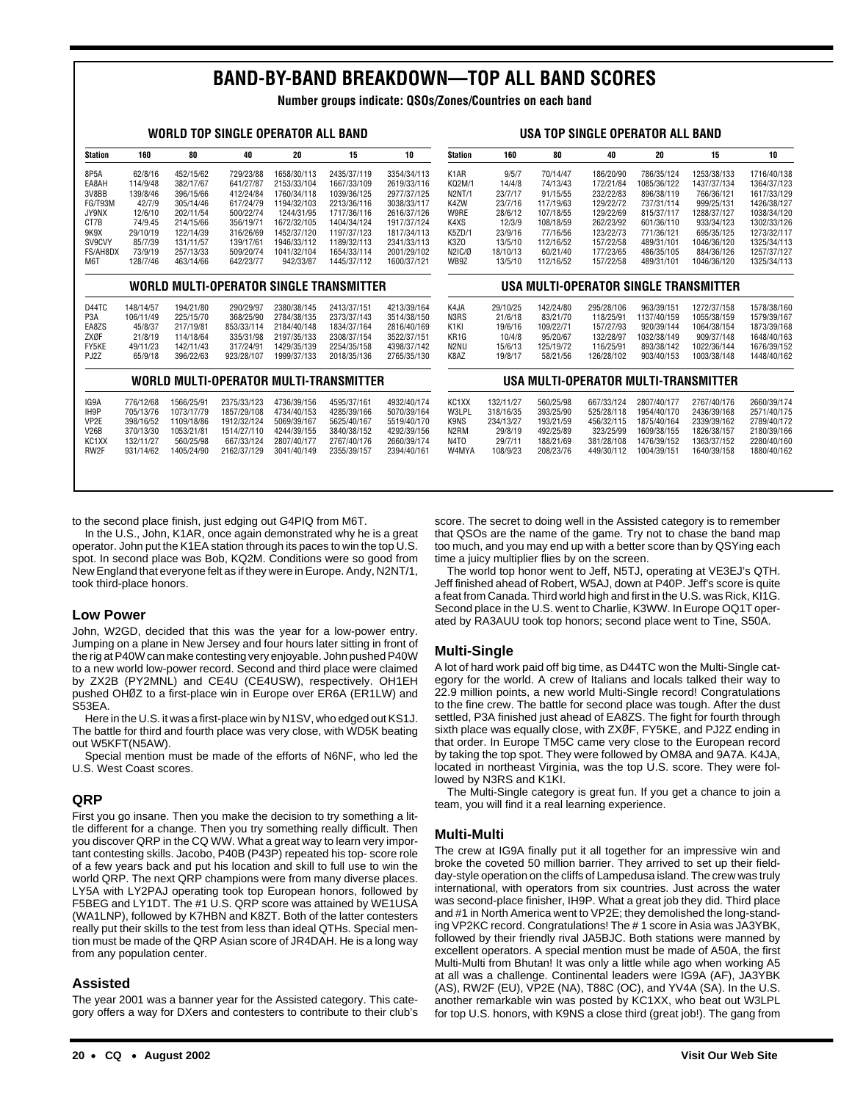### **BAND-BY-BAND BREAKDOWN—TOP ALL BAND SCORES**

**Number groups indicate: QSOs/Zones/Countries on each band**

| WORLD TOP SINGLE OPERATOR ALL BAND |           |            |             |             |                                         |             |                    |           | USA TOP SINGLE OPERATOR ALL BAND |            |                                      |                                       |             |
|------------------------------------|-----------|------------|-------------|-------------|-----------------------------------------|-------------|--------------------|-----------|----------------------------------|------------|--------------------------------------|---------------------------------------|-------------|
| <b>Station</b>                     | 160       | 80         | 40          | 20          | 15                                      | 10          | <b>Station</b>     | 160       | 80                               | 40         | 20                                   | 15                                    | 10          |
| 8P5A                               | 62/8/16   | 452/15/62  | 729/23/88   | 1658/30/113 | 2435/37/119                             | 3354/34/113 | K <sub>1</sub> AR  | 9/5/7     | 70/14/47                         | 186/20/90  | 786/35/124                           | 1253/38/133                           | 1716/40/138 |
| EA8AH                              | 114/9/48  | 382/17/67  | 641/27/87   | 2153/33/104 | 1667/33/109                             | 2619/33/116 | KQ2M/1             | 14/4/8    | 74/13/43                         | 172/21/84  | 1085/36/122                          | 1437/37/134                           | 1364/37/123 |
| 3V8BB                              | 139/8/46  | 396/15/66  | 412/24/84   | 1760/34/118 | 1039/36/125                             | 2977/37/125 | <b>N2NT/1</b>      | 23/7/17   | 91/15/55                         | 232/22/83  | 896/38/119                           | 766/36/121                            | 1617/33/129 |
| FG/T93M                            | 42/7/9    | 305/14/46  | 617/24/79   | 1194/32/103 | 2213/36/116                             | 3038/33/117 | K4ZW               | 23/7/16   | 117/19/63                        | 129/22/72  | 737/31/114                           | 999/25/131                            | 1426/38/127 |
| JY9NX                              | 12/6/10   | 202/11/54  | 500/22/74   | 1244/31/95  | 1717/36/116                             | 2616/37/126 | W9RE               | 28/6/12   | 107/18/55                        | 129/22/69  | 815/37/117                           | 1288/37/127                           | 1038/34/120 |
| CT7B                               | 74/9.45   | 214/15/66  | 356/19/71   | 1672/32/105 | 1404/34/124                             | 1917/37/124 | K4XS               | 12/3/9    | 108/18/59                        | 262/23/92  | 601/36/110                           | 933/34/123                            | 1302/33/126 |
| 9K9X                               | 29/10/19  | 122/14/39  | 316/26/69   | 1452/37/120 | 1197/37/123                             | 1817/34/113 | K5ZD/1             | 23/9/16   | 77/16/56                         | 123/22/73  | 771/36/121                           | 695/35/125                            | 1273/32/117 |
| SV9CVY                             | 85/7/39   | 131/11/57  | 139/17/61   | 1946/33/112 | 1189/32/113                             | 2341/33/113 | K3Z0               | 13/5/10   | 112/16/52                        | 157/22/58  | 489/31/101                           | 1046/36/120                           | 1325/34/113 |
| FS/AH8DX                           | 73/9/19   | 257/13/33  | 509/20/74   | 1041/32/104 | 1654/33/114                             | 2001/29/102 | N2IC/Ø             | 18/10/13  | 60/21/40                         | 177/23/65  | 486/35/105                           | 884/36/126                            | 1257/37/127 |
| M6T                                | 128/7/46  | 463/14/66  | 642/23/77   | 942/33/87   | 1445/37/112                             | 1600/37/121 | WB9Z               | 13/5/10   | 112/16/52                        | 157/22/58  | 489/31/101                           | 1046/36/120                           | 1325/34/113 |
|                                    |           |            |             |             | WORLD MULTI-OPERATOR SINGLE TRANSMITTER |             |                    |           |                                  |            |                                      | USA MULTI-OPERATOR SINGLE TRANSMITTER |             |
| D44TC                              | 148/14/57 | 194/21/80  | 290/29/97   | 2380/38/145 | 2413/37/151                             | 4213/39/164 | K4JA               | 29/10/25  | 142/24/80                        | 295/28/106 | 963/39/151                           | 1272/37/158                           | 1578/38/160 |
| P <sub>3</sub> A                   | 106/11/49 | 225/15/70  | 368/25/90   | 2784/38/135 | 2373/37/143                             | 3514/38/150 | N3RS               | 21/6/18   | 83/21/70                         | 118/25/91  | 1137/40/159                          | 1055/38/159                           | 1579/39/167 |
| EA8ZS                              | 45/8/37   | 217/19/81  | 853/33/114  | 2184/40/148 | 1834/37/164                             | 2816/40/169 | K <sub>1</sub> KI  | 19/6/16   | 109/22/71                        | 157/27/93  | 920/39/144                           | 1064/38/154                           | 1873/39/168 |
| ZXØF                               | 21/8/19   | 114/18/64  | 335/31/98   | 2197/35/133 | 2308/37/154                             | 3522/37/151 | KR <sub>1</sub> G  | 10/4/8    | 95/20/67                         | 132/28/97  | 1032/38/149                          | 909/37/148                            | 1648/40/163 |
| FY5KE                              | 49/11/23  | 142/11/43  | 317/24/91   | 1429/35/139 | 2254/35/158                             | 4398/37/142 | N2NU               | 15/6/13   | 125/19/72                        | 116/25/91  | 893/38/142                           | 1022/36/144                           | 1676/39/152 |
| PJ2Z                               | 65/9/18   | 396/22/63  | 923/28/107  | 1999/37/133 | 2018/35/136                             | 2765/35/130 | K8AZ               | 19/8/17   | 58/21/56                         | 126/28/102 | 903/40/153                           | 1003/38/148                           | 1448/40/162 |
|                                    |           |            |             |             | WORLD MULTI-OPERATOR MULTI-TRANSMITTER  |             |                    |           |                                  |            | USA MULTI-OPERATOR MULTI-TRANSMITTER |                                       |             |
| IG9A                               | 776/12/68 | 1566/25/91 | 2375/33/123 | 4736/39/156 | 4595/37/161                             | 4932/40/174 | KC <sub>1</sub> XX | 132/11/27 | 560/25/98                        | 667/33/124 | 2807/40/177                          | 2767/40/176                           | 2660/39/174 |
| IH <sub>9</sub> P                  | 705/13/76 | 1073/17/79 | 1857/29/108 | 4734/40/153 | 4285/39/166                             | 5070/39/164 | W3LPL              | 318/16/35 | 393/25/90                        | 525/28/118 | 1954/40/170                          | 2436/39/168                           | 2571/40/175 |
| VP <sub>2E</sub>                   | 398/16/52 | 1109/18/86 | 1912/32/124 | 5069/39/167 | 5625/40/167                             | 5519/40/170 | K9NS               | 234/13/27 | 193/21/59                        | 456/32/115 | 1875/40/164                          | 2339/39/162                           | 2789/40/172 |
| <b>V26B</b>                        | 370/13/30 | 1053/21/81 | 1514/27/110 | 4244/39/155 | 3840/38/152                             | 4292/39/156 | N <sub>2</sub> RM  | 29/8/19   | 492/25/89                        | 323/25/99  | 1609/38/155                          | 1826/38/157                           | 2180/39/166 |
| KC <sub>1</sub> XX                 | 132/11/27 | 560/25/98  | 667/33/124  | 2807/40/177 | 2767/40/176                             | 2660/39/174 | N <sub>4</sub> TO  | 29/7/11   | 188/21/69                        | 381/28/108 | 1476/39/152                          | 1363/37/152                           | 2280/40/160 |
| RW2F                               | 931/14/62 | 1405/24/90 | 2162/37/129 | 3041/40/149 | 2355/39/157                             | 2394/40/161 | W4MYA              | 108/9/23  | 208/23/76                        | 449/30/112 | 1004/39/151                          | 1640/39/158                           | 1880/40/162 |

to the second place finish, just edging out G4PIQ from M6T.

In the U.S., John, K1AR, once again demonstrated why he is a great operator. John put the K1EA station through its paces to win the top U.S. spot. In second place was Bob, KQ2M. Conditions were so good from New England that everyone felt as if they were in Europe. Andy, N2NT/1, took third-place honors.

#### **Low Power**

John, W2GD, decided that this was the year for a low-power entry. Jumping on a plane in New Jersey and four hours later sitting in front of the rig at P40W can make contesting very enjoyable. John pushed P40W to a new world low-power record. Second and third place were claimed by ZX2B (PY2MNL) and CE4U (CE4USW), respectively. OH1EH pushed OHØZ to a first-place win in Europe over ER6A (ER1LW) and S53EA.

Here in the U.S. it was a first-place win by N1SV, who edged out KS1J. The battle for third and fourth place was very close, with WD5K beating out W5KFT(N5AW).

Special mention must be made of the efforts of N6NF, who led the U.S. West Coast scores.

#### **QRP**

First you go insane. Then you make the decision to try something a little different for a change. Then you try something really difficult. Then you discover QRP in the CQ WW. What a great way to learn very important contesting skills. Jacobo, P40B (P43P) repeated his top- score role of a few years back and put his location and skill to full use to win the world QRP. The next QRP champions were from many diverse places. LY5A with LY2PAJ operating took top European honors, followed by F5BEG and LY1DT. The #1 U.S. QRP score was attained by WE1USA (WA1LNP), followed by K7HBN and K8ZT. Both of the latter contesters really put their skills to the test from less than ideal QTHs. Special mention must be made of the QRP Asian score of JR4DAH. He is a long way from any population center.

#### **Assisted**

The year 2001 was a banner year for the Assisted category. This category offers a way for DXers and contesters to contribute to their club's

Jeff finished ahead of Robert, W5AJ, down at P40P. Jeff's score is quite a feat from Canada. Third world high and first in the U.S. was Rick, KI1G. Second place in the U.S. went to Charlie, K3WW. In Europe OQ1T operated by RA3AUU took top honors; second place went to Tine, S50A.

time a juicy multiplier flies by on the screen.

#### **Multi-Single**

A lot of hard work paid off big time, as D44TC won the Multi-Single category for the world. A crew of Italians and locals talked their way to 22.9 million points, a new world Multi-Single record! Congratulations to the fine crew. The battle for second place was tough. After the dust settled, P3A finished just ahead of EA8ZS. The fight for fourth through sixth place was equally close, with ZXØF, FY5KE, and PJ2Z ending in that order. In Europe TM5C came very close to the European record by taking the top spot. They were followed by OM8A and 9A7A. K4JA, located in northeast Virginia, was the top U.S. score. They were followed by N3RS and K1KI.

score. The secret to doing well in the Assisted category is to remember that QSOs are the name of the game. Try not to chase the band map too much, and you may end up with a better score than by QSYing each

The world top honor went to Jeff, N5TJ, operating at VE3EJ's QTH.

The Multi-Single category is great fun. If you get a chance to join a team, you will find it a real learning experience.

#### **Multi-Multi**

The crew at IG9A finally put it all together for an impressive win and broke the coveted 50 million barrier. They arrived to set up their fieldday-style operation on the cliffs of Lampedusa island. The crew was truly international, with operators from six countries. Just across the water was second-place finisher, IH9P. What a great job they did. Third place and #1 in North America went to VP2E; they demolished the long-standing VP2KC record. Congratulations! The # 1 score in Asia was JA3YBK, followed by their friendly rival JA5BJC. Both stations were manned by excellent operators. A special mention must be made of A50A, the first Multi-Multi from Bhutan! It was only a little while ago when working A5 at all was a challenge. Continental leaders were IG9A (AF), JA3YBK (AS), RW2F (EU), VP2E (NA), T88C (OC), and YV4A (SA). In the U.S. another remarkable win was posted by KC1XX, who beat out W3LPL for top U.S. honors, with K9NS a close third (great job!). The gang from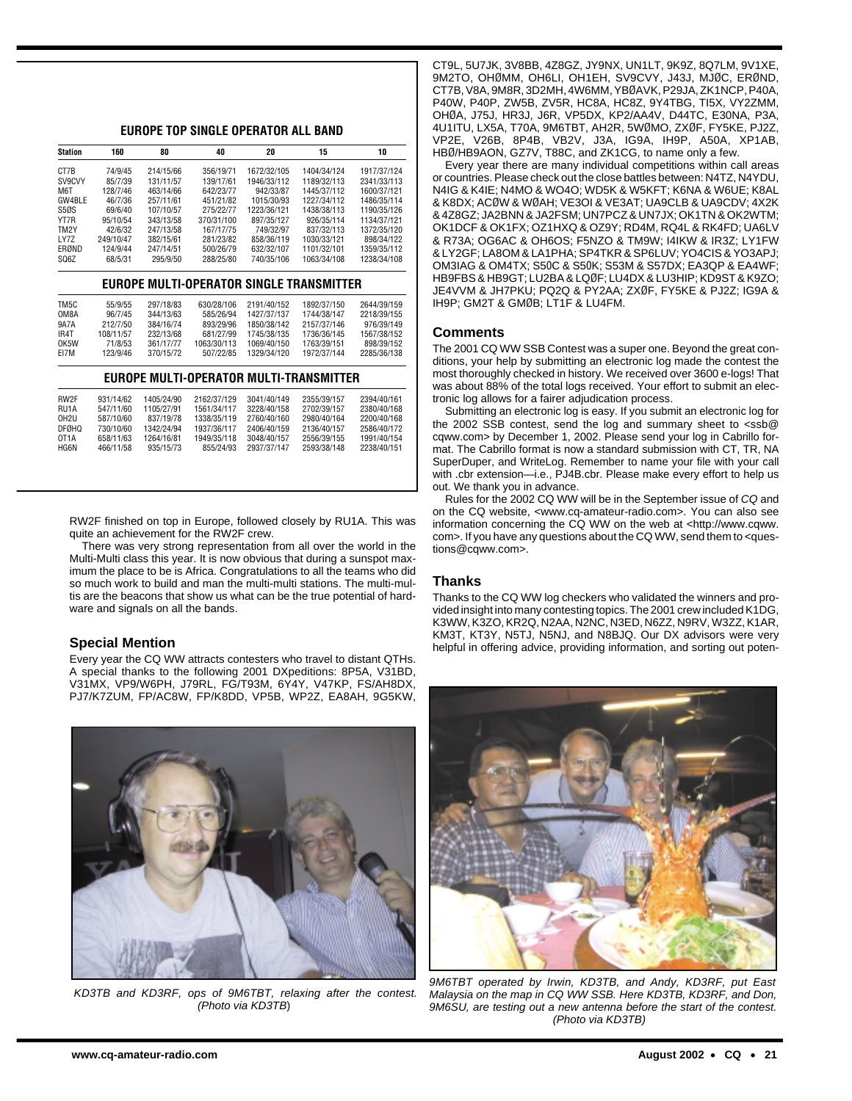**EUROPE TOP SINGLE OPERATOR ALL BAND**

| Station           | 160       | 80         | 40          | 20          | 15                                       | 10          |
|-------------------|-----------|------------|-------------|-------------|------------------------------------------|-------------|
| CT7B              | 74/9/45   | 214/15/66  | 356/19/71   | 1672/32/105 | 1404/34/124                              | 1917/37/124 |
| SV9CVY            | 85/7/39   | 131/11/57  | 139/17/61   | 1946/33/112 | 1189/32/113                              | 2341/33/113 |
| M <sub>6</sub> T  | 128/7/46  | 463/14/66  | 642/23/77   | 942/33/87   | 1445/37/112                              | 1600/37/121 |
| GW4BLE            | 46/7/36   | 257/11/61  | 451/21/82   | 1015/30/93  | 1227/34/112                              | 1486/35/114 |
| S5ØS              | 69/6/40   | 107/10/57  | 275/22/77   | 1223/36/121 | 1438/38/113                              | 1190/35/126 |
| YT7R              | 95/10/54  | 343/13/58  | 370/31/100  | 897/35/127  | 926/35/114                               | 1134/37/121 |
| TM <sub>2</sub> Y | 42/6/32   | 247/13/58  | 167/17/75   | 749/32/97   | 837/32/113                               | 1372/35/120 |
| LY7Z              | 249/10/47 | 382/15/61  | 281/23/82   | 858/36/119  | 1030/33/121                              | 898/34/122  |
| ERØND             | 124/9/44  | 247/14/51  | 500/26/79   | 632/32/107  | 1101/32/101                              | 1359/35/112 |
| SQ6Z              | 68/5/31   | 295/9/50   | 288/25/80   | 740/35/106  | 1063/34/108                              | 1238/34/108 |
|                   |           |            |             |             | EUROPE MULTI-OPERATOR SINGLE TRANSMITTER |             |
| TM <sub>5</sub> C | 55/9/55   | 297/18/83  | 630/28/106  | 2191/40/152 | 1892/37/150                              | 2644/39/159 |
| OM8A              | 96/7/45   | 344/13/63  | 585/26/94   | 1427/37/137 | 1744/38/147                              | 2218/39/155 |
| 9A7A              | 212/7/50  | 384/16/74  | 893/29/96   | 1850/38/142 | 2157/37/146                              | 976/39/149  |
| IR <sub>4</sub> T | 108/11/57 | 232/13/68  | 681/27/99   | 1745/38/135 | 1736/36/145                              | 1567/38/152 |
| OK5W              | 71/8/53   | 361/17/77  | 1063/30/113 | 1069/40/150 | 1763/39/151                              | 898/39/152  |
| EI7M              | 123/9/46  | 370/15/72  | 507/22/85   | 1329/34/120 | 1972/37/144                              | 2285/36/138 |
|                   |           |            |             |             | EUROPE MULTI-OPERATOR MULTI-TRANSMITTER  |             |
| RW <sub>2</sub> F | 931/14/62 | 1405/24/90 | 2162/37/129 | 3041/40/149 | 2355/39/157                              | 2394/40/161 |
| RU1A              | 547/11/60 | 1105/27/91 | 1561/34/117 | 3228/40/158 | 2702/39/157                              | 2380/40/168 |
| OH <sub>2U</sub>  | 587/10/60 | 837/19/78  | 1338/35/119 | 2760/40/160 | 2980/40/164                              | 2200/40/168 |
| <b>DFØHQ</b>      | 730/10/60 | 1342/24/94 | 1937/36/117 | 2406/40/159 | 2136/40/157                              | 2586/40/172 |
| OT <sub>1</sub> A | 658/11/63 | 1264/16/81 | 1949/35/118 | 3048/40/157 | 2556/39/155                              | 1991/40/154 |
| HG6N              | 466/11/58 | 935/15/73  | 855/24/93   | 2937/37/147 | 2593/38/148                              | 2238/40/151 |

RW2F finished on top in Europe, followed closely by RU1A. This was quite an achievement for the RW2F crew.

HG6N 466/11/58 935/15/73 855/24/93 2937/37/147 2593/38/148 2238/40/151

There was very strong representation from all over the world in the Multi-Multi class this year. It is now obvious that during a sunspot maximum the place to be is Africa. Congratulations to all the teams who did so much work to build and man the multi-multi stations. The multi-multis are the beacons that show us what can be the true potential of hardware and signals on all the bands.

#### **Special Mention**

Every year the CQ WW attracts contesters who travel to distant QTHs. A special thanks to the following 2001 DXpeditions: 8P5A, V31BD, V31MX, VP9/W6PH, J79RL, FG/T93M, 6Y4Y, V47KP, FS/AH8DX, PJ7/K7ZUM, FP/AC8W, FP/K8DD, VP5B, WP2Z, EA8AH, 9G5KW,



KD3TB and KD3RF, ops of 9M6TBT, relaxing after the contest. (Photo via KD3TB)

CT9L, 5U7JK, 3V8BB, 4Z8GZ, JY9NX, UN1LT, 9K9Z, 8Q7LM, 9V1XE, 9M2TO, OHØMM, OH6LI, OH1EH, SV9CVY, J43J, MJØC, ERØND, CT7B, V8A, 9M8R, 3D2MH, 4W6MM, YBØAVK, P29JA, ZK1NCP, P40A, P40W, P40P, ZW5B, ZV5R, HC8A, HC8Z, 9Y4TBG, TI5X, VY2ZMM, OHØA, J75J, HR3J, J6R, VP5DX, KP2/AA4V, D44TC, E30NA, P3A, 4U1ITU, LX5A, T70A, 9M6TBT, AH2R, 5WØMO, ZXØF, FY5KE, PJ2Z, VP2E, V26B, 8P4B, VB2V, J3A, IG9A, IH9P, A50A, XP1AB, HBØ/HB9AON, GZ7V, T88C, and ZK1CG, to name only a few.

Every year there are many individual competitions within call areas or countries. Please check out the close battles between: N4TZ, N4YDU, N4IG & K4IE; N4MO & WO4O; WD5K & W5KFT; K6NA & W6UE; K8AL & K8DX; ACØW & WØAH; VE3OI & VE3AT; UA9CLB & UA9CDV; 4X2K & 4Z8GZ; JA2BNN & JA2FSM; UN7PCZ & UN7JX; OK1TN & OK2WTM; OK1DCF & OK1FX; OZ1HXQ & OZ9Y; RD4M, RQ4L & RK4FD; UA6LV & R73A; OG6AC & OH6OS; F5NZO & TM9W; I4IKW & IR3Z; LY1FW & LY2GF; LA8OM & LA1PHA; SP4TKR & SP6LUV; YO4CIS & YO3APJ; OM3IAG & OM4TX; S50C & S50K; S53M & S57DX; EA3QP & EA4WF; HB9FBS & HB9GT; LU2BA & LQØF; LU4DX & LU3HIP; KD9ST & K9ZO; JE4VVM & JH7PKU; PQ2Q & PY2AA; ZXØF, FY5KE & PJ2Z; IG9A & IH9P; GM2T & GMØB; LT1F & LU4FM.

#### **Comments**

The 2001 CQ WW SSB Contest was a super one. Beyond the great conditions, your help by submitting an electronic log made the contest the most thoroughly checked in history. We received over 3600 e-logs! That was about 88% of the total logs received. Your effort to submit an electronic log allows for a fairer adjudication process.

Submitting an electronic log is easy. If you submit an electronic log for the 2002 SSB contest, send the log and summary sheet to <ssb@ cqww.com> by December 1, 2002. Please send your log in Cabrillo format. The Cabrillo format is now a standard submission with CT, TR, NA SuperDuper, and WriteLog. Remember to name your file with your call with .cbr extension—i.e., PJ4B.cbr. Please make every effort to help us out. We thank you in advance.

Rules for the 2002 CQ WW will be in the September issue of CQ and on the CQ website, <www.cq-amateur-radio.com>. You can also see information concerning the CQ WW on the web at <http://www.cqww. com>. If you have any questions about the CQ WW, send them to <questions@cqww.com>.

#### **Thanks**

Thanks to the CQ WW log checkers who validated the winners and provided insight into many contesting topics. The 2001 crew included K1DG, K3WW, K3ZO, KR2Q, N2AA, N2NC, N3ED, N6ZZ, N9RV, W3ZZ, K1AR, KM3T, KT3Y, N5TJ, N5NJ, and N8BJQ. Our DX advisors were very helpful in offering advice, providing information, and sorting out poten-



9M6TBT operated by Irwin, KD3TB, and Andy, KD3RF, put East Malaysia on the map in CQ WW SSB. Here KD3TB, KD3RF, and Don, 9M6SU, are testing out a new antenna before the start of the contest. (Photo via KD3TB)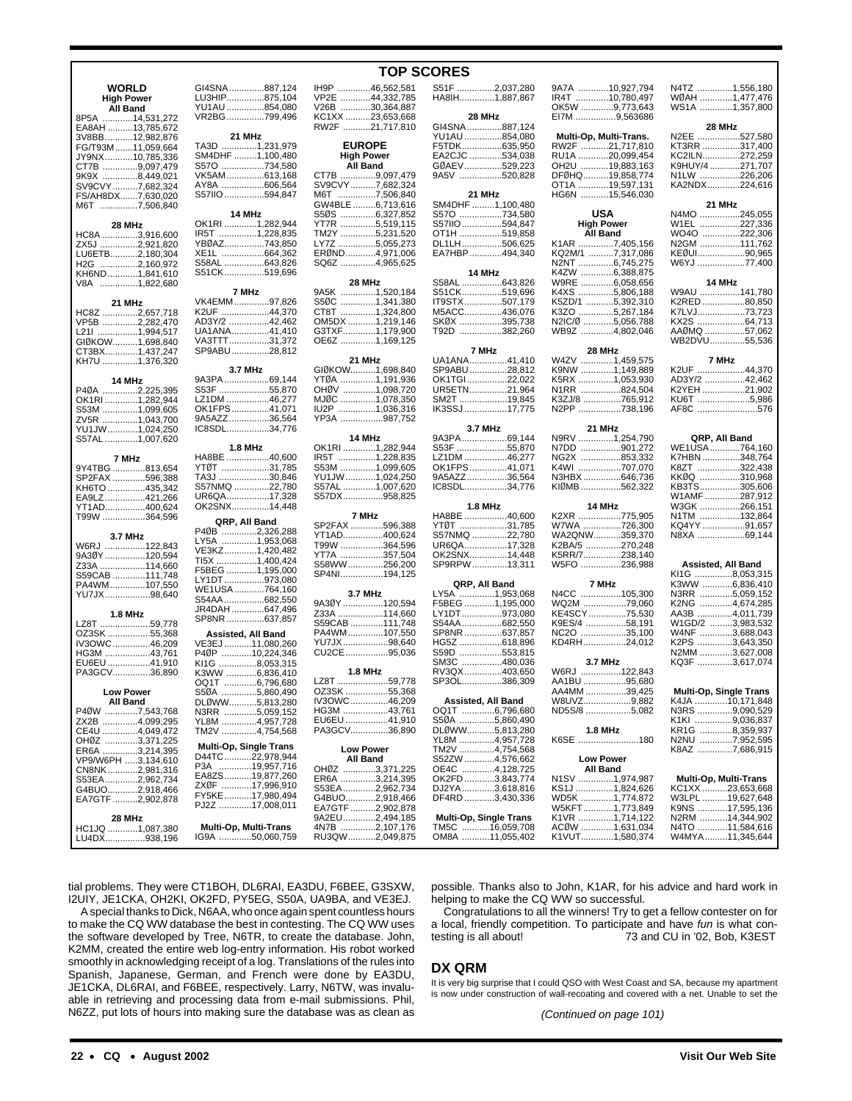|                                    | GI4SNA 887,124                                                                                                                                                                                                                                                                                                                                                                                                                                                                                                                                                                                                                                                                                                                         |
|------------------------------------|----------------------------------------------------------------------------------------------------------------------------------------------------------------------------------------------------------------------------------------------------------------------------------------------------------------------------------------------------------------------------------------------------------------------------------------------------------------------------------------------------------------------------------------------------------------------------------------------------------------------------------------------------------------------------------------------------------------------------------------|
|                                    | LU3HIP875,104                                                                                                                                                                                                                                                                                                                                                                                                                                                                                                                                                                                                                                                                                                                          |
|                                    | YU1AU 854,080                                                                                                                                                                                                                                                                                                                                                                                                                                                                                                                                                                                                                                                                                                                          |
|                                    | VR2BG799,496                                                                                                                                                                                                                                                                                                                                                                                                                                                                                                                                                                                                                                                                                                                           |
|                                    |                                                                                                                                                                                                                                                                                                                                                                                                                                                                                                                                                                                                                                                                                                                                        |
|                                    | 21 MHz                                                                                                                                                                                                                                                                                                                                                                                                                                                                                                                                                                                                                                                                                                                                 |
|                                    | TA3D 1,231,979                                                                                                                                                                                                                                                                                                                                                                                                                                                                                                                                                                                                                                                                                                                         |
|                                    | SM4DHF 1,100,480                                                                                                                                                                                                                                                                                                                                                                                                                                                                                                                                                                                                                                                                                                                       |
|                                    |                                                                                                                                                                                                                                                                                                                                                                                                                                                                                                                                                                                                                                                                                                                                        |
|                                    | S57O 734,580                                                                                                                                                                                                                                                                                                                                                                                                                                                                                                                                                                                                                                                                                                                           |
|                                    | VK5AM613,168                                                                                                                                                                                                                                                                                                                                                                                                                                                                                                                                                                                                                                                                                                                           |
|                                    | AY8A 606,564                                                                                                                                                                                                                                                                                                                                                                                                                                                                                                                                                                                                                                                                                                                           |
|                                    | S57IIO594,847                                                                                                                                                                                                                                                                                                                                                                                                                                                                                                                                                                                                                                                                                                                          |
|                                    |                                                                                                                                                                                                                                                                                                                                                                                                                                                                                                                                                                                                                                                                                                                                        |
|                                    | 14 MHz                                                                                                                                                                                                                                                                                                                                                                                                                                                                                                                                                                                                                                                                                                                                 |
|                                    | OK1RI 1,282,944                                                                                                                                                                                                                                                                                                                                                                                                                                                                                                                                                                                                                                                                                                                        |
|                                    | IR5T 1,228,835                                                                                                                                                                                                                                                                                                                                                                                                                                                                                                                                                                                                                                                                                                                         |
|                                    | YBØAZ743,850                                                                                                                                                                                                                                                                                                                                                                                                                                                                                                                                                                                                                                                                                                                           |
|                                    | XE1L 664,362                                                                                                                                                                                                                                                                                                                                                                                                                                                                                                                                                                                                                                                                                                                           |
|                                    |                                                                                                                                                                                                                                                                                                                                                                                                                                                                                                                                                                                                                                                                                                                                        |
|                                    | S58AL 643,826                                                                                                                                                                                                                                                                                                                                                                                                                                                                                                                                                                                                                                                                                                                          |
|                                    | S51CK519,696                                                                                                                                                                                                                                                                                                                                                                                                                                                                                                                                                                                                                                                                                                                           |
|                                    |                                                                                                                                                                                                                                                                                                                                                                                                                                                                                                                                                                                                                                                                                                                                        |
|                                    | 7 MHz                                                                                                                                                                                                                                                                                                                                                                                                                                                                                                                                                                                                                                                                                                                                  |
|                                    | VK4EMM97,826                                                                                                                                                                                                                                                                                                                                                                                                                                                                                                                                                                                                                                                                                                                           |
|                                    | K2UF 44,370                                                                                                                                                                                                                                                                                                                                                                                                                                                                                                                                                                                                                                                                                                                            |
|                                    | AD3Y/2 42,462                                                                                                                                                                                                                                                                                                                                                                                                                                                                                                                                                                                                                                                                                                                          |
|                                    | UA1ANA41,410                                                                                                                                                                                                                                                                                                                                                                                                                                                                                                                                                                                                                                                                                                                           |
|                                    | VA3TTT31,372                                                                                                                                                                                                                                                                                                                                                                                                                                                                                                                                                                                                                                                                                                                           |
|                                    | SP9ABU28,812                                                                                                                                                                                                                                                                                                                                                                                                                                                                                                                                                                                                                                                                                                                           |
|                                    |                                                                                                                                                                                                                                                                                                                                                                                                                                                                                                                                                                                                                                                                                                                                        |
|                                    |                                                                                                                                                                                                                                                                                                                                                                                                                                                                                                                                                                                                                                                                                                                                        |
|                                    | 3.7 MHz                                                                                                                                                                                                                                                                                                                                                                                                                                                                                                                                                                                                                                                                                                                                |
|                                    | 9A3PA69,144                                                                                                                                                                                                                                                                                                                                                                                                                                                                                                                                                                                                                                                                                                                            |
|                                    | S53F 55,870                                                                                                                                                                                                                                                                                                                                                                                                                                                                                                                                                                                                                                                                                                                            |
|                                    | LZ1DM 46,277                                                                                                                                                                                                                                                                                                                                                                                                                                                                                                                                                                                                                                                                                                                           |
|                                    | OK1FPS41,071                                                                                                                                                                                                                                                                                                                                                                                                                                                                                                                                                                                                                                                                                                                           |
|                                    | 9A5AZZ36,564                                                                                                                                                                                                                                                                                                                                                                                                                                                                                                                                                                                                                                                                                                                           |
|                                    | IC8SDL34,776                                                                                                                                                                                                                                                                                                                                                                                                                                                                                                                                                                                                                                                                                                                           |
|                                    |                                                                                                                                                                                                                                                                                                                                                                                                                                                                                                                                                                                                                                                                                                                                        |
|                                    | <b>1.8 MHz</b>                                                                                                                                                                                                                                                                                                                                                                                                                                                                                                                                                                                                                                                                                                                         |
|                                    | HA8BE 40,600                                                                                                                                                                                                                                                                                                                                                                                                                                                                                                                                                                                                                                                                                                                           |
|                                    |                                                                                                                                                                                                                                                                                                                                                                                                                                                                                                                                                                                                                                                                                                                                        |
|                                    | YTØT ………………31,785                                                                                                                                                                                                                                                                                                                                                                                                                                                                                                                                                                                                                                                                                                                      |
|                                    | TA3J 30,846                                                                                                                                                                                                                                                                                                                                                                                                                                                                                                                                                                                                                                                                                                                            |
|                                    | S57NMQ 22,780                                                                                                                                                                                                                                                                                                                                                                                                                                                                                                                                                                                                                                                                                                                          |
|                                    | UR6QA17,328                                                                                                                                                                                                                                                                                                                                                                                                                                                                                                                                                                                                                                                                                                                            |
|                                    | OK2SNX14,448                                                                                                                                                                                                                                                                                                                                                                                                                                                                                                                                                                                                                                                                                                                           |
|                                    |                                                                                                                                                                                                                                                                                                                                                                                                                                                                                                                                                                                                                                                                                                                                        |
|                                    | QRP, All Band                                                                                                                                                                                                                                                                                                                                                                                                                                                                                                                                                                                                                                                                                                                          |
|                                    | P4ØB 2,326,288                                                                                                                                                                                                                                                                                                                                                                                                                                                                                                                                                                                                                                                                                                                         |
|                                    | LY5A 1,953,068                                                                                                                                                                                                                                                                                                                                                                                                                                                                                                                                                                                                                                                                                                                         |
|                                    | VE3KZ1,420,482                                                                                                                                                                                                                                                                                                                                                                                                                                                                                                                                                                                                                                                                                                                         |
|                                    | TI5X 1,400,424                                                                                                                                                                                                                                                                                                                                                                                                                                                                                                                                                                                                                                                                                                                         |
|                                    | F5BEG 1,195,000                                                                                                                                                                                                                                                                                                                                                                                                                                                                                                                                                                                                                                                                                                                        |
|                                    | LY1DT973,080                                                                                                                                                                                                                                                                                                                                                                                                                                                                                                                                                                                                                                                                                                                           |
|                                    | WE1USA764,160                                                                                                                                                                                                                                                                                                                                                                                                                                                                                                                                                                                                                                                                                                                          |
|                                    | S54AA682,550                                                                                                                                                                                                                                                                                                                                                                                                                                                                                                                                                                                                                                                                                                                           |
|                                    |                                                                                                                                                                                                                                                                                                                                                                                                                                                                                                                                                                                                                                                                                                                                        |
|                                    |                                                                                                                                                                                                                                                                                                                                                                                                                                                                                                                                                                                                                                                                                                                                        |
|                                    | JR4DAH647,496                                                                                                                                                                                                                                                                                                                                                                                                                                                                                                                                                                                                                                                                                                                          |
| LZ8T 59,778                        | SP8NR 637,857                                                                                                                                                                                                                                                                                                                                                                                                                                                                                                                                                                                                                                                                                                                          |
| OZ3SK 55,368                       | Assisted, All Band                                                                                                                                                                                                                                                                                                                                                                                                                                                                                                                                                                                                                                                                                                                     |
| IV3OWC46,209                       | VE3EJ 11,080,260                                                                                                                                                                                                                                                                                                                                                                                                                                                                                                                                                                                                                                                                                                                       |
|                                    |                                                                                                                                                                                                                                                                                                                                                                                                                                                                                                                                                                                                                                                                                                                                        |
| HG3M 43,761                        | P4ØP 10,224,346                                                                                                                                                                                                                                                                                                                                                                                                                                                                                                                                                                                                                                                                                                                        |
| EU6EU 41,910                       | KI1G 8,053,315                                                                                                                                                                                                                                                                                                                                                                                                                                                                                                                                                                                                                                                                                                                         |
| PA3GCV36,890                       | K3WW 6,836,410                                                                                                                                                                                                                                                                                                                                                                                                                                                                                                                                                                                                                                                                                                                         |
|                                    | OQ1T 6,796,680                                                                                                                                                                                                                                                                                                                                                                                                                                                                                                                                                                                                                                                                                                                         |
|                                    | S50A 5,860,490                                                                                                                                                                                                                                                                                                                                                                                                                                                                                                                                                                                                                                                                                                                         |
|                                    | DLØWW5,813,280                                                                                                                                                                                                                                                                                                                                                                                                                                                                                                                                                                                                                                                                                                                         |
| P4ØW 7,543,768                     | N3RR 5,059,152                                                                                                                                                                                                                                                                                                                                                                                                                                                                                                                                                                                                                                                                                                                         |
| ZX2B 4,099,295                     | YL8M 4,957,728                                                                                                                                                                                                                                                                                                                                                                                                                                                                                                                                                                                                                                                                                                                         |
|                                    | TM2V 4,754,568                                                                                                                                                                                                                                                                                                                                                                                                                                                                                                                                                                                                                                                                                                                         |
|                                    |                                                                                                                                                                                                                                                                                                                                                                                                                                                                                                                                                                                                                                                                                                                                        |
| ER6A 3,214,395                     | Multi-Op, Single Trans                                                                                                                                                                                                                                                                                                                                                                                                                                                                                                                                                                                                                                                                                                                 |
| VP9/W6PH 3,134,610                 | D44TC22,978,944                                                                                                                                                                                                                                                                                                                                                                                                                                                                                                                                                                                                                                                                                                                        |
| P3A                                | 19,957,716                                                                                                                                                                                                                                                                                                                                                                                                                                                                                                                                                                                                                                                                                                                             |
| CN8NK2,981,316                     | EA8ZS19,877,260                                                                                                                                                                                                                                                                                                                                                                                                                                                                                                                                                                                                                                                                                                                        |
| S53EA2,962,734                     |                                                                                                                                                                                                                                                                                                                                                                                                                                                                                                                                                                                                                                                                                                                                        |
|                                    | ZXØF 17,996,910                                                                                                                                                                                                                                                                                                                                                                                                                                                                                                                                                                                                                                                                                                                        |
| G4BUO2,918,466<br>EA7GTF 2,902,878 | FY5KE17,980,494                                                                                                                                                                                                                                                                                                                                                                                                                                                                                                                                                                                                                                                                                                                        |
|                                    | PJ2Z 17,008,011                                                                                                                                                                                                                                                                                                                                                                                                                                                                                                                                                                                                                                                                                                                        |
|                                    |                                                                                                                                                                                                                                                                                                                                                                                                                                                                                                                                                                                                                                                                                                                                        |
| HC1JQ 1,087,380<br>LU4DX938,196    | Multi-Op, Multi-Trans<br>IG9A 50,060,759                                                                                                                                                                                                                                                                                                                                                                                                                                                                                                                                                                                                                                                                                               |
|                                    | 14,531,272<br>EA8AH 13,785,672<br>3V8BB12,982,876<br>FG/T93M11,059,664<br>JY9NX 10,785,336<br>CT7B 9,097,479<br>9K9X 8,449,021<br>SV9CVY7,682,324<br>FS/AH8DX7,630,020<br>M6T 7,506,840<br>HC8A 3,916,600<br>ZX5J 2,921,820<br>LU6ETB2,180,304<br>H2G 2,160,972<br>KH6ND 1,841,610<br>V8A 1,822,680<br>HC8Z 2,657,718<br>VP5B 2,282,470<br>L21I 1,994,517<br>GIØKOW1,698,840<br>CT3BX1,437,247<br>KH7U 1,376,320<br>P40A 2,225,395<br>OK1RI 1,282,944<br>S53M 1,099,605<br>ZV5R 1,043,700<br>YU1JW1,024,250<br>S57AL 1,007,620<br>9Y4TBG 813,654<br>SP2FAX 596,388<br>KH6TO 435,342<br>EA9LZ421,266<br>YT1AD400,624<br>T99W 364,596<br>W6RJ 122,843<br>9A3ØY 120,594<br>Z33A 114,660<br>S59CAB 111,748<br>PA4WM107,550<br>YU7JX 98,640 |

#### **TOP SCORES**

| IH9P 46,562,581<br>VP2E 44,332,785<br>V26B 30,364,887<br>KC1XX 23,653,668 |                    | S51F 2,037,280<br>HA8IH1,887,867  | 28 MHz             |
|---------------------------------------------------------------------------|--------------------|-----------------------------------|--------------------|
| RW2F 21,717,810                                                           |                    | GI4SNA887,124                     |                    |
|                                                                           |                    | YU1AU 854,080                     |                    |
| <b>EUROPE</b>                                                             |                    | F5TDK635,950                      |                    |
| <b>High Power</b>                                                         |                    | EA2CJC 534,038                    |                    |
| All Band                                                                  |                    | GØAEV529,223                      |                    |
| CT7B 9,097,479                                                            |                    | 9A5V 520,828                      |                    |
| SV9CVY7,682,324                                                           |                    |                                   |                    |
| M6T 7,506,840                                                             |                    |                                   | 21 MHz             |
| GW4BLE 6,713,616                                                          |                    | SM4DHF 1,100,480                  |                    |
| S50S 6,327,852                                                            |                    | S57O 734,580                      |                    |
| YT7R 5,519,115                                                            |                    | S57IIO594,847                     |                    |
| TM2Y 5,231,520<br>LY7Z 5,055,273                                          |                    | OT1H 519,858                      |                    |
|                                                                           |                    | DL1LH506,625                      |                    |
| ERØND4,971,006                                                            |                    | EA7HBP494,340                     |                    |
| SQ6Z 4,965,625                                                            |                    |                                   | 14 MHz             |
| 28 MHz                                                                    |                    | S58AL 643,826                     |                    |
| 9A5K 1,520,184                                                            |                    | S51CK519,696                      |                    |
|                                                                           |                    | IT9STX507,179                     |                    |
| S50C 1,341,380<br>CT8T 1,324,800                                          |                    | M5ACC436,076                      |                    |
| OM5DX 1,219,146                                                           |                    | SKØX 395,738                      |                    |
| G3TXF1,179,900                                                            |                    | T92D 382,260                      |                    |
| OE6Z 1,169,125                                                            |                    |                                   |                    |
|                                                                           |                    | 7 MHz                             |                    |
| 21 MHz                                                                    |                    | UA1ANA41,410                      |                    |
| GIØKOW1,698,840                                                           |                    | SP9ABU28,812                      |                    |
| YTØA …………1,191,936                                                        |                    | OK1TGI22,022                      |                    |
| OHØV 1,098,720                                                            |                    | UR5ETN21,964                      |                    |
| MJØC 1,078,350                                                            |                    | SM2T 19,845                       |                    |
| IU2P 1,036,316                                                            |                    | IK3SSJ 17,775                     |                    |
| YP3A 987,752                                                              |                    | 3.7 MHz                           |                    |
| 14 MHz                                                                    |                    | 9A3PA69,144                       |                    |
| OK1RI 1,282,944                                                           |                    | S53F 55,870                       |                    |
| IR5T 1,228,835                                                            |                    | LZ1DM 46,277                      |                    |
| S53M 1,099,605                                                            |                    | OK1FPS41,071                      |                    |
| YU1JW1,024,250                                                            |                    | 9A5AZZ36,564                      |                    |
| S57AL 1,007,620                                                           |                    | IC8SDL34,776                      |                    |
| S57DX958,825                                                              |                    |                                   |                    |
|                                                                           |                    | 1.8 MHz                           |                    |
| 7 MHz<br>SP2FAX 596,388                                                   |                    | HA8BE 40,600<br>YTØT ………………31,785 |                    |
| YT1AD400,624                                                              |                    | S57NMQ 22,780                     |                    |
| T99W 364,596                                                              |                    | UR6QA17,328                       |                    |
| YT7A …………….357,504                                                        |                    | OK2SNX14,448                      |                    |
| S58WW256,200                                                              |                    | SP9RPW13,311                      |                    |
| SP4NI194,125                                                              |                    |                                   |                    |
|                                                                           |                    | QRP, All Band                     |                    |
| 3.7 MHz                                                                   |                    | LY5A 1,953,068                    |                    |
| 9A3ØY 120,594                                                             |                    | F5BEG 1,195,000                   |                    |
| Z33A 114,660<br>S59CAB 111,748                                            |                    | LY1DT973,080                      |                    |
| PA4WM107,550                                                              |                    | S54AA682,550<br>SP8NR 637,857     |                    |
| YU7JX98,640                                                               |                    | HG5Z 618,896                      |                    |
| CU2CE95,036                                                               |                    |                                   |                    |
|                                                                           |                    | S59D 553,815<br>SM3C 480,036      |                    |
|                                                                           | <b>1.8 MHz</b>     | RV3QX403,650                      |                    |
| LZ8T 59,778                                                               |                    | SP3OL386,309                      |                    |
| OZ3SK 55,368                                                              |                    |                                   |                    |
| IV3OWC                                                                    | 46,209             |                                   | Assisted, All Band |
| HG3M 43,761                                                               |                    | OQ1T 6,796,680                    |                    |
| EU6EU 41,910                                                              |                    | S50A 5,860,490                    |                    |
| PA3GCV36,890                                                              |                    | DLØWW5,813,280                    |                    |
|                                                                           |                    | YL8M 4,957,728                    |                    |
| <b>Low Power</b>                                                          |                    | TM2V 4,754,568                    |                    |
| All Band<br>OHØZ                                                          | $\ldots$ 3,371,225 | S52ZW 4,576,662<br>OE4C 4,128,725 |                    |
| ER6A 3,214,395                                                            |                    | OK2FD 3,843,774                   |                    |
| S53EA2,962,734                                                            |                    | DJ2YA3,618,816                    |                    |
| G4BUO2,918,466                                                            |                    | DF4RD 3,430,336                   |                    |
| EA7GTF 2,902,878                                                          |                    |                                   |                    |
| 9A2EU2,494,185                                                            |                    | Multi-Op, Single Trans            |                    |
| 4N7B 2,107,176                                                            |                    | TM5C 16,059,708                   |                    |
| RU3QW2,049,875                                                            |                    | OM8A 11,055,402                   |                    |
|                                                                           |                    |                                   |                    |
|                                                                           |                    |                                   |                    |

|             | S51F 2,037,280                    |                  | 9A7A 10,927,794                 |
|-------------|-----------------------------------|------------------|---------------------------------|
|             | HA8IH1,887,867                    |                  | IR4T 10,780,497                 |
|             | 28 MHz                            |                  | OK5W 9,773,643<br>EI7M 9,563686 |
|             | GI4SNA887,124                     |                  |                                 |
|             | YU1AU 854,080                     |                  | Multi-Op, Multi-Trans.          |
|             | F5TDK635,950                      |                  | RW2F 21,717,810                 |
|             | EA2CJC 534,038                    |                  | RU1A 20,099,454                 |
|             | GØAEV 529,223                     |                  | OH2U 19,883,163                 |
|             | 9A5V 520,828                      |                  | DFØHQ19,858,774                 |
|             |                                   |                  | OT1A 19,597,131                 |
|             | 21 MHz                            |                  | HG6N 15,546,030                 |
|             | SM4DHF 1,100,480                  |                  | USA                             |
|             | S57O 734,580<br>S57IIO594,847     |                  | <b>High Power</b>               |
|             | OT1H 519,858                      |                  | <b>All Band</b>                 |
|             | DL1LH506,625                      |                  | K1AR 7,405,156                  |
|             | EA7HBP494,340                     |                  | KQ2M/1 7,317,086                |
|             |                                   |                  | N2NT 6,745,275                  |
|             | 14 MHz                            |                  | K4ZW 6,388,875                  |
|             | S58AL 643,826                     |                  | W9RE 6,058,656                  |
|             | S51CK……………519,696                 |                  | K4XS 5,806,188                  |
|             | IT9STX 507,179                    |                  | K5ZD/1 5,392,310                |
|             | M5ACC436,076                      |                  | K3ZO 5,267,184                  |
|             | SKØX …………….395,738                |                  | N2IC/Ø 5,056,788                |
|             | T92D 382,260                      |                  | WB9Z 4,802,046                  |
|             | 7 MHz                             |                  | <b>28 MHz</b>                   |
|             | UA1ANA41,410                      |                  | W4ZV 1,459,575                  |
|             | SP9ABU 28,812                     |                  | K9NW 1,149,889                  |
|             | OK1TGI22,022                      |                  | K5RX 1,053,930                  |
|             | UR5ETN21,964                      |                  | N1RR 824,504                    |
|             | SM2T 19,845                       |                  | K3ZJ/8 765,912                  |
|             | IK3SSJ 17,775                     |                  | N2PP 738,196                    |
|             |                                   |                  |                                 |
|             | 3.7 MHz<br>9A3PA69,144            |                  | 21 MHz                          |
|             | S53F 55,870                       |                  | N9RV 1,254,790<br>N7DD 901,272  |
|             | LZ1DM 46,277                      |                  | NG2X 853,332                    |
|             | OK1FPS41,071                      |                  | K4WI 707,070                    |
|             |                                   |                  | N3HBX 646,736                   |
|             | 9A5AZZ 36,564<br>IC8SDL34,776     |                  | KIØMB 562,322                   |
|             |                                   |                  |                                 |
|             | <b>1.8 MHz</b><br>HA8BE 40,600    |                  | 14 MHz<br>K2XR 775,905          |
|             | YTØT ………………31,785                 |                  | W7WA 726,300                    |
|             | S57NMQ 22,780                     |                  | WA2QNW359,370                   |
|             | UR6QA17,328                       |                  | K2BA/5 270,248                  |
|             | OK2SNX14,448                      |                  | K5RR/7238,140                   |
|             | SP9RPW13,311                      |                  | W5FO 236,988                    |
|             |                                   |                  |                                 |
|             | QRP, All Band                     |                  | 7 MHz                           |
|             | LY5A 1,953,068<br>F5BEG 1,195,000 |                  | N4CC 105,300<br>WQ2M 79,060     |
|             | LY1DT 973,080                     |                  | KE4SCY75,530                    |
|             | S54AA682,550                      |                  | K9ES/4 58,191                   |
|             | SP8NR 637,857                     |                  | NC2O 35,100                     |
|             | HG5Z 618,896                      |                  | KD4RH24,012                     |
|             |                                   |                  |                                 |
|             | S59D 553,815<br>SM3C 480,036      |                  | 3.7 MHz                         |
|             | RV3QX 403,650                     | W6RJ             | 122,843                         |
|             | SP3OL386.309                      |                  | AA1BU 95,680                    |
|             |                                   |                  | AA4MM 39,425                    |
|             | Assisted, All Band                |                  | W8UVZ9,882                      |
|             | 0Q1T 6,796,680                    |                  | ND5S/8 5,082                    |
|             | S5ØA 5,860,490                    |                  |                                 |
|             | DLØWW5,813,280                    |                  | <b>1.8 MHz</b><br>K6SE 180      |
|             | YL8M 4,957,728<br>TM2V 4,754,568  |                  |                                 |
|             | S52ZW 4.576.662                   |                  | <b>Low Power</b>                |
|             | OE4C 4,128,725                    |                  | <b>All Band</b>                 |
|             | OK2FD 3,843,774                   |                  | N1SV 1,974,987                  |
|             | DJ2YA3,618,816                    |                  | KS1J 1,824,626                  |
|             | DF4RD 3.430.336                   |                  | WD5K 1,774,872                  |
|             |                                   |                  | W5KFT1,773,849                  |
|             | <b>Multi-Op, Single Trans</b>     |                  | K1VR 1,714,122                  |
| <b>TM5C</b> | 16.059.708                        | $\triangle C$ MM | 1 631 034                       |

| 9A7A 10,927,794        | N4TZ 1,556,180  |        |
|------------------------|-----------------|--------|
| IR4T 10,780,497        | WØAH 1,477,476  |        |
| OK5W 9,773,643         | WS1A 1,357,800  |        |
| EI7M 9,563686          |                 |        |
|                        | <b>28 MHz</b>   |        |
| Multi-Op, Multi-Trans. | N2EE 527,580    |        |
| RW2F 21,717,810        | KT3RR 317,400   |        |
| RU1A 20,099,454        | KC2ILN272,259   |        |
| OH2U 19,883,163        | K9HUY/4 271,707 |        |
| DFØHQ19,858,774        | N1LW 226,206    |        |
| OT1A 19,597,131        | KA2NDX224,616   |        |
| HG6N 15.546.030        |                 |        |
|                        |                 | 21 MHz |
| USA                    | N4MO 245,055    |        |
| <b>High Power</b>      | W1EL 227,336    |        |
| All Band               | WO4O 222,306    |        |
| K1AR 7,405,156         | N2GM 111,762    |        |
| KQ2M/1 7,317,086       | KEØUI90,965     |        |
| N2NT 6,745,275         | W6YJ 77,400     |        |
| K4ZW 6,388,875         |                 |        |
| W9RE 6,058,656         |                 | 14 MHz |
| K4XS 5,806,188         | W9AU 141,780    |        |
|                        |                 |        |

| 14 MHz        |  |
|---------------|--|
| W9AU 141.780  |  |
| K2RED 80,850  |  |
| K7LVJ73.723   |  |
| KX2S 64,713   |  |
| 57.062 AAØMQ  |  |
| WB2DVU55,536  |  |
|               |  |
| 7 MHz         |  |
| K2UF 44.370   |  |
| AD3Y/2 42.462 |  |
| K2YEH 21.902  |  |
| KU6T 5,986    |  |
| AF8C 576      |  |

| QRP. All Band |  |
|---------------|--|
| WE1USA764,160 |  |
| K7HBN 348.764 |  |
| K8ZT 322.438  |  |
| KKØQ 310,968  |  |
| KB3TS305.606  |  |
| W1AMF287.912  |  |
| W3GK 266.151  |  |
| N1TM 132.864  |  |
| KQ4YY 91.657  |  |
| N8XA 69.144   |  |
|               |  |

| <b>Assisted, All Band</b>          |
|------------------------------------|
| KI1G 8.053.315                     |
| K3WW 6,836,410                     |
| N3RR 5,059,152                     |
| K2NG 4,674,285                     |
| AA3B 4,011,739                     |
| W1GD/2 3,983,532                   |
| W4NF 3,688,043                     |
| K2PS 3.643.350                     |
| N2MM 3.627.008                     |
| KQ3F 3.617.074                     |
|                                    |
| Multi-Op, Single Trans             |
| $\sim$ $\sim$ $\sim$ $\sim$ $\sim$ |

| .425 | Multi-Op, Single Trans |
|------|------------------------|
| .882 | K4JA 10.171.848        |
| .082 | N3RS 9,090,529         |
|      | K1KI 9,036,837         |
|      | KR1G 8.359.937         |
| .180 | N2NU 7,952,595         |
|      | K8AZ 7.686.915         |
|      |                        |
| .987 | Multi-Op, Multi-Trans  |
| .626 | KC1XX 23,653,668       |
| .872 | W3LPL 19.627.648       |
| .849 | K9NS 17,595,136        |

N2RM ...........14,344,902 N4TO ............11,584,616 W4MYA.........11,345,644

tial problems. They were CT1BOH, DL6RAI, EA3DU, F6BEE, G3SXW, I2UIY, JE1CKA, OH2KI, OK2FD, PY5EG, S50A, UA9BA, and VE3EJ.

A special thanks to Dick, N6AA, who once again spent countless hours to make the CQ WW database the best in contesting. The CQ WW uses the software developed by Tree, N6TR, to create the database. John, K2MM, created the entire web log-entry information. His robot worked smoothly in acknowledging receipt of a log. Translations of the rules into Spanish, Japanese, German, and French were done by EA3DU, JE1CKA, DL6RAI, and F6BEE, respectively. Larry, N6TW, was invaluable in retrieving and processing data from e-mail submissions. Phil, N6ZZ, put lots of hours into making sure the database was as clean as

possible. Thanks also to John, K1AR, for his advice and hard work in helping to make the CQ WW so successful.

ACØW .............1,631,034 K1VUT.............1,580,374

Congratulations to all the winners! Try to get a fellow contester on for a local, friendly competition. To participate and have fun is what con-<br>testing is all about! 73 and CU in '02, Bob, K3EST 73 and CU in '02, Bob, K3EST

#### **DX QRM**

It is very big surprise that I could QSO with West Coast and SA, because my apartment is now under construction of wall-recoating and covered with a net. Unable to set the

(Continued on page 101)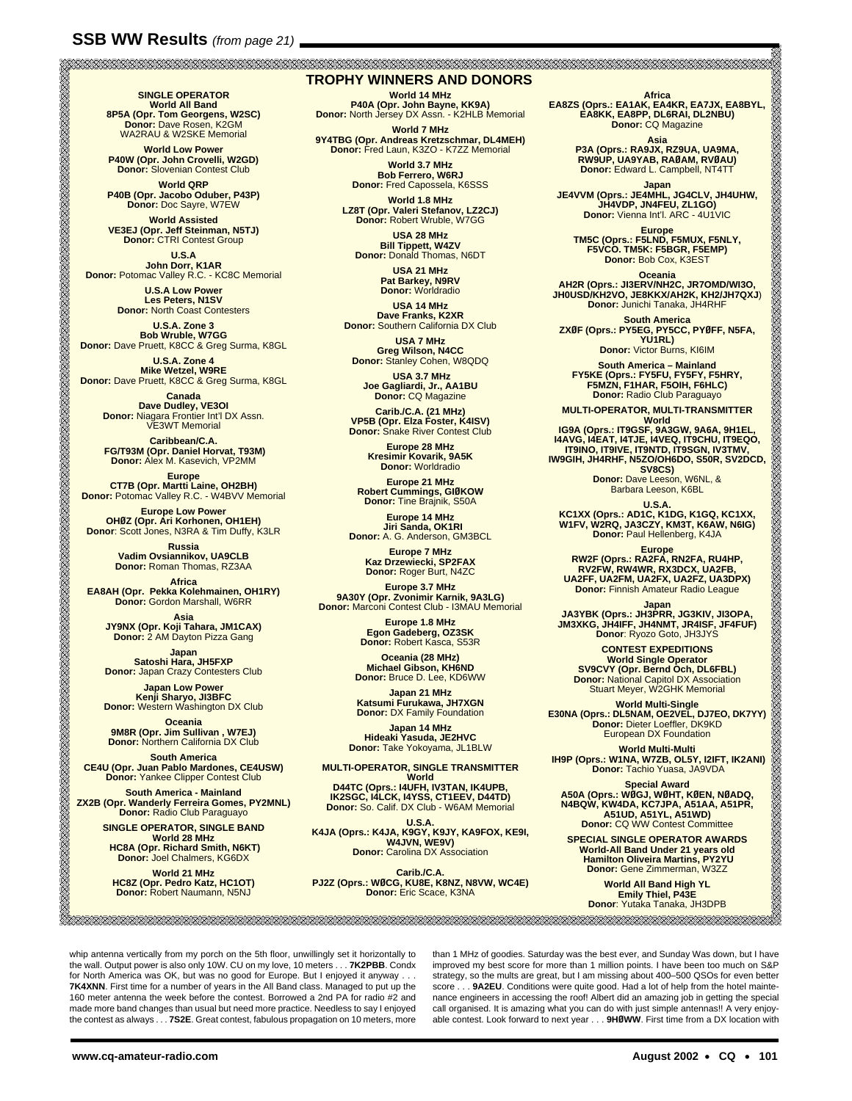**SINGLE OPERATOR<br>
<b>World All Band<br>
8P5A (Opr. Tom Georgens, W2SC)<br>
Donor: Dave Rosen, K2GM<br>
WA2RAU & W2SKE Memorial** 

**World Low Power P40W (Opr. John Crovelli, W2GD) Donor:** Slovenian Contest Club

**World QRP P40B (Opr. Jacobo Oduber, P43P) Donor:** Doc Sayre, W7EW

**World Assisted VE3EJ (Opr. Jeff Steinman, N5TJ) Donor:** CTRI Contest Group

**U.S.A<br>John Dorr, K1AR<br><b>Donor:** Potomac Valley R.C. - KC8C Memorial

**U.S.A Low Power Les Peters, N1SV Donor:** North Coast Contesters

**U.S.A. Zone 3 Bob Wruble, W7GG Donor:** Dave Pruett, K8CC & Greg Surma, K8GL

**U.S.A. Zone 4 Mike Wetzel, W9RE Donor:** Dave Pruett, K8CC & Greg Surma, K8GL

**Canada<br>
<b>Dave Dudley, VE3OI**<br> **Donor:** Niagara Frontier Int'l DX Assn.<br>
VE3WT Memorial

**Caribbean/C.A. FG/T93M (Opr. Daniel Horvat, T93M) Donor:** Alex M. Kasevich, VP2MM

**Europe<br>CT7B (Opr. Martti Laine, OH2BH)<br>Donor: Potomac Valley R.C. - W4BVV Memorial** 

**Europe Low Power<br><b>OHØZ (Opr. Ari Korhonen, OH1EH)**<br>Donor: Scott Jones, N3RA & Tim Duffy, K3LR

**Russia Vadim Ovsiannikov, UA9CLB Donor:** Roman Thomas, RZ3AA

**EA8AH (Opr. Pekka Kolehmainen, OH1RY)<br><b>Donor:** Gordon Marshall, W6RR

**Asia JY9NX (Opr. Koji Tahara, JM1CAX) Donor:** 2 AM Dayton Pizza Gang

**Japan<br>Satoshi Hara, JH5FXP<br>Donor: Japan Crazy Contesters Club** 

**Japan Low Power Kenji Sharyo, JI3BFC Donor:** Western Washington DX Club

**Oceania<br>
<b>9M8R (Opr. Jim Sullivan , W7EJ)**<br> **Donor:** Northern California DX Club

**South America CE4U (Opr. Juan Pablo Mardones, CE4USW) Donor:** Yankee Clipper Contest Club

**South America - Mainland ZX2B (Opr. Wanderly Ferreira Gomes, PY2MNL) Donor:** Radio Club Paraguayo

**SINGLE OPERATOR, SINGLE BAND World 28 MHz HC8A (Opr. Richard Smith, N6KT) Donor:** Joel Chalmers, KG6DX

**World 21 MHz HC8Z (Opr. Pedro Katz, HC1OT) Donor:** Robert Naumann, N5NJ

#### **TROPHY WINNERS AND DONORS**

**World 14 MHz<br>P40A (Opr. John Bayne, KK9A)<br>Donor: North Jersey DX Assn. - K2HLB Memorial** 

**World 7 MHz<br><b>9Y4TBG (Opr. Andreas Kretzschmar, DL4MEH)**<br>Donor: Fred Laun, K3ZO - K7ZZ Memorial

**World 3.7 MHz Bob Ferrero, W6RJ Donor:** Fred Capossela, K6SSS

**World 1.8 MHz LZ8T (Opr. Valeri Stefanov, LZ2CJ) Donor:** Robert Wruble, W7GG

**USA 28 MHz Bill Tippett, W4ZV Donor:** Donald Thomas, N6DT

**USA 21 MHz Pat Barkey, N9RV Donor:** Worldradio

**USA 14 MHz Dave Franks, K2XR Donor:** Southern California DX Club

**USA 7 MHz Greg Wilson, N4CC Donor:** Stanley Cohen, W8QDQ

**USA 3.7 MHz Joe Gagliardi, Jr., AA1BU Donor:** CQ Magazine

**Carib./C.A. (21 MHz) VP5B (Opr. Elza Foster, K4ISV) Donor:** Snake River Contest Club

**Europe 28 MHz Kresimir Kovarik, 9A5K Donor:** Worldradio

**Europe 21 MHz Robert Cummings, GIØKOW Donor:** Tine Brajnik, S50A

**Europe 14 MHz Jiri Sanda, OK1RI Donor:** A. G. Anderson, GM3BCL

**Europe 7 MHz Kaz Drzewiecki, SP2FAX Donor:** Roger Burt, N4ZC

**Europe 3.7 MHz<br><b>9A30Y (Opr. Zvonimir Karnik, 9A3LG)**<br>**Donor:** Marconi Contest Club - I3MAU Memorial

**Europe 1.8 MHz Egon Gadeberg, OZ3SK Donor:** Robert Kasca, S53R

**Oceania (28 MHz) Michael Gibson, KH6ND Donor:** Bruce D. Lee, KD6WW

**Japan 21 MHz Katsumi Furukawa, JH7XGN Donor:** DX Family Foundation

**Japan 14 MHz Hideaki Yasuda, JE2HVC Donor:** Take Yokoyama, JL1BLW

**MULTI-OPERATOR, SINGLE TRANSMITTER World D44TC (Oprs.: I4UFH, IV3TAN, IK4UPB, IK2SGC, I4LCK, I4YSS, CT1EEV, D44TD) Donor:** So. Calif. DX Club - W6AM Memorial

U.S.A.<br>**K4JA (Oprs.: K4JA, K9GY, K9JY, KA9FOX, KE9I,<br>Donor: Carolina DX Association<br>Donor: Carolina DX Association** 

**Carib./C.A. PJ2Z (Oprs.: WØCG, KU8E, K8NZ, N8VW, WC4E) Donor:** Eric Scace, K3NA

Africa<br>EA8ZS (Oprs.: EA1AK, EA4RR, EA7JX, EA8BYL,<br>EA8KK, EA8PP, DL6RAI, DL2NBU)<br>Donor: CQ Magazine

**Asia P3A (Oprs.: RA9JX, RZ9UA, UA9MA, RW9UP, UA9YAB, RAØAM, RVØAU) Donor:** Edward L. Campbell, NT4TT

Japan<br>**JE4VVM (Oprs.: JE4MHL, JG4CLV, JH4UHW,<br>Donor: Vienna Int'l. ARC - 4U1VIC<br>Donor: Vienna Int'l. ARC - 4U1VIC** 

**Europe TM5C (Oprs.: F5LND, F5MUX, F5NLY, F5VCO. TM5K: F5BGR, F5EMP) Donor:** Bob Cox, K3EST

**Oceania AH2R (Oprs.: JI3ERV/NH2C, JR7OMD/WI3O, JH0USD/KH2VO, JE8KKX/AH2K, KH2/JH7QXJ**) **Donor:** Junichi Tanaka, JH4RHF

**South America ZXØF (Oprs.: PY5EG, PY5CC, PYØFF, N5FA, YU1RL) Donor:** Victor Burns, KI6IM

**South America – Mainland FY5KE (Oprs.: FY5FU, FY5FY, F5HRY, F5MZN, F1HAR, F5OIH, F6HLC) Donor:** Radio Club Paraguayo

MULTI-OPERATOR, MULTI-TRANSMITTER<br>
IG9A (Oprs.: IT9GSF, 9A3GW, 9A6A, 9H1EL,<br>
I4AVG, I4EAT, I4TJE, I4VEQ, IT9CHU, IT9EQO,<br>
IT9INO, IT9IVE, IT9NTD, IT9SGN, IV3TMV,<br>
SV8CS)<br>
Donor: Dave Leeson, W6NL, &<br>
Barbara Leeson, K6BL<br>

U.S.A.<br>**KC1XX (Oprs.: AD1C, K1DG, K1GQ, KC1XX,<br>W1FV, W2RQ, JA3CZY, KM3T, K6AW, N6IG)<br>Donor: Paul Hellenberg, K4JA** 

Europe<br> **RW2F (Oprs.: RA2FA, RN2FA, RU4HP,<br>
RV2FW, RW4WR, RX3DCX, UA2FB,<br>
UA2FF, UA2FM, UA2FX, UA2FZ, UA3DPX)<br>
Donor: Finnish Amateur Radio League** 

**Japan JA3YBK (Oprs.: JH3PRR, JG3KIV, JI3OPA, JM3XKG, JH4IFF, JH4NMT, JR4ISF, JF4FUF) Donor**: Ryozo Goto, JH3JYS

**CONTEST EXPEDITIONS<br>
World Single Operator<br>
<b>SV9CVY (Opr. Bernd Och, DL6FBL)**<br> **Donor:** National Capitol DX Association<br>
Stuart Meyer, W2GHK Memorial

**World Multi-Single<br><b>E30NA (Oprs.: DL5NAM, OE2VEL, DJ7EO, DK7YY)**<br>Donor: Dieter Loeffler, DK9KD<br>European DX Foundation

**World Multi-Multi IH9P (Oprs.: W1NA, W7ZB, OL5Y, I2IFT, IK2ANI) Donor:** Tachio Yuasa, JA9VDA

Special Award<br>A50A (Oprs.: WØGJ, WØHT, KØEN, NØADQ,<br>N4BQW, KW4DA, KS7JPA, A51AA, A51PR,<br>A51UD, A51YL, A51WD)<br>Donor: CQ WW Contest Committee

**SPECIAL SINGLE OPERATOR AWARDS World-All Band Under 21 years old Hamilton Oliveira Martins, PY2YU Donor:** Gene Zimmerman, W3ZZ

**World All Band High YL Emily Thiel, P43E Donor**: Yutaka Tanaka, JH3DPB 

whip antenna vertically from my porch on the 5th floor, unwillingly set it horizontally to the wall. Output power is also only 10W. CU on my love, 10 meters . . . **7K2PBB**. Condx for North America was OK, but was no good for Europe. But I enjoyed it anyway . . . **7K4XNN**. First time for a number of years in the All Band class. Managed to put up the 160 meter antenna the week before the contest. Borrowed a 2nd PA for radio #2 and made more band changes than usual but need more practice. Needless to say I enjoyed the contest as always . . . **7S2E**. Great contest, fabulous propagation on 10 meters, more

than 1 MHz of goodies. Saturday was the best ever, and Sunday Was down, but I have improved my best score for more than 1 million points. I have been too much on S&P strategy, so the mults are great, but I am missing about 400–500 QSOs for even better score . . . 9A2EU. Conditions were quite good. Had a lot of help from the hotel maintenance engineers in accessing the roof! Albert did an amazing job in getting the special call organised. It is amazing what you can do with just simple antennas!! A very enjoyable contest. Look forward to next year . . . **9HØWW**. First time from a DX location with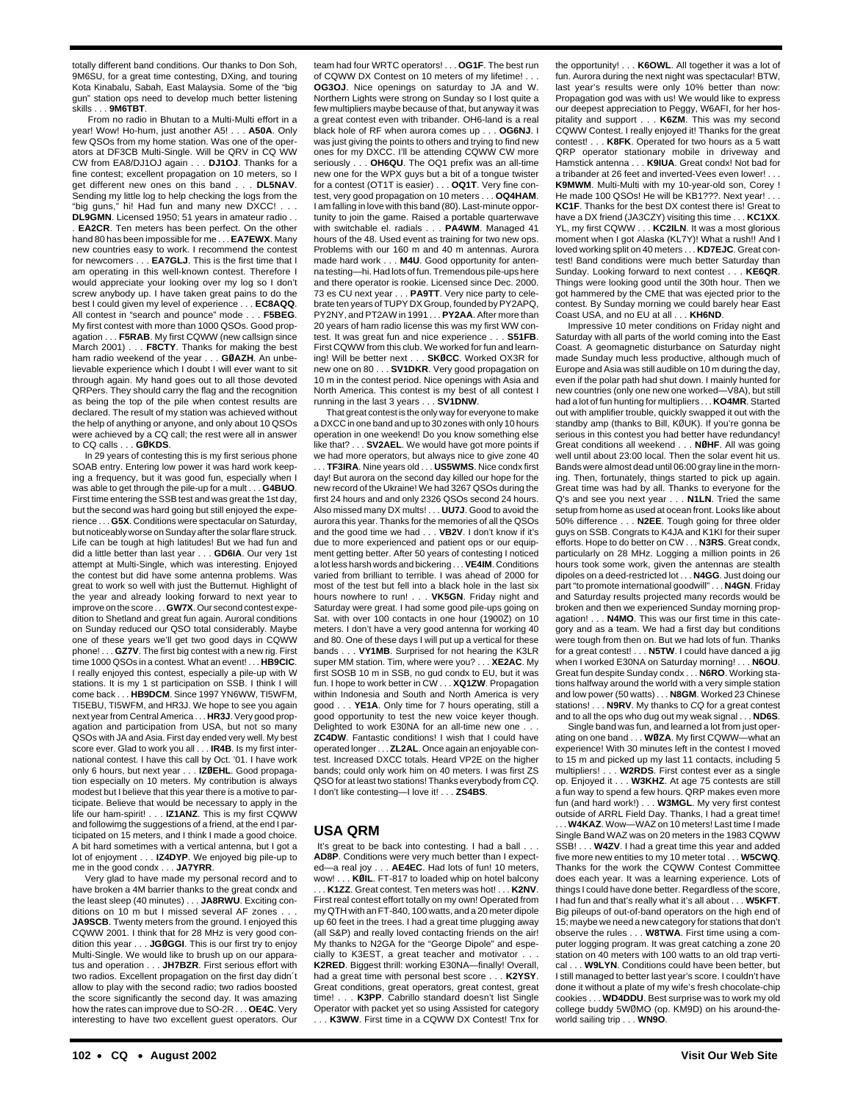totally different band conditions. Our thanks to Don Soh, 9M6SU, for a great time contesting, DXing, and touring Kota Kinabalu, Sabah, East Malaysia. Some of the "big gun" station ops need to develop much better listening skills . . . **9M6TBT**.

From no radio in Bhutan to a Multi-Multi effort in a year! Wow! Ho-hum, just another A5! . . . **A50A**. Only few QSOs from my home station. Was one of the operators at DF3CB Multi-Single. Will be QRV in CQ WW CW from EA8/DJ1OJ again . . . **DJ1OJ**. Thanks for a fine contest; excellent propagation on 10 meters, so I get different new ones on this band . . . **DL5NAV**. Sending my little log to help checking the logs from the "big guns," hi! Had fun and many new DXCC! . . .

**DL9GMN**. Licensed 1950; 51 years in amateur radio . . . **EA2CR**. Ten meters has been perfect. On the other hand 80 has been impossible for me . . . **EA7EWX**. Many new countries easy to work. I recommend the contest for newcomers . . . **EA7GLJ**. This is the first time that I am operating in this well-known contest. Therefore I would appreciate your looking over my log so I don't screw anybody up. I have taken great pains to do the best I could given my level of experience . . . **EC8AQQ**. All contest in "search and pounce" mode . . . **F5BEG**. My first contest with more than 1000 QSOs. Good propagation . . . **F5RAB**. My first CQWW (new callsign since March 2001) . . . **F8CTY**. Thanks for making the best ham radio weekend of the year . . . **GØAZH**. An unbelievable experience which I doubt I will ever want to sit through again. My hand goes out to all those devoted QRPers. They should carry the flag and the recognition as being the top of the pile when contest results are declared. The result of my station was achieved without the help of anything or anyone, and only about 10 QSOs were achieved by a CQ call; the rest were all in answer to CQ calls . . . **GØKDS**.

In 29 years of contesting this is my first serious phone SOAB entry. Entering low power it was hard work keeping a frequency, but it was good fun, especially when I was able to get through the pile-up for a mult . . . **G4BUO**. First time entering the SSB test and was great the 1st day, but the second was hard going but still enjoyed the experience . . . **G5X**. Conditions were spectacular on Saturday, but noticeably worse on Sunday after the solar flare struck. Life can be tough at high latitudes! But we had fun and did a little better than last year . . . **GD6IA**. Our very 1st attempt at Multi-Single, which was interesting. Enjoyed the contest but did have some antenna problems. Was great to work so well with just the Butternut. Highlight of the year and already looking forward to next year to improve on the score . . . **GW7X**. Our second contest expedition to Shetland and great fun again. Auroral conditions on Sunday reduced our QSO total considerably. Maybe one of these years we'll get two good days in CQWW phone! . . . **GZ7V**. The first big contest with a new rig. First time 1000 QSOs in a contest. What an event! . . . **HB9CIC**. I really enjoyed this contest, especially a pile-up with W stations. It is my 1 st participation on SSB. I think I will come back . . . **HB9DCM**. Since 1997 YN6WW, TI5WFM, TI5EBU, TI5WFM, and HR3J. We hope to see you again next year from Central America . . . **HR3J**. Very good propagation and participation from USA, but not so many QSOs with JA and Asia. First day ended very well. My best score ever. Glad to work you all . . . **IR4B**. Is my first international contest. I have this call by Oct. '01. I have work only 6 hours, but next year . . . **IZØEHL**. Good propagation especially on 10 meters. My contribution is always modest but I believe that this year there is a motive to participate. Believe that would be necessary to apply in the life our ham-spirit! . . . **IZ1ANZ**. This is my first CQWW and followimg the suggestions of a friend, at the end I participated on 15 meters, and I think I made a good choice. A bit hard sometimes with a vertical antenna, but I got a lot of enjoyment . . . **IZ4DYP**. We enjoyed big pile-up to me in the good condx . . . **JA7YRR**.

Very glad to have made my personal record and to have broken a 4M barrier thanks to the great condx and the least sleep (40 minutes) . . . **JA8RWU**. Exciting conditions on 10 m but I missed several AF zones . **JA9SCB**. Twenty meters from the ground. I enjoyed this CQWW 2001. I think that for 28 MHz is very good condition this year . . . **JGØGGI**. This is our first try to enjoy Multi-Single. We would like to brush up on our apparatus and operation . . . **JH7BZR**. First serious effort with two radios. Excellent propagation on the first day didn´t allow to play with the second radio; two radios boosted the score significantly the second day. It was amazing how the rates can improve due to SO-2R . . . **OE4C**. Very interesting to have two excellent guest operators. Our

team had four WRTC operators! . . . **OG1F**. The best run of CQWW DX Contest on 10 meters of my lifetime! **OG3OJ**. Nice openings on saturday to JA and W. Northern Lights were strong on Sunday so I lost quite a few multipliers maybe because of that, but anyway it was a great contest even with tribander. OH6-land is a real black hole of RF when aurora comes up . . . **OG6NJ**. I was just giving the points to others and trying to find new ones for my DXCC. I'll be attending CQWW CW more seriously . . . **OH6QU**. The OQ1 prefix was an all-time new one for the WPX guys but a bit of a tongue twister for a contest (OT1T is easier) . . . **OQ1T**. Very fine contest, very good propagation on 10 meters . . . **OQ4HAM**. I am falling in love with this band (80). Last-minute opportunity to join the game. Raised a portable quarterwave with switchable el. radials . . . **PA4WM**. Managed 41 hours of the 48. Used event as training for two new ops. Problems with our 160 m and 40 m antennas. Aurora made hard work . . . **M4U**. Good opportunity for antenna testing—hi. Had lots of fun. Tremendous pile-ups here and there operator is rookie. Licensed since Dec. 2000. 73 es CU next year . . . **PA9TT**. Very nice party to celebrate ten years of TUPY DX Group, founded by PY2APQ, PY2NY, and PT2AW in 1991 . . . **PY2AA**. After more than 20 years of ham radio license this was my first WW contest. It was great fun and nice experience . . . **S51FB**. First CQWW from this club. We worked for fun and learning! Will be better next . . . **SKØCC**. Worked OX3R for new one on 80 . . . **SV1DKR**. Very good propagation on 10 m in the contest period. Nice openings with Asia and North America. This contest is my best of all contest I running in the last 3 years . . . **SV1DNW**.

That great contest is the only way for everyone to make a DXCC in one band and up to 30 zones with only 10 hours operation in one weekend! Do you know something else like that? . . . **SV2AEL**. We would have got more points if we had more operators, but always nice to give zone 40 . . . **TF3IRA**. Nine years old . . . **US5WMS**. Nice condx first day! But aurora on the second day killed our hope for the new record of the Ukraine! We had 3267 QSOs during the first 24 hours and and only 2326 QSOs second 24 hours. Also missed many DX mults! . . . **UU7J**. Good to avoid the aurora this year. Thanks for the memories of all the QSOs and the good time we had . . . **VB2V**. I don't know if it's due to more experienced and patient ops or our equipment getting better. After 50 years of contesting I noticed a lot less harsh words and bickering . . . **VE4IM**. Conditions varied from brilliant to terrible. I was ahead of 2000 for most of the test but fell into a black hole in the last six hours nowhere to run! . . . **VK5GN**. Friday night and Saturday were great. I had some good pile-ups going on Sat. with over 100 contacts in one hour (1900Z) on 10 meters. I don't have a very good antenna for working 40 and 80. One of these days I will put up a vertical for these bands . . . **VY1MB**. Surprised for not hearing the K3LR super MM station. Tim, where were you? . . . **XE2AC**. My first SOSB 10 m in SSB, no gud condx to EU, but it was fun. I hope to work better in CW . . . **XQ1ZW**. Propagation within Indonesia and South and North America is very good . . . **YE1A**. Only time for 7 hours operating, still a good opportunity to test the new voice keyer though. Delighted to work E30NA for an all-time new one ... **ZC4DW**. Fantastic conditions! I wish that I could have operated longer . . . **ZL2AL**. Once again an enjoyable contest. Increased DXCC totals. Heard VP2E on the higher bands; could only work him on 40 meters. I was first ZS QSO for at least two stations! Thanks everybody from CQ. I don't like contesting—I love it! . . . **ZS4BS**.

#### **USA QRM**

It's great to be back into contesting. I had a ball . . **AD8P**. Conditions were very much better than I expected—a real joy . . . **AE4EC**. Had lots of fun! 10 meters, wow! . . . **KØIL**. FT-817 to loaded whip on hotel balcony . . . **K1ZZ**. Great contest. Ten meters was hot! . . . **K2NV**. First real contest effort totally on my own! Operated from my QTH with an FT-840, 100 watts, and a 20 meter dipole up 60 feet in the trees. I had a great time plugging away (all S&P) and really loved contacting friends on the air! My thanks to N2GA for the "George Dipole" and especially to K3EST, a great teacher and motivator . . **K2RED**. Biggest thrill: working E30NA—finally! Overall, had a great time with personal best score . . . **K2YSY**. Great conditions, great operators, great contest, great time! . . . **K3PP**. Cabrillo standard doesn't list Single Operator with packet yet so using Assisted for category . . K3WW. First time in a CQWW DX Contest! Tnx for the opportunity! . . . **K6OWL**. All together it was a lot of fun. Aurora during the next night was spectacular! BTW, last year's results were only 10% better than now: Propagation god was with us! We would like to express our deepest appreciation to Peggy, W6AFI, for her hospitality and support . . . **K6ZM**. This was my second CQWW Contest. I really enjoyed it! Thanks for the great contest! . . . **K8FK**. Operated for two hours as a 5 watt QRP operator stationary mobile in driveway and Hamstick antenna . . . **K9IUA**. Great condx! Not bad for a tribander at 26 feet and inverted-Vees even lower! **K9MWM**. Multi-Multi with my 10-year-old son, Corey ! He made 100 QSOs! He will be KB1??? Next year! **KC1F**. Thanks for the best DX contest there is! Great to have a DX friend (JA3CZY) visiting this time . . . **KC1XX**. YL, my first CQWW . . . **KC2ILN**. It was a most glorious moment when I got Alaska (KL7Y)! What a rush!! And I loved working split on 40 meters . . . **KD7EJC**. Great contest! Band conditions were much better Saturday than Sunday. Looking forward to next contest . . . **KE6QR**. Things were looking good until the 30th hour. Then we got hammered by the CME that was ejected prior to the contest. By Sunday morning we could barely hear East Coast USA, and no EU at all . . . **KH6ND**.

Impressive 10 meter conditions on Friday night and Saturday with all parts of the world coming into the East Coast. A geomagnetic disturbance on Saturday night made Sunday much less productive, although much of Europe and Asia was still audible on 10 m during the day, even if the polar path had shut down. I mainly hunted for new countries (only one new one worked—V8A), but still had a lot of fun hunting for multipliers . . . **KO4MR**. Started out with amplifier trouble, quickly swapped it out with the standby amp (thanks to Bill, KØUK). If you're gonna be serious in this contest you had better have redundancy! Great conditions all weekend . . . **NØHF**. All was going well until about 23:00 local. Then the solar event hit us. Bands were almost dead until 06:00 gray line in the morning. Then, fortunately, things started to pick up again. Great time was had by all. Thanks to everyone for the Q's and see you next year . . . **N1LN**. Tried the same setup from home as used at ocean front. Looks like about 50% difference . . . **N2EE**. Tough going for three older guys on SSB. Congrats to K4JA and K1KI for their super efforts. Hope to do better on CW . . . **N3RS**. Great condx, particularly on 28 MHz. Logging a million points in 26 hours took some work, given the antennas are stealth dipoles on a deed-restricted lot . . . **N4GG**. Just doing our part "to promote international goodwill" . . . **N4GN**. Friday and Saturday results projected many records would be broken and then we experienced Sunday morning propagation! . . . **N4MO**. This was our first time in this category and as a team. We had a first day but conditions were tough from then on. But we had lots of fun. Thanks for a great contest! . . . **N5TW**. I could have danced a jig when I worked E30NA on Saturday morning! . . . **N6OU**. Great fun despite Sunday condx . . . **N6RO**. Working stations halfway around the world with a very simple station and low power (50 watts) . . . **N8GM**. Worked 23 Chinese stations! . . . **N9RV**. My thanks to CQ for a great contest and to all the ops who dug out my weak signal . . . **ND6S**.

Single band was fun, and learned a lot from just operating on one band . . . **WØZA**. My first CQWW—what an experience! With 30 minutes left in the contest I moved to 15 m and picked up my last 11 contacts, including 5 multipliers! . . . **W2RDS**. First contest ever as a single op. Enjoyed it . . . **W3KHZ**. At age 75 contests are still a fun way to spend a few hours. QRP makes even more fun (and hard work!) . . . **W3MGL**. My very first contest outside of ARRL Field Day. Thanks, I had a great time! . W4KAZ. Wow-WAZ on 10 meters! Last time I made Single Band WAZ was on 20 meters in the 1983 CQWW SSB! . . . **W4ZV**. I had a great time this year and added five more new entities to my 10 meter total . . . **W5CWQ**. Thanks for the work the CQWW Contest Committee does each year. It was a learning experience. Lots of things I could have done better. Regardless of the score, I had fun and that's really what it's all about . . . **W5KFT**. Big pileups of out-of-band operators on the high end of 15; maybe we need a new category for stations that don't observe the rules . . . **W8TWA**. First time using a computer logging program. It was great catching a zone 20 station on 40 meters with 100 watts to an old trap vertical . . . **W9LYN**. Conditions could have been better, but I still managed to better last year's score. I couldn't have done it without a plate of my wife's fresh chocolate-chip cookies . . . **WD4DDU**. Best surprise was to work my old college buddy 5WØMO (op. KM9D) on his around-theworld sailing trip . . . **WN9O**.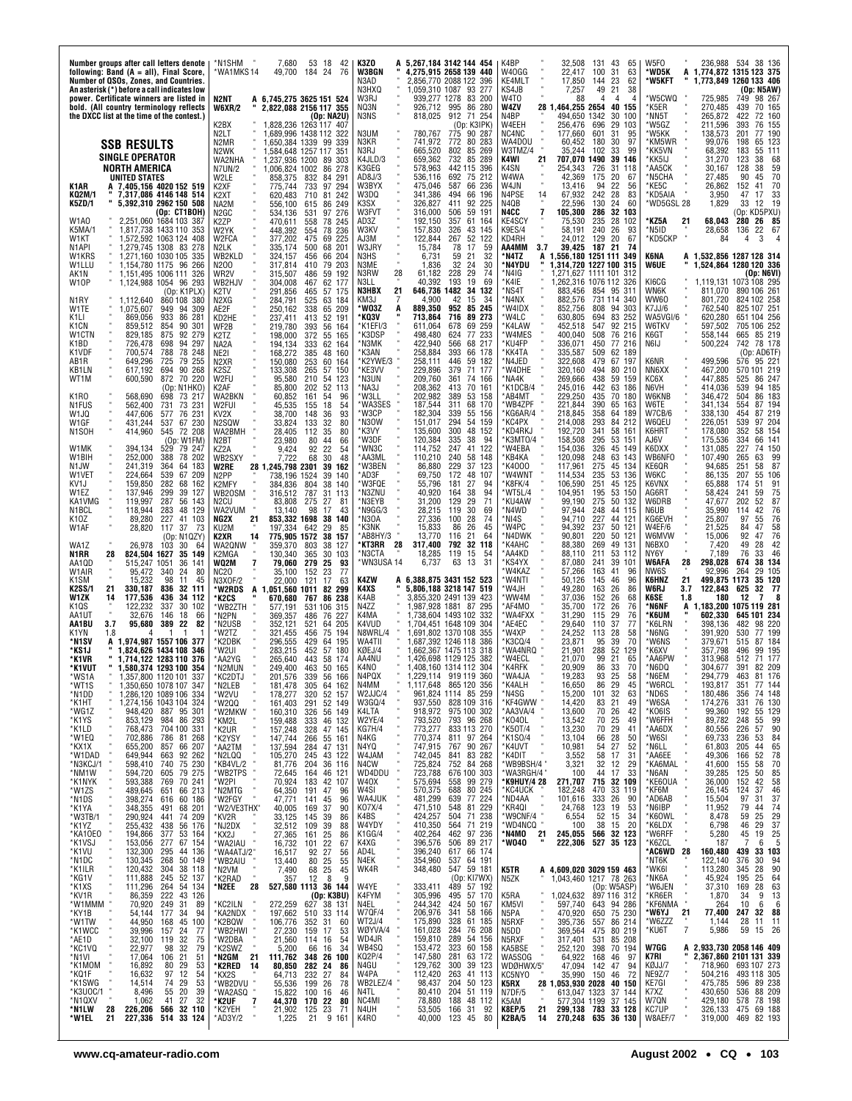| Number groups after call letters denote<br>following: Band (A = all), Final Score,<br>Number of QSOs, Zones, and Countries.<br>An asterisk (*) before a call indicates low                                                                                                                                                                                                                                                                                                                                                                                                                                                                                                                                                                                                                                                                                                                                                                                                                                                                                                                                                                                                                                                                                                                                                                                                                                                                                                                                                                                                                                                                                                                                                                                                                                                                                                                                                                                                                                                                                                                                                                                                                                                                                                                                                                                                                                                                                                                                                   | 7,680<br>53<br>*N1SHM<br>18<br>42<br>*WA1MKS 14<br>24<br>76<br>49,700<br>184                                                                                                                                                                                                                                                                                                                                                                                                                                                                                                                                                                                                                                                                                                                                                                                                                                                                                                                                                                                                                                                                                                                                                                                                                                                                                                                                                                                                                                                                                                                                                                                                                                                                                                                                                                                                                                                                                                                                                                                                                                                                                                                                                                                                                                                                                                                                                                                                                                                                                                            | K3ZO<br>A 5,267,184 3142 144 454<br>W3BGN<br>4,275,915 2658 139 440<br>2,856,770 2088 122<br>396<br>N3AD.<br>N3HXQ<br>1.059.310 1087 93 277                                                                                                                                                                                                                                                                                                                                                                                                                                                                                                                                                                                                                                                                                                                                                                                                                                                                                                                                                                                                                                                                                                                                                                                                                                                                                                                                                                                                                                                                                                                                                                                                                                                                                                                                                                                                                                                                                                                                                                                                                                                                                                                                                                                                                                                                                                                                                                    | K4BP<br>32,508<br>131<br>43<br>65<br>W40GG<br>22,417<br>100<br>31<br>63<br>23<br>KE4MLT<br>62<br>17,850<br>144<br>KS4JB<br>7,257<br>49<br>21<br>38                                                                                                                                                                                                                                                                                                                                                                                                                                                                                                                                                                                                                                                                                                                                                                                                                                                                                                                                                                                                                                                                                                                                                                                                                                                                                                                                                                                                                                                                                                                                                                                                                                                                                                                                                                                                                                                                                                                                                                                                                                                                                                                                                                                                                                                                                                                                                                                                                                                                                                                | W5FO<br>38 136<br>236.988<br>-534<br>WD5K<br>A<br>1,774,872 1315 123 375<br>'W5KFT<br>1,773,849 1260 133 406<br>(Op: N5AW)                                                                                                                                                                                                                                                                                                                                                                                                                                                                                                                                                                                                                                                                                                                                                                                                                                                                                                                                                                                                                                                                                                                                                                                                                                                                                                                                                                                                                                                                                                                                                                                                                                                                                                                                                                                                                                                                                                                                                                                                                                                                                                                                                                                                                                                                                                                                                       |
|------------------------------------------------------------------------------------------------------------------------------------------------------------------------------------------------------------------------------------------------------------------------------------------------------------------------------------------------------------------------------------------------------------------------------------------------------------------------------------------------------------------------------------------------------------------------------------------------------------------------------------------------------------------------------------------------------------------------------------------------------------------------------------------------------------------------------------------------------------------------------------------------------------------------------------------------------------------------------------------------------------------------------------------------------------------------------------------------------------------------------------------------------------------------------------------------------------------------------------------------------------------------------------------------------------------------------------------------------------------------------------------------------------------------------------------------------------------------------------------------------------------------------------------------------------------------------------------------------------------------------------------------------------------------------------------------------------------------------------------------------------------------------------------------------------------------------------------------------------------------------------------------------------------------------------------------------------------------------------------------------------------------------------------------------------------------------------------------------------------------------------------------------------------------------------------------------------------------------------------------------------------------------------------------------------------------------------------------------------------------------------------------------------------------------------------------------------------------------------------------------------------------------|-----------------------------------------------------------------------------------------------------------------------------------------------------------------------------------------------------------------------------------------------------------------------------------------------------------------------------------------------------------------------------------------------------------------------------------------------------------------------------------------------------------------------------------------------------------------------------------------------------------------------------------------------------------------------------------------------------------------------------------------------------------------------------------------------------------------------------------------------------------------------------------------------------------------------------------------------------------------------------------------------------------------------------------------------------------------------------------------------------------------------------------------------------------------------------------------------------------------------------------------------------------------------------------------------------------------------------------------------------------------------------------------------------------------------------------------------------------------------------------------------------------------------------------------------------------------------------------------------------------------------------------------------------------------------------------------------------------------------------------------------------------------------------------------------------------------------------------------------------------------------------------------------------------------------------------------------------------------------------------------------------------------------------------------------------------------------------------------------------------------------------------------------------------------------------------------------------------------------------------------------------------------------------------------------------------------------------------------------------------------------------------------------------------------------------------------------------------------------------------------------------------------------------------------------------------------------------------------|----------------------------------------------------------------------------------------------------------------------------------------------------------------------------------------------------------------------------------------------------------------------------------------------------------------------------------------------------------------------------------------------------------------------------------------------------------------------------------------------------------------------------------------------------------------------------------------------------------------------------------------------------------------------------------------------------------------------------------------------------------------------------------------------------------------------------------------------------------------------------------------------------------------------------------------------------------------------------------------------------------------------------------------------------------------------------------------------------------------------------------------------------------------------------------------------------------------------------------------------------------------------------------------------------------------------------------------------------------------------------------------------------------------------------------------------------------------------------------------------------------------------------------------------------------------------------------------------------------------------------------------------------------------------------------------------------------------------------------------------------------------------------------------------------------------------------------------------------------------------------------------------------------------------------------------------------------------------------------------------------------------------------------------------------------------------------------------------------------------------------------------------------------------------------------------------------------------------------------------------------------------------------------------------------------------------------------------------------------------------------------------------------------------------------------------------------------------------------------------------------------------|-------------------------------------------------------------------------------------------------------------------------------------------------------------------------------------------------------------------------------------------------------------------------------------------------------------------------------------------------------------------------------------------------------------------------------------------------------------------------------------------------------------------------------------------------------------------------------------------------------------------------------------------------------------------------------------------------------------------------------------------------------------------------------------------------------------------------------------------------------------------------------------------------------------------------------------------------------------------------------------------------------------------------------------------------------------------------------------------------------------------------------------------------------------------------------------------------------------------------------------------------------------------------------------------------------------------------------------------------------------------------------------------------------------------------------------------------------------------------------------------------------------------------------------------------------------------------------------------------------------------------------------------------------------------------------------------------------------------------------------------------------------------------------------------------------------------------------------------------------------------------------------------------------------------------------------------------------------------------------------------------------------------------------------------------------------------------------------------------------------------------------------------------------------------------------------------------------------------------------------------------------------------------------------------------------------------------------------------------------------------------------------------------------------------------------------------------------------------------------------------------------------------------------------------------------------------------------------------------------------------------------------------------------------------|----------------------------------------------------------------------------------------------------------------------------------------------------------------------------------------------------------------------------------------------------------------------------------------------------------------------------------------------------------------------------------------------------------------------------------------------------------------------------------------------------------------------------------------------------------------------------------------------------------------------------------------------------------------------------------------------------------------------------------------------------------------------------------------------------------------------------------------------------------------------------------------------------------------------------------------------------------------------------------------------------------------------------------------------------------------------------------------------------------------------------------------------------------------------------------------------------------------------------------------------------------------------------------------------------------------------------------------------------------------------------------------------------------------------------------------------------------------------------------------------------------------------------------------------------------------------------------------------------------------------------------------------------------------------------------------------------------------------------------------------------------------------------------------------------------------------------------------------------------------------------------------------------------------------------------------------------------------------------------------------------------------------------------------------------------------------------------------------------------------------------------------------------------------------------------------------------------------------------------------------------------------------------------------------------------------------------------------------------------------------------------------------------------------------------------------------------------------------------------|
| power. Certificate winners are listed in<br>bold. (All country terminology reflects<br>the DXCC list at the time of the contest.)                                                                                                                                                                                                                                                                                                                                                                                                                                                                                                                                                                                                                                                                                                                                                                                                                                                                                                                                                                                                                                                                                                                                                                                                                                                                                                                                                                                                                                                                                                                                                                                                                                                                                                                                                                                                                                                                                                                                                                                                                                                                                                                                                                                                                                                                                                                                                                                            | N2NT<br>A 6.745.275 3625 151 524<br><b>W6XR/2</b><br>2,822,088 2156 117 355<br>(Op: NA2U)<br>K2BX                                                                                                                                                                                                                                                                                                                                                                                                                                                                                                                                                                                                                                                                                                                                                                                                                                                                                                                                                                                                                                                                                                                                                                                                                                                                                                                                                                                                                                                                                                                                                                                                                                                                                                                                                                                                                                                                                                                                                                                                                                                                                                                                                                                                                                                                                                                                                                                                                                                                                       | W3RJ<br>939,277 1278<br>83 200<br>NQ3N<br>86 280<br>926,712<br>995<br>N3NS<br>818,025<br>912 71 254<br>(Op: K3IPK)                                                                                                                                                                                                                                                                                                                                                                                                                                                                                                                                                                                                                                                                                                                                                                                                                                                                                                                                                                                                                                                                                                                                                                                                                                                                                                                                                                                                                                                                                                                                                                                                                                                                                                                                                                                                                                                                                                                                                                                                                                                                                                                                                                                                                                                                                                                                                                                             | W4T0<br>88<br>4<br>$\overline{4}$<br>$\overline{\mathbf{A}}$<br>W4ZV<br>28 1,464,255 2654 40<br>155<br>N4BP<br>494,650 1342<br>30<br>100<br>W4EEH<br>29<br>256,476<br>696<br>103                                                                                                                                                                                                                                                                                                                                                                                                                                                                                                                                                                                                                                                                                                                                                                                                                                                                                                                                                                                                                                                                                                                                                                                                                                                                                                                                                                                                                                                                                                                                                                                                                                                                                                                                                                                                                                                                                                                                                                                                                                                                                                                                                                                                                                                                                                                                                                                                                                                                                  | 'W5CWQ<br>725,985<br>98 267<br>749<br>270,485<br>70 165<br>*K5ER<br>439<br>*NN5T<br>265,872<br>72 160<br>422<br>76 155<br>'W5GZ<br>211.596<br>393                                                                                                                                                                                                                                                                                                                                                                                                                                                                                                                                                                                                                                                                                                                                                                                                                                                                                                                                                                                                                                                                                                                                                                                                                                                                                                                                                                                                                                                                                                                                                                                                                                                                                                                                                                                                                                                                                                                                                                                                                                                                                                                                                                                                                                                                                                                                |
| <b>SSB RESULTS</b><br><b>SINGLE OPERATOR</b><br>NORTH AMERICA<br>UNITED STATES<br>K1AR<br>A 7,405,156 4020 152 519<br>KQ2M/1<br>7,317,086 4146 148 514<br>5.392.310 2962 150 508<br>K5ZD/1<br>(Op: CT1BOH)<br>W <sub>1</sub> A0<br>2.251.060 1684 103 387                                                                                                                                                                                                                                                                                                                                                                                                                                                                                                                                                                                                                                                                                                                                                                                                                                                                                                                                                                                                                                                                                                                                                                                                                                                                                                                                                                                                                                                                                                                                                                                                                                                                                                                                                                                                                                                                                                                                                                                                                                                                                                                                                                                                                                                                    | 1,828,236 1263 117 407<br>N2LT<br>1,689,996 1438 112 322<br>N2MR<br>1,650,384 1339 99<br>339<br>1,584,648 1257 117<br>N2WK<br>351<br>1,237,936 1200<br>WA2NHA<br>89<br>303<br>N7UN/2<br>1,006,824 1002<br>86 278<br>W2LE<br>858,375<br>832<br>84<br>291<br>733<br>97 294<br>K2XF<br>775,744<br>K2XT<br>620,483<br>710<br>81<br>242<br>249<br>NA2M<br>556,100<br>615<br>86<br>N2GC<br>531<br>97 276<br>534,136<br>K2ZP<br>470,611<br>558<br>78 245                                                                                                                                                                                                                                                                                                                                                                                                                                                                                                                                                                                                                                                                                                                                                                                                                                                                                                                                                                                                                                                                                                                                                                                                                                                                                                                                                                                                                                                                                                                                                                                                                                                                                                                                                                                                                                                                                                                                                                                                                                                                                                                                       | N3UM<br>780.767<br>775<br>90 287<br>N3KR<br>741,972<br>772<br>80 283<br>802<br>85 269<br>N3RJ<br>665,520<br>732<br>85<br>289<br>K4JLD/3<br>659,362<br>K3GEG<br>442 115<br>396<br>578,963<br>AD8J/3<br>536,116<br>692<br>75 212<br>W3BYX<br>475,046<br>587<br>66 236<br>W3DQ<br>341,386<br>494<br>66<br>196<br>92<br>225<br>326,827<br>411<br>K3SX<br>59<br>W3FVT<br>191<br>316,000<br>506<br>AD3Z<br>192,150<br>357<br>61 164                                                                                                                                                                                                                                                                                                                                                                                                                                                                                                                                                                                                                                                                                                                                                                                                                                                                                                                                                                                                                                                                                                                                                                                                                                                                                                                                                                                                                                                                                                                                                                                                                                                                                                                                                                                                                                                                                                                                                                                                                                                                                  | NC4NC<br>177,660<br>601<br>-31<br>95<br>WA4DOU<br>60,452<br>180<br>30<br>97<br>W3TMZ/4<br>35,244<br>102<br>33<br>99<br>21<br>K4WI<br>707,070 1490<br>39<br>146<br>31<br>K4SN<br>254,343<br>726<br>118<br>W4WA<br>42,369<br>175<br>20<br>67<br>94<br>W4JN<br>13,416<br>22<br>56<br>67,932<br>242<br>28<br>83<br>N4PSE<br>14<br>130<br>24<br>N4QB<br>22,596<br>60<br>32<br>7<br>286<br>103<br>N4CC<br>105,300<br><b>KE4SCY</b><br>235<br>28<br>102<br>75.530                                                                                                                                                                                                                                                                                                                                                                                                                                                                                                                                                                                                                                                                                                                                                                                                                                                                                                                                                                                                                                                                                                                                                                                                                                                                                                                                                                                                                                                                                                                                                                                                                                                                                                                                                                                                                                                                                                                                                                                                                                                                                                                                                                                                        | *W5KK<br>138,573<br>201<br>77 190<br>'KM5WR<br>99,076<br>198<br>65 123<br>'KK5VN<br>55 111<br>68,392<br>183<br>KK5IJ<br>31,270<br>123<br>38<br>68<br>AA5CK<br>30,167<br>128<br>38<br>59<br>N5CHA<br>27,485<br>90<br>45<br>70<br>70<br>*KE5C<br>26,862<br>152<br>41<br>33<br>*KD5AIA<br>3,950<br>47<br>17<br>33<br>12<br>- 19<br>WD5GSL 28<br>1,829<br>(Op: KD5PXU)<br>*KZ5A<br>21<br>26<br>- 85<br>68.043<br>280                                                                                                                                                                                                                                                                                                                                                                                                                                                                                                                                                                                                                                                                                                                                                                                                                                                                                                                                                                                                                                                                                                                                                                                                                                                                                                                                                                                                                                                                                                                                                                                                                                                                                                                                                                                                                                                                                                                                                                                                                                                                 |
| K5MA/1<br>1,817,738 1433 110 353<br>1,572,592 1063 124 408<br>W1KT<br>1,279,745 1308 83 278<br>N1API                                                                                                                                                                                                                                                                                                                                                                                                                                                                                                                                                                                                                                                                                                                                                                                                                                                                                                                                                                                                                                                                                                                                                                                                                                                                                                                                                                                                                                                                                                                                                                                                                                                                                                                                                                                                                                                                                                                                                                                                                                                                                                                                                                                                                                                                                                                                                                                                                         | W2YK<br>448,392<br>78<br>236<br>554<br>225<br>W2FCA<br>377,202<br>475<br>69<br>68 201<br>500<br>N2LK<br>335,174                                                                                                                                                                                                                                                                                                                                                                                                                                                                                                                                                                                                                                                                                                                                                                                                                                                                                                                                                                                                                                                                                                                                                                                                                                                                                                                                                                                                                                                                                                                                                                                                                                                                                                                                                                                                                                                                                                                                                                                                                                                                                                                                                                                                                                                                                                                                                                                                                                                                         | W3KV<br>157,830<br>326<br>43 145<br>52<br>122<br>AJ3M<br>122,844<br>267<br>W3JRY<br>15,784<br>17<br>59<br>78                                                                                                                                                                                                                                                                                                                                                                                                                                                                                                                                                                                                                                                                                                                                                                                                                                                                                                                                                                                                                                                                                                                                                                                                                                                                                                                                                                                                                                                                                                                                                                                                                                                                                                                                                                                                                                                                                                                                                                                                                                                                                                                                                                                                                                                                                                                                                                                                   | K9ES/4<br>58,191<br>240<br>26<br>93<br>KD4RH<br>24,012<br>129<br>20<br>67<br>187<br>21<br>AA4MM<br>3.7<br>39,425<br>74                                                                                                                                                                                                                                                                                                                                                                                                                                                                                                                                                                                                                                                                                                                                                                                                                                                                                                                                                                                                                                                                                                                                                                                                                                                                                                                                                                                                                                                                                                                                                                                                                                                                                                                                                                                                                                                                                                                                                                                                                                                                                                                                                                                                                                                                                                                                                                                                                                                                                                                                            | N5ID<br>28,658<br>22<br>67<br>136<br>KD5CKP<br>84<br>3<br>4<br>4                                                                                                                                                                                                                                                                                                                                                                                                                                                                                                                                                                                                                                                                                                                                                                                                                                                                                                                                                                                                                                                                                                                                                                                                                                                                                                                                                                                                                                                                                                                                                                                                                                                                                                                                                                                                                                                                                                                                                                                                                                                                                                                                                                                                                                                                                                                                                                                                                 |
| W1KRS<br>1,271,160 1030 105<br>335<br>W1LLU<br>1,154,780 1175 96 266<br>AK1N<br>1,151,495 1006 111 326<br>W <sub>1</sub> OP<br>1,124,988 1054 96 293<br>(Op: K1PLX)<br>N <sub>1</sub> RY<br>1,112,640<br>860 108 380<br>W1TE<br>1,075,607<br>949<br>94 309<br>K1LI<br>869,056<br>933<br>86 281<br>K <sub>1</sub> C <sub>N</sub><br>859,512<br>854<br>90 301<br>92 279<br>W1CTN<br>829,185<br>875<br>726,478<br>698<br>94<br>-297<br>K1BD<br>K <sub>1</sub> V <sub>DF</sub><br>788<br>78 248<br>700,574<br>AB1R<br>649,296<br>725<br>79 255<br>90 268<br><b>KB1LN</b><br>617,192<br>694<br>872 70 220<br>WT1M<br>600,590<br>(Op: N1HKO)<br>K <sub>1</sub> R <sub>0</sub><br>568,690<br>698<br>73 217<br><b>N1FUS</b><br>562,400<br>731<br>73 231<br>76 231<br>W1JQ<br>447,606<br>577<br>67 230<br>W1GF<br>431,244<br>537<br>72 208<br>N1SOH<br>414,960<br>545<br>(Op: W1FM)<br>W1MK<br>394,134<br>529<br>79 247<br>252,000<br>78 202<br>W1BIH<br>388<br>241,319<br>64 183<br>N1JW<br>364<br>W1VET<br>224.664<br>539<br>67 209<br>KV <sub>1</sub> J<br>159,850<br>282<br>68 162<br>W1EZ<br>137,946<br>299<br>39 127<br>KA1VMG<br>119,997<br>287<br>56 143<br>N1BCL<br>118,944<br>283<br>48 129<br>89.280<br>227<br>41 103<br>K <sub>1</sub> 0Z<br>W1AF<br>28.820<br>37<br>117<br>73<br>(Op: N1QZY)<br>WA1Z<br>26,978<br>103<br>30<br>-64<br>28<br>824,504 1627<br>35 149<br>N1RR<br>AA1QD<br>515.247 1051<br>36<br>141<br>W <sub>1</sub> AIR<br>95,472 340<br>24<br>80<br>K1SM<br>15,232<br>98<br>11<br>45<br>32 111<br>K2SS/1<br>21<br>330,187<br>836<br>436<br>34 112<br>W1ZK<br>14<br>177,536<br>122,232<br>337<br>30 102<br>K <sub>1</sub> QS<br>AA1UT<br>32.676<br>146<br>18<br>66<br>AA1BU<br>3.7<br>95,680<br>389<br>22<br>82<br>K1YN<br>1.8<br>*N1SV<br>1,974,987 1557 106 377<br>A<br>*KS1J<br>1,824,626 1434 108<br>346<br>*K1VR<br>1,714,122 1283 110 376<br>*K1VUT<br>1,580,374 1293 100 354<br>,357,800 1120 101 337<br>ʻWS1A<br>*WT1S<br>1,350,650 1078 107 347<br>1,286,120 1089 106 334<br>1,274,156 1043 104 324<br>*N1DD<br>*K1HT<br>*WG1Z<br>948,420 887 95 301<br>*K1YS<br>853,129 984 86 293<br>768,473 704 100 331<br>*K1LD<br>*W1EQ<br>*KX1X<br>*W1DAD<br>*N3KCJ/1<br>702,886 786 81 268<br>655,200<br>857<br>66 207<br>649,944 663<br>92 262<br>75 230<br>598,410<br>740<br>*NM1W<br>*K1NYK<br>*W1ZS<br>79 275<br>70 241<br>66 213<br>594,720<br>605<br>593,388<br>489,645<br>769<br>651<br>*N1DS<br>398,274 616<br>60 186<br>*K1YA<br>348,355<br>491<br>68 201<br>290,924<br>255,432<br>74 209<br>441 | WB2KLD<br>324,157<br>456<br>66 204<br>N200<br>317,814<br>410<br>79 203<br>WR <sub>2</sub> V<br>315,507<br>486<br>59 192<br>WB2HJV<br>304,008<br>467<br>62 177<br>291,856<br>465<br>K2TV<br>57 175<br>N2XG<br>284,791<br>525<br>63 184<br>AE2F<br>250,162<br>338<br>65 209<br>KD2HE<br>237,411<br>52 191<br>413<br>393<br>56 164<br>WF2B<br>219,780<br>372<br>198,000<br>55 165<br>K2TZ<br>NA2A<br>194.134<br>333<br>62 164<br>385<br>NE2I<br>168,272<br>48 160<br>253<br>60 164<br>N2XR<br>150,080<br>265<br>K2SZ<br>57<br>133.308<br>150<br>210<br>W2FU<br>95,580<br>54 123<br>85,800<br>202<br>52 113<br>K2AF<br>WA2BKN<br>60,852<br>161<br>54<br>96<br>W2FUI<br>45,535<br>155<br>18<br>54<br>93<br>KV <sub>2</sub> X<br>38,700<br>148<br>36<br>32<br>80<br>33,824<br>133<br>N2SQW<br>WA2BMH<br>28,405<br>112<br>35<br>80<br>23,980<br>N2BT<br>80<br>44<br>66<br>KZ2A<br>9,424<br>92<br>22<br>54<br>WB2SXY<br>7,722<br>68<br>30<br>48<br>28 1,245,798 2301<br>39 162<br>W2RE<br>N2PP<br>738,196 1524<br>39 140<br>K2MFY<br>384,836<br>804<br>38 140<br>WB20SM<br>316,512<br>787<br>31 113<br>275<br>N2CU<br>83,808<br>27<br>-81<br>98<br>17<br>WA2VUM<br>13,140<br>43<br>21<br>NG2X<br>853,332 1698<br>38 140<br>KU2M<br>642<br>29<br>197,334<br>85<br>K2XR<br>775,905 1572<br>14<br>38 157<br>WA2QNW<br>38<br>359,370<br>803<br>-127<br>365<br>30<br>K2MGA<br>130,340<br>103<br>WQ2M<br>79,060<br>279<br>25<br>93<br><b>NC20</b><br>35,100<br>152<br>23<br>77<br>22,000<br>121<br>17<br>N3X0F/2<br>63<br>*W2RDS<br>A<br>1,051,560 1011<br>82<br>299<br>*K2CS<br>670,680<br>86<br>238<br>767<br>*WB2ZTH<br>531 106 315<br>577,191<br>*N2PN<br>369,357<br>486<br>76<br>-227<br>*N2USB<br>352,121<br>521<br>64 205<br>*W2TZ<br>321,455<br>75<br>456<br>-194<br>K2DBK<br>296,555<br>429<br>64 195<br>*W2UI<br>283,215<br>452<br>57 180<br>*AA2YG<br>265,640<br>443<br>58 174<br>*N2MUN<br>249,400<br>463<br>50 165<br>56 166<br>KC2DTJ<br>201,576<br>339<br>*N2LEB<br>181,478<br>305 64 162<br>320<br>178,277<br>52 157<br>*W2VU<br>*W2QQ<br>161,403<br>291<br>52 149<br>*W2MKW<br>160,310<br>326<br>56 149<br>333<br>46 132<br>*KM2L<br>159,488<br>157,248<br>328<br>47 145<br>*K2UR<br>*K2YSY<br>147,744<br>266<br>55 161<br>*AA2TM<br>137,594<br>284<br>47 131<br>105,270<br>43 122<br>*N2LQQ<br>245<br>36 116<br>*KB4VL/2<br>*WB2TPS<br>81,776<br>72,645<br>70,924<br>204<br>46 121<br>164<br>183<br>42 107<br>*W2PI<br>64,350<br>191<br>47<br>96<br>*N2MTG<br>47,771<br>*W2FGY<br>141<br>96<br>45<br>169<br>*W2/VE3THX'<br>40,005<br>37<br>90<br>145<br>39<br>*KV2R<br>33,125<br>86 | 32<br>6,731<br>59<br>21<br>N3HS<br>N3ME<br>1,836<br>32<br>24<br>30<br>N3RW<br>28<br>61,182<br>228<br>29<br>74<br>193<br>69<br>N3LL<br>40,392<br>19<br>-34<br>132<br>N3HBX<br>21<br>646,736 1482<br>15<br>34<br>KM3J<br>4,900<br>42<br>*WO3Z<br>889,350<br>952<br>85 245<br>А<br>*KQ3V<br>713,864<br>716<br>89 273<br>K1EFI/3<br>259<br>611,064<br>678<br>69<br>77<br>233<br>*K3DSP<br>498,480<br>624<br>*N3MK<br>422,940<br>68 217<br>566<br>258,884<br>393<br>66<br>'K3AN<br>178<br>*K2YWE/3<br>258,111<br>446<br>59 182<br>*KE3VV<br>379<br>229,896<br>71 177<br>*N3UN<br>209,760<br>361<br>74 166<br>70<br>161<br>*NA3J<br>208,362<br>413<br>'W3LL<br>202,982<br>389<br>53 158<br>'WA3SES<br>187,544<br>311<br>68<br>170<br>*W3CP<br>182,304<br>339<br>55<br>156<br>*N3OW<br>294<br>54<br>151,017<br>159<br>*K3VY<br>300<br>48<br>152<br>135,600<br>*W3DF<br>120,384<br>335<br>38<br>94<br>41 122<br>*WN3C<br>114,752<br>247<br>*AA3ML<br>110,210<br>240<br>58<br>148<br>229<br>37<br>123<br>*W3BEN<br>86,880<br>*AD3F<br>172<br>48<br>107<br>69,750<br>*W3FQE<br>55,796<br>181<br>94<br>27<br>'N3ZNU<br>40,920<br>164<br>38<br>94<br>'N3EYB<br>31,200<br>129<br>29<br>71<br>28,215<br>N9GG/3 '<br>119<br>30<br>69<br>*N3OA<br>27,336<br>100<br>28<br>74<br>'K3NK<br>15,833<br>86<br>26<br>45<br>AB8HY/3*<br>13,770<br>116<br>21<br>64<br>*KT3RR<br>792<br>32 118<br>28<br>317,400<br>119<br>18,285<br>15<br>54<br>™N3CTA<br>*WN3USA 14<br>63<br>31<br>6,737<br>13<br>K4ZW<br>A 6,388,875 3431 152 523<br>K4XS<br>5,806,188 3218 147 519<br>3,855,320 2491 139<br>K4AB<br>423<br>N4ZZ<br>295<br>1,987,928 1881 87<br>K4MA<br>1.738.604 1493 102<br>-332<br>K4VUD<br>1,704,451 1648 109<br>304<br>N8WRL/4<br>1,691,802 1370 108<br>355<br>WA4TII<br>1,687,392 1246 118<br>386<br>KØEJ/4<br>1,662,367 1475 113 318<br>AA4NU<br>1,426,698 1129 125 382<br>K4NO<br>1,408,160 1314 112 304<br>N4PQX<br>229,114 919 119<br>360<br>N4MM<br>1,117,648<br>865 120 356<br>W2JJC/4<br>961,824 1114 85 259<br>937,550 828 109 316<br>W3GQ/4<br>K4LTA<br>918,972<br>975 100 302<br>793 96 268<br>W2YE/4<br>793,520<br>773,277<br>833 113 270<br>KG7H/4<br>811 97 264<br>N4KG<br>770,374<br>767 90 267<br>747,915<br>N4YQ<br>W4JAM<br>742,045<br>841 83 282<br>N4CW<br>725,824<br>752 84 268<br>WD4DDU<br>723,788<br>676 100 303<br>558 99 279<br>688 80 245<br><b>W40X</b><br>575,694<br>570,375<br>W4SI<br>77 224<br>481,299<br>639<br>WA4JUK<br>81 229<br>71 238<br>K07X/4<br>471,510<br>548<br>K4BS<br>424,257<br>504 | *N4TZ<br>556,180 1251 111<br>349<br>A 1.<br>*N4YDU<br>1,314,720 1227 100<br>315<br>*N4IG<br>101 1111 1271,627<br>312<br>*K4IE<br>1,262,316 1076 112<br>326<br>*NS4T<br>883,456<br>854 95<br>311<br>*N4NX<br>882,576<br>731 114 340<br>*W4IDX<br>852,756<br>808<br>94<br>303<br>'W4LC<br>630,805<br>694<br>83 252<br>'K4LAW<br>452,518<br>92 215<br>547<br>'W4MES<br>400,040<br>76 216<br>508<br>'KU4FP<br>336,071<br>77 216<br>450<br>'KK4TA<br>335,587<br>509<br>62<br>189<br>'N4JED<br>322,608<br>479<br>67<br>197<br>W4DHE<br>494<br>80 210<br>320,160<br>438<br>59 159<br>'NA4K<br>269,666<br>442<br>'K1DCB/4<br>63<br>245,016<br>186<br>AB4MT*<br>229,250<br>435<br>70<br>180<br><b>WB4ZPF</b><br>221,844<br>390<br>65<br>163<br>KG6AR/4<br>218,845<br>358<br>64<br>189<br>'KC4PX<br>214,008<br>293<br>212<br>84<br>'KD4RKJ<br>192,720<br>341<br>58<br>161<br>'K3MT0/4<br>158,508<br>295<br>53<br>151<br>'W4EBA<br>154,036<br>326<br>45<br>149<br>'KB4KA<br>63<br>120,098<br>248<br>143<br>'K4000<br>275<br>117,961<br>45<br>134<br>'W4WNT<br>114,534<br>235<br>53<br>136<br>'K8FK/4<br>106,590<br>251<br>45 125<br>WT5L/4<br>104,951<br>195<br>53 150<br>'KU4AW<br>99,190<br>275<br>50 132<br>*N4WD<br>97,944<br>248<br>44 115<br>227<br>*NI4S<br>94.710<br>44<br>121<br>*W4PC<br>94,392<br>237<br>50<br>121<br>'N4DWK<br>90,801<br>220<br>50<br>121<br>269<br>'K4AHC<br>88,380<br>49<br>131<br>211<br>53<br>`AA4KD<br>88,110<br>112<br>'KS4YX<br>241<br>39<br>87,080<br>101<br>'W4KAZ<br>57,266<br>163<br>41<br>96<br>W4NTI<br>50,126<br>145<br>46<br>96<br>W4JH<br>49,280<br>163<br>26<br>86<br>26<br>WW4M<br>37,036<br>152<br>68<br>AF4MO'<br>35,700<br>172<br>26<br>76<br>'WA4FXX<br>31,290<br>115<br>29<br>76<br>77<br>AE4EC*<br>29,640<br>110<br>37<br>'W4XP<br>24,252<br>113<br>28<br>58<br>K3CQ/4<br>95<br>39<br>70<br>23,871<br>52<br>'WA4NRQ<br>21,901<br>288<br>129<br>*W4ECL<br>21,070<br>99<br>21<br>65<br>*K4RFK<br>20,909<br>86<br>-33<br>70<br>*WA4JA<br>19,283<br>93<br>25<br>58<br>29<br>'K4ALH<br>16,650<br>86<br>45<br>15,200<br>14,420<br>*N4SG<br>32<br>101<br>63<br>83<br>21<br>*KF4GWW<br>49<br>*AA3VA/4<br>13,600<br>70<br>26<br>42<br>13,542<br>*K040L<br>70<br>25<br>49<br>13,230<br>*K50T/4<br>70<br>29<br>41<br>66<br>28<br>*K1SO/4<br>13,104<br>50<br>*K4UVT<br>10,981<br>54<br>27<br>52<br>'K4DIT<br>3,552<br>58<br>17<br>31<br>*WB9BSH/4<br>*WA3RGH/4 *<br>*K9HUY/4 28<br>*KC4UCK *<br>3,321<br>32<br>12<br>29<br>17<br>100<br>44<br>33<br>715<br>32<br>271,707<br>109<br>33<br>182,248<br>470<br>119<br>*ND4AA<br>101,616<br>333<br>26<br>90<br>24,768<br>*KR4QI<br>123<br>19<br>53<br>52<br>*W9CNF/4<br>6,554<br>15<br>34 | K6NA<br>532,856 1287 128 314<br>W6UE<br>1,524,864 1280 120 336<br>(Op: N6VI)<br>1,119,131 1073 108 295<br>KI6CG<br>890 106 261<br>WN6K<br>811,070<br>WW60<br>801,720<br>824 102 258<br>K7JJ/6<br>762,540<br>825 107 251<br>WA5VGI/6<br>620,280<br>651 104 256<br>W6TKV<br>597,502<br>705 106 252<br>85 219<br>558,144<br>K6GT<br>665<br>500,224<br>N6IJ<br>742<br>78 178<br>(0p:AD6TF)<br>K6NR<br>499,596<br>576<br>95 221<br>570 101 219<br>NN6XX<br>467,200<br>KC6X<br>447,885<br>86 247<br>525<br>N6VH<br>94 185<br>414,036<br>539<br>W6KNB<br>346,472<br>504<br>86 183<br>W6TE<br>341,134<br>554<br>87 194<br>W7CB/6<br>338,130<br>87 219<br>454<br>W6QEU<br>226,051<br>97 204<br>539<br>K6HRT<br>178,080<br>352<br>58 154<br>AJ6V<br>175,536<br>334<br>66 141<br>K6DXX<br>131,085<br>227<br>74 150<br>WB6NFO<br>99<br>107,490<br>265<br>63<br>58<br>87<br>KE6QR<br>94,685<br>251<br>W6KC<br>207<br>55<br>106<br>86,135<br>K6VNX<br>65,888<br>51<br>91<br>174<br>AG6RT<br>58,424<br>241<br>59<br>75<br>W6DRB<br>202<br>87<br>47,677<br>52<br>N6UB<br>35,990<br>114<br>42<br>76<br>97<br>55<br>KG6EVH<br>25,807<br>76<br>W4EF/6<br>21.525<br>84<br>47<br>58<br>92<br>76<br>W6MVW<br>15,006<br>47<br>N6BXO<br>7,420<br>49<br>28<br>42<br>76<br>33<br>46<br>7,189<br>NY6Y<br>38 134<br>W6AFA<br>28<br>298,028<br>674<br>NW6S<br>92,996<br>264<br>29<br>105<br>K6HNZ<br>21<br>499,875<br>1173<br>35 120<br>W6RJ<br>122,843<br>-77<br>3.7<br>625<br>32<br>K6SE<br>180<br>12<br>8<br>1.8<br>7<br>*N6NF<br>1.183.200 1075 119 281<br>A<br>:K6UM<br>602,330<br>645 101 234<br>K6LRN<br>398,136<br>482<br>98 220<br>77 199<br>*N6NG<br>391,920<br>530<br>*W6NS<br>379,671<br>87 184<br>515<br>*K6XV<br>99 195<br>357,798<br>496<br>*AA6PW<br>313,968<br>71 177<br>512<br>*N6DQ<br>304,677<br>391 82 209<br>M6EM*<br>463 81 176<br>294,779<br>*W6RCL<br>77 144<br>193,817<br>351<br>74 148<br>180,486<br>174,276<br>*ND6S<br>356<br>*W6SA<br>331<br>76 130<br>*K06IS<br>99,360<br>55 129<br>192<br>*W6FFH<br>89,782<br>248<br>55<br>99<br>*AA6DX<br>90<br>80,556<br>226<br>57<br>53<br>84<br>*W6SI<br>69,733<br>236<br>*N6LL<br>61,803<br>65<br>205<br>44<br>78<br>*AA6EE<br>49,306<br>166<br>52<br><b>KA6MAL</b><br>41,600<br>70<br>155<br>58<br>*N6AN<br>39,285<br>125<br>50<br>85<br>*KE6OUA<br>58<br>46<br>36,000<br>152<br>42<br>KF6M<br>37<br>26,145<br>124<br>37<br>*AD6AB<br>15,504<br>97<br>31<br>*N6IBP<br>11,952<br>79<br>44<br>$^{74}_{29}$<br>8,478<br>*K60WL<br>59<br>25 |
| *W3TB/1<br>*K1YZ<br>*KA10E0<br>438<br>194,866<br>53 164<br>377<br>*K1VSJ<br>153,056<br>277<br>67 154<br>*K1VU<br>132,300<br>295<br>44 136<br>*N1DC<br>50 149<br>130,345<br>268<br>120,432<br>111,888<br>38 118<br>52 137<br>*K1ILR<br>*KG1V<br>304<br>245<br>*K1XS<br>111,296<br>264<br>54 134<br>222<br>*KV1R<br>86,359<br>43 126<br>MMM1W*<br>70,920 249<br>31<br>89<br>*KY1B<br>*W1TW<br>94<br>54,144 177<br>44,950 168<br>34<br>45<br>100<br>*K1WCC<br>*AE1D<br>39,996<br>24<br>77<br>157<br>32<br>75<br>32,100<br>119<br>*KC1VQ<br>*N1VI<br>*K1MOM<br>79<br>32<br>22,977<br>98<br>$\begin{array}{c} 51 \\ 53 \end{array}$<br>17,064<br>16,892<br>$^{21}_{29}$<br>106<br>80<br>*KQ1F<br>16,632<br>97<br>12<br>54<br>*K1SWG<br>14,514<br>74<br>29<br>53<br>*K3U0C/1<br>8,496<br>20<br>39<br>55<br>*N1QXV<br>27<br>32<br>1,062<br>41<br>*N1LW<br>226,206<br>32 110<br>566<br>28<br>227,336<br>514 33 124<br>*W1EL<br>21                                                                                                                                                                                                                                                                                                                                                                                                                                                                                                                                                                                                                                                                                                                                                                                                                                                                                                                                                                                                                                                                                                                                                                                                                                                                                                                                                                                                                                                                                                                                                                                                    | 39<br>*NJ2DX<br>32,512<br>109<br>88<br>*KX2J<br>27,365<br>161<br>25<br>86<br>16,732<br>*WA2IAU<br>101<br>22<br>67<br>*WA4ATJ/2'<br>$\begin{array}{c} 92 \\ 80 \end{array}$<br>27<br>16,517<br>56<br>$\frac{25}{25}$<br>*WB2AIU<br>55<br>13,440<br>*N2VM<br>7,490<br>68<br>45<br>8<br>*K2RAD<br>357<br>12<br>9<br>527,580 1113 36 144<br>*N2EE<br>28<br>(Op: K3BU)<br>627 38 131<br>*KC2ILN<br>272,259<br>*KA2NDX<br>197,662<br>33 114<br>510<br>*K2BQW<br>106,776<br>352<br>60<br>31<br>*WB2HWI<br>27,230<br>159<br>17<br>53<br>*W2DBA<br>21,560<br>5,200<br>114<br>16<br>54<br>16<br>34<br>*K2SWZ<br>66<br>*N2GM<br>21<br>111,762<br>348 26 100<br>14<br>80,850<br>282<br>24<br>86<br>*K2RED<br>64,713<br>232<br>27<br>*KX2S<br>84<br>*WB2DVU<br>55,536<br>199<br>26<br>78<br>15,822<br>100<br>16<br>*WA2ASQ<br>46<br>*K2UF<br>44,370<br>170 22<br>80<br>*K2YEH<br>21,902<br>125<br>23<br>71<br>1,225<br>21<br>9 161<br>*AD3Y/2                                                                                                                                                                                                                                                                                                                                                                                                                                                                                                                                                                                                                                                                                                                                                                                                                                                                                                                                                                                                                                                                                                                                                                                                                                                                                                                                                                                                                                                                                                                                                                                                                                                        | W4YDY<br>410,350<br>71 219<br>564<br>K1GG/4<br>402,264<br>462 97 236<br>K4XG<br>396,576<br>506 89 217<br>AD4L<br>396,240<br>66 174<br>617<br>N4EK<br>354,960<br>537<br>64 191<br>348,480<br>547 59 181<br>WK4R<br>(Op: KI7WX)<br>489 57 192<br>W4YE<br>333,411<br>K4FYM<br>305,996<br>495<br>57 170<br>244,342<br>424<br>50 167<br>N4EL<br>W7QF/4<br>206,976<br>341<br>58 166<br>WT2J/4<br>175,890<br>328<br>61 185<br>WØYVA/4<br>161,028<br>284<br>76 208<br>WD4JR<br>159,810<br>289<br>54 156<br>WB4SQ<br>323<br>153,472<br>60<br>158<br>KQ2P/4<br>281<br>63 172<br>147,580<br>129,762<br>300<br>39 123<br>N4GU<br>112,420<br>263<br>41 113<br>W4PA<br>WB2LEZ/4<br>98,437<br>204<br>50 123<br>51 119<br>80,410<br>204<br>N4TL<br>NC4MI<br>78,880<br>188<br>48 112<br>N4UH<br>53,505<br>166<br>31<br>92<br>K4RO<br>40,000<br>123 45<br>80                                                                                                                                                                                                                                                                                                                                                                                                                                                                                                                                                                                                                                                                                                                                                                                                                                                                                                                                                                                                                                                                                                                                                                                                                                                                                                                                                                                                                                                                                                                                                                                                                                                                     | *WD4NCQ<br>38<br>15<br>20<br>100<br>*N4MO<br>21<br>566 32 123<br>245,055<br>*W040<br>222,306<br>527<br>35 123<br>K5TR<br>A 4,609,020 3029 159 463<br>1,043,460 1217 78 263<br>N5ZK<br>(Op: W5ASP)<br>897 116 312<br>1,024,632<br>K5RA<br>643 94 286<br>KM5VI<br>597,740<br>75 230<br>N5PA<br>470,920<br>650<br>N5RXF<br>395,736<br>86 214<br>557<br>369,564<br>80 219<br>N5DD<br>475<br>317,401<br>252,120<br>85 208<br>N5RXF<br>531<br>194<br>KA5BSE<br>70<br>398<br>WA5SOG<br>64,922<br>168<br>46<br>97<br>WDØHWX/5"<br>47,094<br>47<br>94<br>142<br>35,990<br>KC5NYO<br>150<br>72<br>46<br>1,053,930 2028<br>28<br>40 150<br>K5RX<br>613,047 1323<br>N7DF/5<br>37 144<br>577,304 1199<br>37 145<br>K5AM<br><b>K8EP/5</b><br>299,138 783<br>33 128<br>21<br><b>K2BA/5</b><br>270,248 635 36 130<br>14                                                                                                                                                                                                                                                                                                                                                                                                                                                                                                                                                                                                                                                                                                                                                                                                                                                                                                                                                                                                                                                                                                                                                                                                                                                                                                                                                                                                                                                                                                                                                                                                                                                                                                                                                                                                                                                           | 37<br>*K6LDX<br>*W6RFF<br>6,798<br>29<br>46<br>$\overline{25}$<br>5,280<br>19<br>45<br>*K6ZCL<br>5<br>187<br>6<br>7<br>*AC6WD<br>33 103<br>28<br>160,480<br>439<br>122,140<br>*NT6K<br>376<br>30<br>94<br>90<br>113,280<br>*WK6I<br>28<br>345<br>*NK6A<br>45,924<br>195<br>25<br>64<br>*W6JEN<br>37,310<br>28<br>63<br>169<br>*KR6ER<br>1,870<br>34<br>9<br>13<br>*KF6NMA<br>6<br>264<br>10<br>6<br>21<br>88<br>*W6YJ<br>32<br>77,400<br>247<br>*W6ZZZ<br>1,144<br>28<br>11<br>11<br>$\overline{7}$<br>*KU6T<br>5,986<br>59<br>15<br>26<br>W7GG<br>A<br>2,933,730 2058 146 409<br>2,367,860 2101 131 339<br>K7RI<br>718,960 693 107 273<br>KØJJ/7<br>504,216<br>493 118 305<br>NE9Z/7<br>596 89 238<br>475,785<br>KE7GI<br>536 88 209<br>430,650<br>K7XZ<br>W7QN<br>78 198<br>429,180<br>578<br>KC7UP<br>326,133<br>475<br>69 188<br>W8AEF/7<br>319,000<br>469<br>82 193                                                                                                                                                                                                                                                                                                                                                                                                                                                                                                                                                                                                                                                                                                                                                                                                                                                                                                                                                                                                                                                                                                                                                                                                                                                                                                                                                                                                                                                                                                                                                                                                         |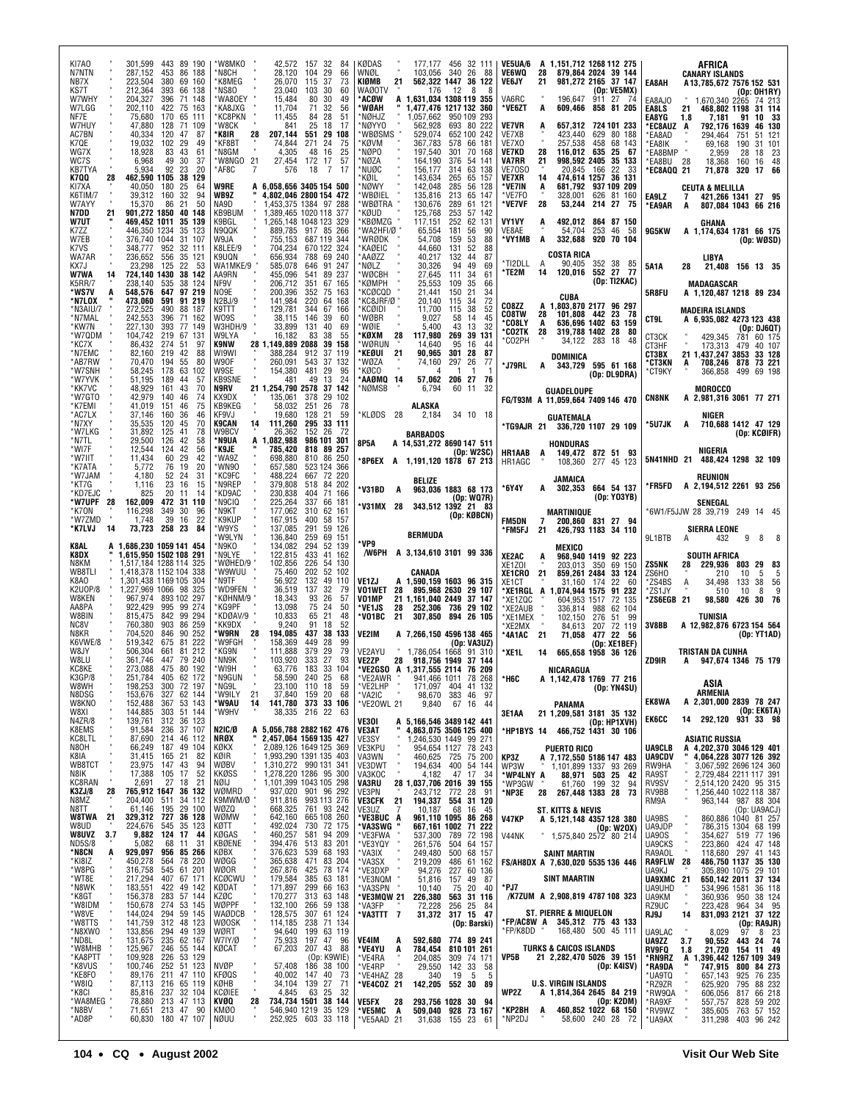| KI7A0<br>N7NTN                       | 443 89 190<br>301,599<br>287,152<br>86 188<br>453                                         | 'W8MKO<br>42,572<br>157 32<br>84<br>*N8CH<br>28,120<br>104<br>29<br>66                                                                               | KØDAS<br>177.177 456 32 111<br>WNØL<br>340<br>26<br>88<br>103.056                                                             | A 1,151,712 1268 112 275<br><b>VE5UA/6</b><br>VE6WQ<br>879.864 2024 39 144<br>28                                             | AFRICA<br><b>CANARY ISLANDS</b>                                                                                             |
|--------------------------------------|-------------------------------------------------------------------------------------------|------------------------------------------------------------------------------------------------------------------------------------------------------|-------------------------------------------------------------------------------------------------------------------------------|------------------------------------------------------------------------------------------------------------------------------|-----------------------------------------------------------------------------------------------------------------------------|
| NB7X<br>KS7T<br>W7WHY                | 223.504<br>380<br>69 160<br>212,364<br>393<br>66 138<br>204,327<br>71<br>396<br>148       | *K8MEG<br>26,070<br>115<br>37<br>73<br>*NS80<br>23,040<br>103<br>30<br>60<br>'WA80EY<br>15,484<br>80<br>30<br>49                                     | KIØMB<br>21<br>562,322 1447 36 122<br><b>WAØOTV</b><br>176<br>12<br>8<br>8<br>*ACØW<br>1.631.034 1308 119 355<br>A            | <b>VE6JY</b><br>21<br>981,272 2165 37 147<br>(Op: VE5MX)<br>VA6RC<br>27 74<br>196.647<br>911                                 | EA8AH<br>A13,785,672 7576 152 531<br>(Op: OH1RY)<br>EA8AJO<br>1,670,340 2265<br>74 213                                      |
| W7LGG<br>NF7E<br>W7HUY               | 202,110<br>422<br>75<br>163<br>170<br>65<br>75,680<br>111<br>47.880<br>128<br>71<br>109   | 'KA8JXG<br>11,704<br>32<br>71<br>56<br><b>'KC8PKN</b><br>11,455<br>28<br>84<br>51<br>'W8CK<br>25<br>841<br>18<br>17                                  | *WØAH<br>1,477,476 1217 132 360<br>*NØHJZ<br>1,057,662<br>950 109<br>293<br>*NØYYO<br>562,928<br>693 80 222                   | *VE6ZT<br>609,466 858 81 205<br>A<br><b>VE7VR</b><br>657.312 724 101 233<br>A                                                | EA8LS<br>468,802 1198<br>21<br>31 114<br>EA8YG<br>1.8<br>7,181<br>91<br>10 33<br>*EC8AUZ<br>792,176 1639<br>46 130<br>A     |
| AC7BN<br>K7QE<br>WG7X                | 40,334<br>120<br>47<br>87<br>19,032<br>102<br>29<br>49<br>18,928<br>43<br>61<br>83        | 28<br>207,144<br>551 29 108<br>*K8IR<br>'KF8BT<br>271<br>24<br>75<br>74,844<br>4,305<br>48<br>16<br>25<br>*N8GM                                      | *WBØSMS<br>529,074<br>652 100 242<br>*KØVM<br>367,783<br>66<br>578<br>181<br>*NØPO<br>197,540<br>301<br>70<br>168             | VE7XB<br>423,440<br>629 80 188<br>257,538<br>458<br>68 143<br>VE7X0<br>28<br>116,012 635<br>25<br>VE7KD<br>- 67              | *EA8AD<br>294,464<br>751<br>51 121<br>*EA8IK<br>69.168<br>190<br>31 101<br>*EA8BMP<br>23<br>2.959<br>28<br>18               |
| WC7S<br>KB7TYA<br>K7QQ               | 49<br>30<br>37<br>6,968<br>92<br>20<br>5,934<br>23<br>38 129<br>28<br>462,590 1105        | *W8NGO 21<br>57<br>27,454<br>172 17<br>*AF8C<br>576<br>18<br>7<br>17                                                                                 | *NØZA<br>164,190<br>376<br>54 141<br>*NUØC<br>63<br>156,177<br>314<br>138<br>143,634<br>65 157<br>'KØIL<br>265                | 21<br><b>VA7RR</b><br>998,592 2405<br>35 133<br>VE70S0<br>20,845<br>166<br>22<br>33<br>474,614 1257 36 131<br>VE7XR<br>14    | *EA8BU<br>48<br>28<br>18,368<br>160<br>16<br>*EC8AQQ 21<br>71,878<br>320<br>17<br>66                                        |
| KI7XA<br>K6TIM/7<br>W7AYY            | 40,050<br>25<br>64<br>180<br>39,312<br>160<br>32<br>94<br>21<br>50<br>15,370<br>86        | <b>W9RE</b><br>A 6,058,656 3405 154 500<br>WB9Z<br>4,802,046 2800 154 472<br>1.453.375 1384 97 288<br>NA9D                                           | *NØWY<br>142,048<br>285<br>56 128<br>*WBØIEL<br>135,816<br>213<br>65<br>147<br>*WBØTRA<br>289<br>61<br>130,676<br>121         | *VE7IN<br>681,792 937 109 209<br>A<br>*VE7F0<br>328,001<br>626 81 160<br>214 27<br>*VE7VF<br>28<br>53,244<br>- 75            | <b>CEUTA &amp; MELILLA</b><br>EA9LZ<br>421.266 1341 27 95<br>7<br>*EA9AR<br>807,084 1043 66 216<br>A                        |
| N7DD<br><b>W7UT</b>                  | 901.272 1850<br>40 148<br>21<br>35 139<br>469.452 1011<br>446,350 1234<br>35<br>123       | KB9BUM<br>1.389.465 1020 118 377<br>1,265,148 1048 123 329<br>K9BGL<br>N9QQK<br>889.785 917 85 266                                                   | *KØUD<br>125,768<br>253<br>57<br>142<br>*KBØMZG<br>62<br>117,151<br>252<br>131<br>*WA2HFI/Ø<br>65,554<br>181<br>90<br>56      | VY1VY<br>492,012<br>864 87 150<br>A<br>VE8AE<br>54,704<br>253<br>46<br>-58                                                   | GHANA                                                                                                                       |
| K7ZZ<br>W7EB<br>K7VS                 | 376,740 1044<br>31<br>107<br>952<br>32 111<br>348,777                                     | 755,153<br>W9JA<br>687 119 344<br>704,234<br>670 122 324<br>K8LEE/9<br>K9UQN                                                                         | *WRØDK<br>54,708<br>53<br>88<br>159<br>*KAØEIC<br>131<br>52<br>88<br>44,660<br>*AAØZZ<br>44<br>87                             | *VY1MB<br>A<br>332,688<br>920 70 104<br>COSTA RICA                                                                           | 9G5KW<br>A 1,174,634 1781 66 175<br>(Op: WØSD)                                                                              |
| WA7AR<br>KX7J<br><b>W7WA</b>         | 236,652<br>556<br>35 121<br>22<br>53<br>23,298<br>125<br>724,140 1430<br>38 142<br>14     | 656,934<br>788 69 240<br>WA1MKE/9<br>585,078<br>646<br>91 247<br>AA9RN<br>455,096<br>89 237<br>541                                                   | 40,217<br>132<br>MØLZ*<br>94<br>30,326<br>49<br>69<br>*WØCBH<br>27,645<br>111<br>34<br>61                                     | *TI2DLL<br>A<br>90,405 352 38 85<br>'TE2M<br>120,016 552 27 77<br>14<br>(0p:TI2KAC)                                          | LIBYA<br>21,408<br>5A1A<br>156 13 35<br>28                                                                                  |
| K5RR/7<br>*WS7V<br>*N7LOX            | 238,140<br>535<br>38<br>124<br>548,576<br>647<br>97 219<br>91 219<br>473.060<br>591       | 206,712<br>351<br>67 165<br>NF9V<br>352<br>NO9E<br>200,396<br>75 163<br>220<br>N2BJ/9<br>141,984<br>64 168                                           | *KØMPH<br>25,553<br>109<br>35<br>66<br>*KCØCQD<br>21<br>21,441<br>150<br>34<br>72<br>*KC8JRF/Ø<br>20.140<br>115<br>34         | CUBA<br>CO8ZZ<br>A 1,803,870 2177 96 297                                                                                     | MADAGASCAR<br>5R8FU<br>A 1,120,487 1218 89 234                                                                              |
| *N3AIU/7<br>*N7MAL<br>*KW7N          | 272,525<br>490<br>88 187<br>242,553<br>396<br>162<br>71<br>227,130<br>393<br>77 149       | 344<br>K9TTT<br>129,781<br>67 166<br>W09S<br>146<br>39<br>38,115<br>60<br>W3HDH/9<br>33,899<br>131<br>40<br>69                                       | *KCØIDI<br>11.700<br>38<br>52<br>115<br>*WØBR<br>9,027<br>58<br>14<br>45<br>32<br>*WØIE<br>5,400<br>43<br>13                  | CO8TW<br>28<br>23<br>101,808 442<br>- 78<br>*CO8LY<br>636,696 1402<br>63 159<br>A<br>*CO2TK<br>28<br>319,788 1402 28<br>- 80 | <b>MADEIRA ISLANDS</b><br>CT9L<br>A 6,935,082 4273 123 438<br>(Op: DJ6QT)                                                   |
| *W7QDM<br>*KC7X<br>*N7EMC            | 219<br>67 131<br>104,742<br>86.432<br>274<br>51<br>97<br>219<br>88<br>82,160<br>42        | 83<br>38<br>55<br>W9LYA<br>16,182<br>28 1,149,889 2088<br>K9NW<br>39 158<br>WI9WI<br>388,284<br>912<br>37 119                                        | 39<br>*KØXM<br>117,980<br>269<br>131<br>28<br>*WØRUN<br>14.640<br>95<br>16<br>44<br>*KEØUI<br>21<br>90,965<br>301<br>87<br>28 | *CO2PH<br>34,122 283 18<br>-48<br>DOMINICA                                                                                   | CT3CK<br>429,345<br>781<br>60 175<br>CT3HF<br>173,313<br>40 107<br>479<br>CT3BX<br>21 1,437,247 3853<br>33 128              |
| *AB7RW<br>*W7SNH<br>*W7YVK           | 70,470<br>55<br>80<br>194<br>58,245<br>178<br>63<br>102<br>189<br>57<br>51,195<br>44      | W90F<br>260,091<br>543<br>37 132<br>W9SE<br>154,380<br>481<br>29<br>95<br><b>KB9SNE</b><br>49<br>13<br>24<br>481                                     | *WØZA<br>74,160<br>297<br>26<br>77<br>*KØCO<br>4<br>-1<br>-1<br>-1<br>*AAØMQ 14<br>57,062<br>206<br>27<br>76                  | *J79RL<br>343,729 595 61 168<br>A<br>(Op: DL9DRA)                                                                            | *СТЗКN<br>708,246<br>878<br>73 221<br>A<br>*СТ9КҮ<br>366,858<br>499 69 198                                                  |
| *KK7VC<br>*W7GTO<br>*K7EMI           | 48,929<br>161<br>43<br>70<br>42,979<br>140<br>46<br>74<br>41,019<br>151<br>75<br>46       | 21 1,254,790 2578<br>37 142<br>N9RV<br>135,061<br>KX9DX<br>378<br>29 102<br>KB9KEG<br>58,032<br>251<br>26<br>78                                      | *NØMSB<br>6,794<br>60<br>11<br>-32<br>ALASKA                                                                                  | GUADELOUPE<br>FG/T93M A 11,059,664 7409 146 470                                                                              | <b>MOROCCO</b><br><b>CN8NK</b><br>A 2.981.316 3061 77 271                                                                   |
| *AC7LX<br>*N7XY<br>*W7LKG            | 37,146<br>160<br>36<br>46<br>70<br>35,535<br>120<br>45<br>31,892<br>125<br>41<br>78       | KF9VJ<br>19,680<br>128<br>21<br>59<br>295 33 111<br><b>K9CAN</b><br>14<br>111,260<br>W9BCV<br>26,362<br>152 26<br>-72                                | *KLØDS 28<br>34 10 18<br>2,184<br><b>BARBADOS</b>                                                                             | GUATEMALA<br>*TG9AJR 21 336,720 1107 29 109                                                                                  | NIGER<br>*5U7JK<br>710,688 1412 47 129<br>A<br>(Op: KCØIFR)                                                                 |
| *N7TL<br>*WI7F<br>*W7IIT             | 29,500<br>126<br>42<br>58<br>12,544<br>42<br>56<br>124<br>11,434<br>29<br>42<br>60        | *N9UA<br>A 1,082,988<br>986 101 301<br>۴K9JE<br>785,420<br>818 89 257<br>810 86 250<br>'WA9Z<br>698,880                                              | 8P5A<br>A 14,531,272 8690 147 511<br>(Op: W2SC)<br>*8P6EX A 1,191,120 1878 67 213                                             | HONDURAS<br><b>HR1AAB</b><br>149,472 872 51 93<br>A                                                                          | NIGERIA<br>5N41NHD 21<br>488,424 1298 32 109                                                                                |
| *K7ATA<br>*W7JAM<br>*KT7G            | 19<br>20<br>5,772<br>76<br>52<br>24<br>31<br>4,180<br>23<br>1,116<br>16<br>15             | *WN90<br>523 124 366<br>657,580<br>*KC9FC<br>488,224<br>667 72 220<br>*N9REP<br>379,808<br>518 84 202                                                | BELIZE                                                                                                                        | HR1AGC<br>108,360 277 45 123<br>JAMAICA                                                                                      | REUNION<br>*FR5FD<br>A 2,194,512 2261 93 256                                                                                |
| *KD7EJC<br>*W7UPF<br>*K70N           | 20<br>825<br>11<br>14<br>162,009<br>472<br>31 110<br>28<br>349<br>30<br>96<br>116,298     | *KD9AC<br>230,838<br>404<br>71 166<br>*N9CIQ<br>225,264<br>337<br>66 181<br>177,062<br>*N9KT<br>310<br>62 161                                        | *V31BD<br>963,036 1883 68 173<br>A<br>(Op: WQ7R)<br>*V31MX 28<br>343,512 1392 21 83                                           | 664 54 137<br>*6Y4Y<br>302,353<br>A<br>(0p: Y03YB)<br>MARTINIQUE                                                             | SENEGAL<br>6W1/F5JJW 28 39,719 249 14 45*                                                                                   |
| *W7ZMD<br>*K7LVJ                     | 39<br>22<br>1,748<br>16<br>84<br>14<br>73,723<br>258 23                                   | *K9KUP<br>167,915<br>400<br>58 157<br>*W9YS<br>291<br>137,085<br>59 126<br>'W9LYN<br>136,840<br>259<br>69<br>151                                     | (Op: KØBCN)<br><b>BERMUDA</b>                                                                                                 | <b>FM5DN</b><br>7<br>200,860 831 27 94<br>426,793 1183 34 110<br>*FM5FJ<br>21                                                | SIERRA LEONE<br>9L1BTB<br>432<br>9<br>8<br>8<br>A                                                                           |
| K8AL<br>K8DX<br>N8KM                 | A 1,686,230 1059 141 454<br>1,615,950 1502 108 291<br>1,517,184 1288 114 325              | *N9KO<br>134,082<br>294<br>52 139<br>122,815<br>433<br>*N9LYE<br>41 162<br>*WØHED/9<br>226<br>102,856<br>54 130                                      | *VP9<br>/W6PH A 3,134,610 3101 99 336                                                                                         | MEXICO<br>XE2AC<br>968,940 1419 92 223<br>A<br>69 150                                                                        | SOUTH AFRICA<br>ZS5NK<br>229,936<br>29<br>28<br>803<br>- 83                                                                 |
| WB8TLI<br>K8A0<br><b>K2U0P/8</b>     | 1,418,378 1152 104 338<br>1,301,438 1169 105<br>304<br>1,227,969 1066 98 325              | 'W9WUU<br>75,460<br>202<br>52 102<br>*N9TF<br>56,922<br>132<br>110<br>49<br>*WD9FEN<br>36,519<br>137<br>32<br>79                                     | CANADA<br>VE1ZJ<br>A 1,590,159 1603 96 315<br><b>VO1WET</b><br>28<br>895,968 2630<br>29 107                                   | XE1Z0I<br>203,013 350<br>859,261 2484<br>XE1CRO<br>-21<br>33 124<br>XE1CT<br>31,160<br>174<br>22<br>- 60                     | ZS6HO<br>210<br>5<br>10<br>-5<br>*ZS4BS<br>Α<br>34,498<br>133<br>38<br>56<br>9<br>*ZS1JY<br>10<br>510<br>8                  |
| W8KEN<br>AA8PA<br>W8BIN              | 967,974<br>893 102 297<br>922,429<br>995<br>99 274<br>815,475<br>842<br>99 294            | *KØHNM/9<br>93<br>26<br>18,343<br>57<br>*KG9PF<br>13,098<br>75<br>24<br>50<br>KDØAV/9<br>10,833<br>21<br>65<br>48                                    | VO1MP<br>21 1.161.040 2449<br>37 147<br>*VE1JS<br>28<br>252,306<br>736 29 102<br>*VO1BC<br>21<br>307,850<br>894 26 105        | *XE1RGL A<br>1,074,944 1575<br>91 232<br>*XE1ZQC<br>604,953 1517<br>72 135<br>*XE2AUB<br>336,814<br>988<br>62 104<br>*XE1MEX | *ZS6EGB 21<br>30 76<br>98,580<br>426                                                                                        |
| NC8V<br>N8KR<br>K6VWE/8              | 760,380<br>903<br>86<br>259<br>704,520<br>90<br>252<br>846<br>81<br>222<br>519,342<br>675 | 'KK9DX<br>9,240<br>91<br>52<br>18<br>28<br>194,085<br>437<br>'W9RN<br>38 133<br>'W9FGH<br>158,369<br>449<br>28<br>99                                 | VE2IM<br>A 7.266.150 4596 138 465<br>(Op: VA3UZ)                                                                              | 276<br>102.150<br>51<br>99<br>*XE2MX<br>84,613<br>207<br>72 119<br>*4A1AC<br>21<br>71,058 477 22<br>- 56                     | TUNISIA<br>3V8BB<br>A 12,982,876 6723 154 564<br>(Op: YT1AD)                                                                |
| W8JY<br>W8LU                         | 506,304<br>661<br>81<br>212<br>361,746<br>447<br>79 240                                   | 379<br>*KG9N<br>111,888<br>29<br>79<br>333<br>93<br>*NN9K<br>103,920<br>27<br>*WI9H                                                                  | VE2AYU<br>1,786,054 1668 91 310<br><b>VE2ZP</b><br>28 918,756 1949 37 144                                                     | (Op: XE1BEF)<br>*XE1L<br>14<br>665,658 1958 36 126                                                                           | TRISTAN DA CUNHA<br>ZD9IR<br>A 947,674 1346 75 179                                                                          |
| KC8KE<br>K3GP/8<br>W8WH              | 80 192<br>273,088<br>475<br>251,784 405 62 172<br>72 197<br>198,253<br>300                | 183<br>63,776<br>33 104<br>N9GUI<br>58,590 240 25<br>68<br>*NG9L<br>23,100 110 18<br>59                                                              | *VE2GSO A 1,317,555 2114 76 209<br>VE2AWR<br>941,466 1011 78 268<br>*VE2LHP<br>171,097 404 41 132                             | NICARAGUA<br>*H6C<br>A 1,142,478 1769 77 216<br>(Op: YN4SU)                                                                  | ASIA<br>ARMENIA                                                                                                             |
| N8DSG<br>W8KNO<br>W8XI<br>N4ZR/8     | 327 62 144<br>153,676<br>53 143<br>152,488<br>367<br>144,885<br>51 144<br>303             | 21<br>37,840 159 20<br>*W9ILY<br>68<br>141,780 373 33 106<br>*W9AU<br>14<br>38,335 216 22 63<br>*W9HV                                                | *VA2IC<br>98,670<br>383 46<br>- 97<br>9,840<br>*VE20WL 21<br>67 16 44                                                         | PANAMA<br>21 1,209,581 3181 35 132<br>3E1AA                                                                                  | <b>EK8WA</b><br>A 2,301,000 2839 78 247<br>(Op: EK6TA)<br><b>EK6CC</b><br>292,120 931 33 98<br>14                           |
| K8EMS<br>KC8LTL                      | 139,761<br>312<br>36 123<br>$\frac{37}{46}$ 107<br>236<br>214<br>91,584<br>87,690         | <b>N2IC/Ø</b><br>A 5,056,788 2882 162 476<br>NRØX<br>2,457,064 1569 135 427                                                                          | A 5,166,546 3489 142 441<br>"4,863,075 3506 125 400<br>VE3OI<br>VE3AT<br>1,246,530 1449 99 271<br>VE3SY                       | (Op: HP1XVH)<br>*HP1BYS 14 466,752 1431 30 106                                                                               | ASIATIC RUSSIA                                                                                                              |
| N8OH<br>K8IA<br>WB8TCT               | 66,249<br>187<br>49 104<br>31,415<br>165<br>21<br>82<br>23,975<br>147<br>43<br>94         | KØKX<br>2,089,126 1649 125 369<br>1,993,290 1391 135 403<br>1,310,272 990 131 341<br>1,278,220 1286 95 300<br>1,101,399 1043 105 298<br>KØIR<br>WØBV | 954,654 1127 78 243<br>VE3KPU<br>460,625 725 75 200<br>194,634 400 54 144<br>VA3WN<br>VE3DWT<br>VA3KOC<br>194,634<br>4,182    | <b>PUERTO RICO</b><br>KP3Z<br>A 7,172,550 5186 147 483<br>WP3W<br>1,101,899 1337 93 269                                      | <b>UA9CLB</b><br>A 4,202,370 3046 129 401<br><b>UA9CDV</b><br>4,064,228 3077 126 392<br>RW9HA<br>3,067,592 2696 124 360     |
| N8IK<br>KC8RAN<br>K3ZJ/8             | 17,388<br>17<br>52<br>105<br>18<br>2,691<br>27<br>21<br>765,912 1647<br>36 132<br>28      | <b>KKØSS</b><br>NØIJ<br>WØMRD<br>937,020 901 96 292                                                                                                  | 47 17<br>34<br><b>VA3RU</b><br>28 1,037,706 2016 39 155<br>VE3PN<br>243,712 772<br>28<br>91                                   | *WP4LNY A<br>88,971 503<br>-25<br>42<br>*WP3GW<br>61,760 199 32<br><b>267,448 1383 28</b><br>94<br>*NP3E<br>28<br>-73        | RA9ST<br>2,729,484 2211 117 391<br>RV9SV<br>2,514,120 2420 95 315<br>1,256,440 1022 118 387<br>RV9BB                        |
| N8MZ<br>N8TT<br><b>W8TWA</b><br>-21  | 204,400<br>511<br>34 112<br>29 100<br>61,146<br>195<br>329,312 727<br>36 128              | 911,816<br>993 113 276<br>761 93 242<br>K9MWM/Ø "<br>668,325<br>WØZQ<br>665 108 260<br>WØMW<br>642,160                                               | <b>VE3CFK</b><br>194,337 554<br>31 120<br>21<br>VE3UZ<br>*Ve3buc<br>10,187<br>68<br>7<br>16<br>45<br>961,110 1095 86 268<br>A | ST. KITTS & NEVIS<br><b>V47KP</b><br>A 5,121,148 4357 128 380                                                                | 963,144 987 88 304<br>RM9A<br>(Op: UA9ACJ)<br>860,886 1040 81 257<br>UA9BS                                                  |
| W8UD<br>W8UVZ 3.7<br>ND5S/8<br>*N8CN | 545<br>35 123<br>224,676<br>9,882 124<br>17<br>44<br>5,082<br>68<br>31<br>11              | 730 72 175<br>492,024<br>KØTT<br>460,257<br>581 94 209<br>KØGAS<br><b>KBØENE</b><br>394,476<br>513 83 201                                            | *VA3SWG<br>667,161 1002 71 222<br>*VE3FWA<br>537,300 789<br>72 198<br>*VE3YQY<br>504 64 157<br>261,576                        | (Op: W20X)<br>V44NK<br>1,575,840 2572 80 214                                                                                 | UA9JDP<br>786,315 1304<br>68 199<br><b>UA90S</b><br>354,627 519 77 196<br>UA9CKS<br>223,860 424 47 148                      |
| *KI8IZ<br>*W8PG                      | 929,097<br>956 85 266<br>A<br>78 220<br>564<br>450,278<br>61 201<br>316,758<br>545        | 376,623<br>539 68 193<br>KØBX<br>471<br>83 204<br>365,638<br>WØGG<br>267,876<br>425<br>78 174<br>WØOR                                                | *VA3IX<br>*VA3SX<br>*VE3DXP<br>68 157<br>249,480<br>500<br>219,209<br>486<br>61 162<br>94,276<br>227 60 136                   | <b>SAINT MARTIN</b><br>FS/AH8DX A 7,630,020 5535 136 446                                                                     | 118,680 297 41 143<br>RA9AOL<br>486,750 1137<br>305,890 1075<br><b>RA9FLW</b><br>28<br>35 130<br>UA9KJ<br>29 101            |
| *WT8E<br>*N8WK<br>*K8GT              | 217,294<br>407<br>67 171<br>183,551<br>422<br>49 142<br>156,378<br>283<br>57 144          | <b>KCØCWU</b><br>179,584<br>385<br>63 181<br>171,897<br>299<br>KØDAT<br>66 163<br>170,277<br>63 148<br>KZØC<br>313                                   | *VE3NQM<br>51,816<br>157 49<br>87<br>*VA3SPN<br>75<br>20<br>10,140<br>40<br>*VE3MQW 21<br>563 31 116<br>226,380               | <b>SINT MAARTIN</b><br>*PJ7<br>/K7ZUM A 2,908,819 4787 108 323                                                               | <b>UA9XMC</b><br>650,142 2011<br>37 134<br>-21<br>UA9UHD<br>534,996 1581<br>360,936 950<br>36 118<br>UA9KM<br>950<br>38 124 |
| *W8IDM<br>*W8VE<br>*W8TTS            | 274<br>53 145<br>150,678<br>144,024<br>294<br>141,759<br>312 48 123                       | WØPPF<br>59 138<br>61 124<br>132,100<br>266<br>128,575<br>WAØDCB<br>307<br>WØOSK<br>114,185<br>238 71 134                                            | *VA3FP<br>25<br>72,228<br>256<br>-84<br>*VA3TTT 7<br>31,372 317 15 47<br>(Op: Barski)                                         | ST. PIERRE & MIQUELON<br>*FP/AC8W A 345,312 775 43 133                                                                       | RZ9UC<br>223,428 964 34 95<br>831,093 2121 37 122<br>RJ9J<br>14<br>(Op: RA9JR)                                              |
| *N8XWO<br>*ND8L<br>*W8MHB            | 133,856<br>49 139<br>294<br>131,675<br>235<br>62 167<br>55 144<br>246                     | 94,640<br>WØRT<br>199<br>63 119<br>75,933<br>197<br>47<br>W7IY/Ø<br>96<br>67,203<br>207 43 88<br>KØCAT                                               | VE4IM<br>592,680 774 89 241<br>A<br>*VE4YU<br>810 101 261<br>A<br>784,454                                                     | *FP/K8DD<br>168,480 500 45 111<br><b>TURKS &amp; CAICOS ISLANDS</b>                                                          | 8,029<br>8 23<br>UA9LAC<br>97<br>UA9ZZ<br>90,552<br>3.7<br>443 24 74<br>RV9FQ<br>21,720<br>154 11 49<br>1.8                 |
| *KA8PTT<br>*K8VUS<br>*KE8FO          | 125,967<br>109,928<br>53 129<br>226<br>100,746<br>252 51 123<br>47 110<br>89,176<br>211   | (Op: K9WIE)<br><b>NVØP</b><br>57,408<br>186 38 100<br><b>KFØQS</b><br>40,002<br>147<br>40<br>73                                                      | *VE4RA<br>204,085<br>309 74 171<br>*VE4RP<br>29,550<br>142<br>33<br>58<br>19<br>340<br>5<br>5                                 | VP5B<br>21 2,282,470 5026 39 151<br>(Op: K4ISV)                                                                              | *RN9RZ<br>1,396,442 1267 109 349<br>A<br>*RA9DA<br>747,915<br>800<br>84 273<br>76 235<br>*UA9TQ<br>657,143<br>925           |
| *W8IQ<br>*K8CI<br>*WA8MEG            | 216<br>65 119<br>87,113<br>32 104<br>237<br>85,816<br>213 47 113<br>78,880                | 139<br>27<br>71<br>KØHB<br>34,104<br>63<br><b>KCØIEE</b><br>4,845<br>25<br>32<br>734,734 1501 38 144<br>KVØQ<br>28                                   | *VE4HAZ 28<br>*VE4COZ 21<br>142,205 552 30<br>89                                                                              | <b>U.S. VIRGIN ISLANDS</b><br>WP2Z<br>A 1,814,364 2645 84 219<br>$(0p:K2\overline{DM})$                                      | 88 232<br>*RZ9ZR<br>625,920<br>795<br>*RW9QA<br>606,056<br>817<br>66 218                                                    |
| *N8BV<br>*AD8P                       | 71,651 213 47 90<br>60,830 180 47 107                                                     | KMØO<br>546,940 1219 35 129<br>NØUU<br>252,925 603 33 118                                                                                            | 293,756 1028 30 94<br>VE5FX<br>28<br>*VE5MC<br>A<br>509,040 928 73 167<br>*VE5AAD 21<br>31,638 155 23 61                      | 460,852 1022 68 150<br>*KP2BH<br>A<br>*NP2DJ<br>58,600 240 28 72                                                             | *RA9XF<br>557,757<br>59 202<br>828<br>*RV9WZ<br>385,605<br>763 57 152<br>311,298<br>403 96 242<br>*UA9AX                    |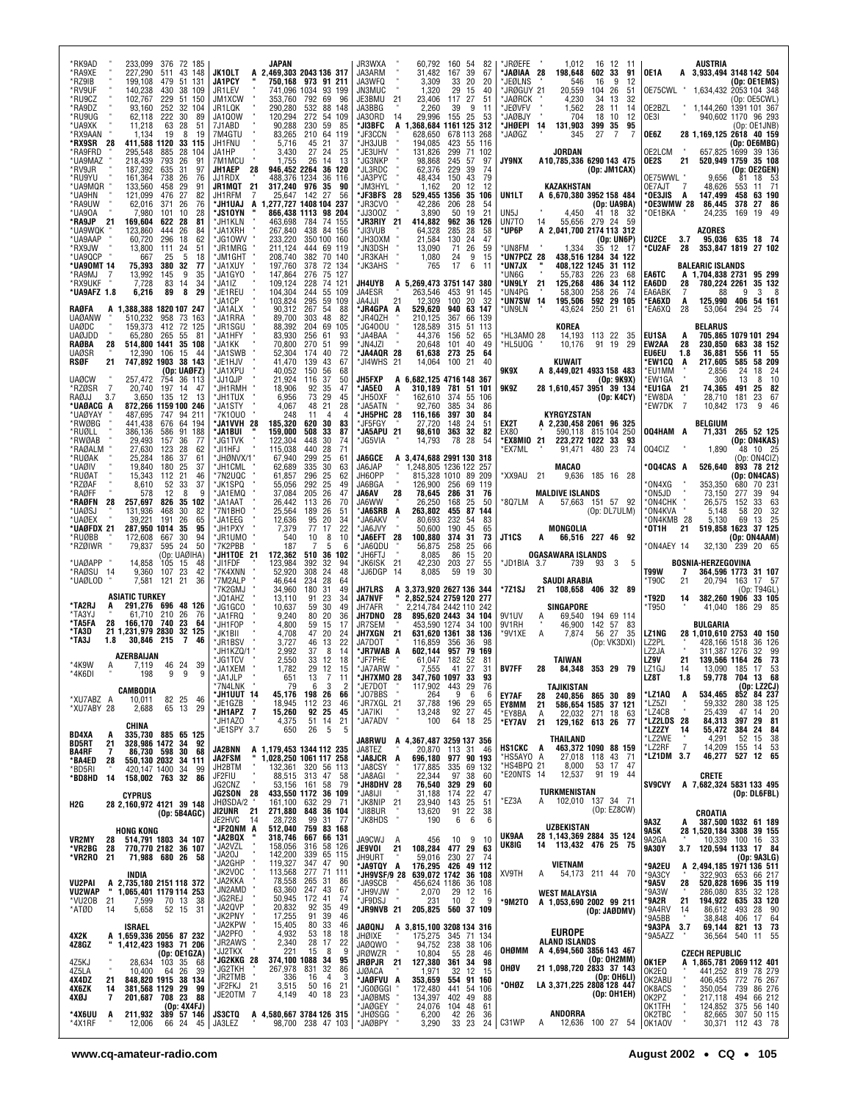| *RK9AD<br>233,099 376 72 185<br>*RA9XE<br>227,290<br>511<br>43<br>148<br>*RZ9IB<br>199,108<br>479<br>51 131<br>*RV9UF<br>140.238<br>430<br>38<br>109<br>*RU9CZ<br>102,767<br>229<br>51<br>150         | JAPAN<br>JK10LT<br>A 2,469,303 2043 136 317<br>JA1PCY<br>750,168 973 91 211<br>JR1LEV<br>741,096 1034<br>93 199<br>353,760<br>JM1XCW<br>792<br>69<br>96                                                        | JR3WXA<br>60,792<br>JA3ARM<br>31,482<br>167<br>JA3WFQ<br>3,309<br>33<br>JN3MUC<br>1,320<br>29<br>JE3BMU<br>21<br>23,406<br>117                               | 160 54<br>82<br>39<br>67<br>20<br>20<br>15<br>40<br>27<br>51 | *JRØEFE<br>1,012<br>16 12<br>- 11<br>*JAØIAA 28<br>602 33<br>198,648<br>91<br>*JEØLNS<br>9<br>12<br>546<br>16<br>*JRØGUY 21<br>20,559<br>104 26<br>51<br>*JAØRCK<br>4,230<br>34<br>32<br>13        | <b>AUSTRIA</b><br>A 3,933,494 3148 142 504<br>OE1A<br>(Op: OE1EMS)<br>OE75CWL<br>1,634,432 2053 104 348<br>(Op: OE5CWL)                                                                                                   |
|-------------------------------------------------------------------------------------------------------------------------------------------------------------------------------------------------------|----------------------------------------------------------------------------------------------------------------------------------------------------------------------------------------------------------------|--------------------------------------------------------------------------------------------------------------------------------------------------------------|--------------------------------------------------------------|----------------------------------------------------------------------------------------------------------------------------------------------------------------------------------------------------|---------------------------------------------------------------------------------------------------------------------------------------------------------------------------------------------------------------------------|
| *RA9DZ<br>93,160<br>252<br>32<br>104<br>*RU9UG<br>62,118<br>222<br>30<br>89<br>*UA9XK<br>11,218<br>63<br>28<br>51<br>*RX9AAN<br>1,134<br>19<br>8<br>19<br>*RX9SR<br>33<br>28<br>411,588 1120<br>115   | 290,280<br>532<br>JR1LQK<br>88 148<br>JA1QOW<br>120,294<br>272<br>54 109<br>7J1ABD<br>90,288<br>230<br>59<br>85<br>7M4GTU<br>83.265<br>210<br>64<br>119<br>21<br>JH1FNU<br>5,716<br>45<br>37                   | JA3BBG<br>2,260<br>39<br>JA30RD<br>29,996<br>155<br>14<br>*JI3BFC<br>1,368,684 1161 125 312<br>A<br><b>'JF3CCN</b><br>628.650<br>'JH3JUB<br>194,085<br>423   | 9<br>11<br>25<br>53<br>678 113 268<br>55 116                 | 1,562<br>*JEØVFV<br>28<br>11<br>14<br>*JAØBJY<br>12<br>704<br>18<br>10<br>*JHØEPI 14<br>131,903<br>399<br>-35<br>95<br>'JAØGZ<br>345<br>27<br>7                                                    | OE2BZL<br>1,144,260<br>1391 101 367<br>OE3I<br>940,602 1170 96 293<br>(Op: OE1JNB)<br>OE6Z<br>28 1,169,125 2618 40 159<br>(Op: OE6MBG)                                                                                    |
| *RA9FRD<br>295,548<br>885<br>28<br>104<br>*UA9MAZ<br>218,439<br>793<br>26<br>91<br>635<br>97<br>*RV9JR<br>187,392<br>31<br>*RU9YU<br>161,364<br>738<br>26<br>76                                       | 27<br>24<br>25<br>JA1HP<br>3,430<br>26<br>14<br>7M1MCU<br>1,755<br>-13<br>28<br>946,452 2264<br>36 120<br>JH1AEP<br>JJ1RDX<br>488,376 1234<br>36<br>116                                                        | <b>'JE3UHV</b><br>299<br>131,826<br>*JG3NKP<br>98,868<br>245<br>229<br>*JL3RDC<br>62,376<br>`JA3PYC<br>48.434<br>150                                         | 71 102<br>97<br>57<br>39<br>74<br>79<br>43                   | JORDAN<br><b>JY9NX</b><br>A10,785,336 6290 143 475<br>(Op: JM1CAX)                                                                                                                                 | OE2LCM<br>657,825 1699<br>39 136<br>OE2S<br>21<br>520,949 1759 35 108<br>(Op: OE2GEN)<br>OE75WWL<br>9.656<br>18 53<br>81                                                                                                  |
| *UA9MQR<br>133,560<br>458<br>29<br>91<br>*UA9HN<br>121,099<br>27<br>82<br>476<br>*RA9UW<br>62,016<br>371<br>76<br>26<br>7,980<br>28<br>*UA90A<br>101<br>10<br>*RA9JP 21<br>169.604<br>622<br>28<br>81 | JR1MQT<br>317,240<br>976<br>-21<br>35<br>90<br>JH1RFM<br>25,647<br>142<br>27<br>56<br>7<br>*JH1UAJ<br>A 1,277,727 1408 104 237<br>*JS10YN<br>866.438 1113<br>98<br>204<br>*JH1KLN<br>463,698<br>784<br>74 155  | *JM3HYL<br>1,162<br>20<br>*JF3BFS<br>-28<br>529,455 1356<br><b>'JR3CVO</b><br>42,286<br>206<br>*JJ300Z<br>3,890<br>50<br><b>'JR3RIY 21</b><br>414,882<br>962 | 12<br>12<br>35<br>106<br>28<br>54<br>21<br>19<br>36 126      | KAZAKHSTAN<br>UN1LT<br>A 6,670,380 3952 158 484<br>(Op: UA9BA)<br>UN5J<br>4,450<br>41<br>18<br>-32<br>UN7TO<br>14<br>55,656<br>279<br>24<br>59                                                     | OE7AJT<br>48.626<br>553<br>-71<br>-11<br>*OE3JIS<br>147,499<br>458<br>63 190<br>A<br><b>OE3WMW 28</b><br>27<br>86,445<br>378<br>- 86<br>'OE1BKA<br>24,235<br>169<br>19<br>49                                              |
| *UA9WQK<br>123,860<br>444<br>26<br>84<br>*UA9AAP<br>60,720<br>296<br>18<br>62<br>*RX9JW<br>13,800<br>24<br>111<br>51                                                                                  | 267,840<br>438<br>84 156<br>*JA1XRH<br>233,220<br>350 100 160<br>*JG10WV<br>*JR1MRG<br>211,124<br>444 69 119                                                                                                   | 285<br>'JI3VUB<br>64,328<br>JH30XM<br>21,584<br>130<br><b>'JN3DSH</b><br>13,090<br>71                                                                        | 28<br>58<br>24<br>47<br>26<br>59                             | *UP6P<br>A 2,041,700 2174 113 312<br>(Op: UN6P)<br>*UN8FM<br>1,334<br>12 17<br>35                                                                                                                  | AZORES<br><b>CU2CE</b><br>3.7<br>95,036<br>635 18 74<br>*CU2AF<br>28<br>353,847 1819 27 102                                                                                                                               |
| *UA9QCP<br>667<br>25<br>5<br>18<br>*UA90MT 14<br>75,393<br>380<br>32<br>77<br>*RA9MJ<br>13,992<br>145<br>g<br>35<br>7<br>7,728<br>*RX9UKF<br>83<br>14<br>34<br>89<br>8<br>29<br>*UA9AFZ 1.8<br>6,216  | 382<br>70 140<br>*JM1GHT<br>208,740<br>*JA1XUY<br>197,760<br>378<br>72 134<br>*JA1GY0<br>147,864<br>276<br>75 127<br>*JA1IZ<br>109,124<br>228<br>74 121<br>*JE1REU<br>104,304<br>244<br>55 109                 | 24<br>*JR3KAH<br>1,080<br>ʻJK3AHS<br>765<br>17<br>JH4UYB<br>A 5,269,473 3751 147 380<br>JA4ESR<br>263,546<br>453                                             | 9<br>15<br>6<br>11<br>91 145                                 | *UN7PCZ 28<br>438,516 1284<br>34 122<br>*UN7JX<br>408,122 1245<br>31 112<br>'UN6G<br>55,783<br>226<br>23<br>68<br>'UN9LY<br>21<br>125,268<br>486<br>34 112<br>*UN4PG<br>258<br>26<br>58,300<br>-74 | <b>BALEARIC ISLANDS</b><br>EA6TC<br>A 1,704,838 2731<br>95 299<br>780,224 2261<br>EA6DD<br>28<br>35 132<br>88<br>EA6ABK<br>7<br>9<br>3<br>8                                                                               |
| A 1,388,388 1820 107 247<br>RAØFA<br><b>UAØANW</b><br>510,232<br>958<br>73<br>163<br><b>UAØDC</b><br>412<br>72 125<br>159,373                                                                         | *JA1CP<br>295<br>103,824<br>59 109<br>*JA1ALX<br>90,312<br>267<br>54<br>88<br>303<br>'JA1RRA<br>89,700<br>48<br>82<br>204<br>69<br>*JR1SGU<br>88,392<br>105                                                    | JA4JJI<br>21<br>12,309<br>100<br>'JR4GPA<br>529,620<br>A<br>'JR4QZH<br>367<br>210,125<br>'JG400U<br>128,589<br>315                                           | 20<br>32<br>940 63 147<br>66 139<br>51 113                   | *UN7SW<br>592<br>29 105<br>195,506<br>-14<br>21<br>*UN9LN<br>43,624<br>250<br>-61<br>KOREA                                                                                                         | 406<br>*EA6XD<br>125,990<br>54 161<br>A<br>EA6XQ<br>28<br>53,064<br>294<br>25<br>- 74<br><b>BELARUS</b>                                                                                                                   |
| 65,280<br>265<br><b>UAØJDD</b><br>55<br>-81<br>35 108<br>28<br>514,800 1441<br>RAØBA<br><b>UAØSR</b><br>12.390<br>106<br>15<br>44<br>747,892 1903 38 143<br>RSØF<br>21<br>(Op: UAØFZ)                 | 83,930<br>256<br>61<br>93<br>*JA1HFY<br>270<br>51<br>99<br>70,800<br>*JA1KK<br>72<br>*JA1SWB<br>52,304<br>174<br>40<br>*JE1HJV<br>41,470<br>139<br>43<br>67<br>150<br>*JA1XPU<br>40,052<br>56<br>68            | *JA4BAA<br>44,376<br>156<br>*JN4JZI<br>20,648<br>101<br>*JA4AQR 28<br>61,638<br>'JI4WHS<br>-21<br>14,064<br>100                                              | 52<br>65<br>40<br>49<br>273 25<br>64<br>21<br>40             | *HL3AMO 28<br>14,193 113 22<br>35<br>91 19<br>29<br>*HL5UOG<br>10,176<br>KUWAIT<br>9K9X<br>A 8,449,021 4933 158 483                                                                                | EU1SA<br>705,865 1079 101 294<br>A<br>230,850<br>EW2AA<br>28<br>683<br>38 152<br><b>EU6EU</b><br>1.8<br>36.881<br>556<br>11<br>- 55<br><b>EW1CQ</b><br>217,605<br>585<br>58 209<br>A<br>*EU1MM<br>2,856<br>24<br>18<br>24 |
| <b>UAØCW</b><br>257,472<br>754<br>36 113<br>*RZØSR<br>7<br>20,740<br>197<br>14<br>-47<br>RAØJJ<br>3.7<br>3,650<br>135<br>-12<br>13                                                                    | *JJ1QJP<br>21,924<br>37<br>50<br>116<br>*JH1RMH<br>18,906<br>92<br>35<br>47<br>73<br>29<br>*JH1TUX<br>6,956<br>45                                                                                              | JH5FXP<br>A 6,682,125 4716 148 367<br>*JA5E0<br>310,189<br>781<br>A<br>'JH5OXF<br>162,610<br>374                                                             | 51 101<br>55 106                                             | (Op: 9K9X)<br>9K9Z<br>28 1,610,457 3951 39 134<br>(Op: K4CY)                                                                                                                                       | EW1GA<br>10<br>306<br>13<br>8<br>21<br>25<br>*EU1GA<br>74,365<br>491<br>82<br>'EW8DA<br>28.710<br>181<br>23<br>67                                                                                                         |
| *UAØACG A<br>872,266 1159 100 246<br>*UAØYAY<br>487,695<br>747<br>94 211<br>*RWØBG<br>441,438<br>676<br>64<br>194<br>91<br>*RUØLL<br>386,136<br>586<br>188<br>*RWØAB<br>29,493<br>157<br>36<br>77     | 4,067<br>48<br>21<br>28<br>JA1STY<br>*7K10U0<br>248<br>11<br>$\overline{4}$<br>4<br>*JA1VVH 28<br>185,320<br>30<br>620<br>83<br>*JA1BUI<br>159,000<br>508<br>33<br>87<br>*JG1TVK<br>122,304<br>448<br>30<br>74 | <b>JA5ATN</b><br>92,760<br>385<br><b>JH5PHC 28</b><br>116,166<br>397<br>'JF5FGY<br>27,720<br>148<br>*JA5APU 21<br>98,610<br>363<br>*JG5VIA<br>14,793         | 34<br>86<br>30<br>84<br>24<br>51<br>32<br>82<br>78 28<br>54  | KYRGYZSTAN<br>EX2T<br>A 2,230,458 2061 96 325<br>EX80<br>590,118 815 104 250<br>*EX8MIO 21<br>223,272 1022 33<br>93                                                                                | -7<br>10,842<br>EW7DK<br>173<br>g<br>46<br><b>BELGIUM</b><br>OQ4HAM A<br>265 52 125<br>71,331<br>(Op: ON4KAS)                                                                                                             |
| *RAØALM<br>27,630<br>123<br>28<br>62<br>*RUØAK<br>25,284<br>186<br>37<br>61<br>*UAØIV<br>19,840<br>180<br>25<br>37<br>*RUØAT<br>15,343<br>112<br>21<br>46                                             | 115,038<br>*JI1HFJ<br>440<br>28<br>71<br>*JHØNVX/1"<br>299<br>67,940<br>25<br>61<br>*JH1CML<br>62,689<br>335<br>30<br>63<br>*7N2UQC<br>296<br>25<br>61,857<br>62                                               | JA6GCE<br>A 3,474,688 2991 130 318<br>1,248,805 1236 122 257<br>JA6JAP<br>JH60PP<br>815,328 1010                                                             | 89 209                                                       | *EX7ML<br>91,471<br>480<br>-23<br>74<br>MACAO<br>*XX9AU<br>21<br>9,636 185 16 28                                                                                                                   | 004CIZ<br>1,890<br>48 10 25<br>(0p: ON4CIZ)<br>OQ4CAS A<br>78 212<br>526,640<br>893<br>(Op: ON4CAS)                                                                                                                       |
| *RZØAF<br>8,610<br>52<br>33<br>37<br>*RAØFF<br>12<br>8<br>9<br>578<br>35<br>*RAØFN<br>28<br>257,697<br>826<br>102<br>468<br>30<br>*UAØSJ<br>131,936<br>82                                             | 25<br>*JK1SPQ<br>55.056<br>292<br>49<br>37,084<br>205<br>26<br>*JA1EMQ<br>47<br>26,442<br>26<br>*JA1AAT<br>113<br>70<br>*7N1BHO<br>25,564<br>189<br>26<br>51                                                   | JA6BGA<br>126,900<br>256<br>VA6AV<br>286<br>28<br>78,645<br>JA6WW<br>26,250<br>168<br><b>SJA6SRB</b><br>263,802<br>A<br>455                                  | 69 119<br>31<br>76<br>25<br>50<br>87 144                     | <b>MALDIVE ISLANDS</b><br>*807LM<br>57,663 151 57 92<br>A                                                                                                                                          | ON4XG<br>353,350<br>70 231<br>680<br>ON5JD<br>73,150<br>277<br>39<br>-94<br>'ON4CHK<br>26,575<br>152<br>33 63<br>58<br>20<br>32<br>'ON4KVA<br>5,148                                                                       |
| 39,221<br>*UAØEX<br>191<br>26<br>65<br>*UAØFDX 21<br>287,950 1014<br>-35<br>95<br>*RUØBB<br>172,608<br>667<br>30<br>94                                                                                | 20<br>95<br>*JA1EEG<br>12,636<br>34<br>22<br>*JH1PXY<br>7,379<br>77<br>17<br>*JR1UM0<br>540<br>10<br>8<br>10                                                                                                   | 232<br>*JA6AKV<br>80,693<br>'JA6JVY<br>50,600<br>190<br>'JA6EFT 28<br>100,880<br>374                                                                         | 83<br>54<br>45<br>65<br>31<br>73                             | (Op: DL7ULM)<br>MONGOLIA<br>JT1CS<br>66,516 227 46 92<br>A                                                                                                                                         | 25<br>ON4KMB 28<br>69<br>13<br>5,130<br>'0T1H<br>21<br>519,858 1623 37 125<br>(Op: ON4AAM)                                                                                                                                |
| *RZØIWR<br>79,837<br>595<br>24<br>50<br>(Op: UAØIHA)<br>*UAØAPP<br>14,858<br>105<br>15<br>48<br>*RAØSU 14<br>9,360<br>107<br>23<br>42                                                                 | *7K2PBB<br>187<br>7<br>5<br>6<br>*JH1T0E 21<br>172,362<br>510<br>36<br>102<br>*JI1FDF<br>32<br>123,984<br>392<br>94<br>*7K4XNN<br>52,920<br>308<br>24<br>48                                                    | 'JA6QDU<br>56,875<br>258<br><b>'JH6FTJ</b><br>8,085<br>86<br>21<br>42,230<br>203<br>ʻJK6ISK<br>*JJ6DGP<br>14<br>8,085<br>59                                  | 25<br>66<br>20<br>15<br>27<br>55<br>19<br>30                 | OGASAWARA ISLANDS<br>*JD1BIA 3.7<br>-3<br>-5<br>739<br>93                                                                                                                                          | ON4AEY 14*<br>32,130<br>239 20 65<br><b>BOSNIA-HERZEGOVINA</b><br>T99W<br>364,596 1773 31 107<br>7                                                                                                                        |
| *UAØLOD<br>7,581<br>121 21<br>36<br>ASIATIC TURKEY                                                                                                                                                    | *7M2ALP<br>46,644<br>234<br>28<br>64<br>34,960<br>180<br>31<br>49<br>*7K2GMJ<br>JQ1AHZ<br>91<br>23<br>34<br>13,110                                                                                             | A 3,373,920 2627 136 344<br>JH7LRS<br><b>JA7NVF</b><br>2,852,524 2759 120 277                                                                                |                                                              | SAUDI ARABIA<br>*7Z1SJ<br>21 108,658 406 32 89                                                                                                                                                     | 'T90C<br>21<br>20,794 163 17 57<br>(Op: T94GL)<br>†T92D<br>382.260 1906 33 105<br>14                                                                                                                                      |
| *TA2RJ<br>291,276 696<br>48 126<br>*TA3YJ<br>61.710<br>210<br>26<br>76<br>166,170 740<br>*TA5FA<br>28<br>-23<br>64<br>21 1,231,979 2830 32<br>*TA3D<br>125                                            | *JG1GCO<br>49<br>10,637<br>30<br>59<br>*JA1FRQ<br>9,240<br>80<br>20<br>36<br>*JH1FOP<br>4,800<br>59<br>15<br>-17<br>4,708<br>20<br>*JK1BII<br>47<br>24                                                         | JH7AFR<br>2,214,784 2442 110 242<br>JH7DNO<br>28<br>895.620 2443 34 104<br>453.590 1274<br>JR7SEM<br>JH7XGN<br>21<br>631,620 1361                            | 34<br>100<br>38 136                                          | SINGAPORE<br>9V <sub>1</sub> UV<br>69.540<br>194 69 114<br>A<br>9V1RH<br>46,900<br>142<br>57<br>83<br>27<br>*9V1XE<br>7,874<br>56<br>35<br>A                                                       | 'T950<br>41,040 186<br>29<br>- 85<br>BULGARIA<br>LZ1NG<br>28 1,010,610 2753<br>40 150                                                                                                                                     |
| *TA3J<br>30,846 215<br>1.8<br>7<br>46<br>AZERBAIJAN<br>*4K9W<br>24<br>7,119<br>46<br>39<br>Α                                                                                                          | *JR1BSV<br>3,727<br>22<br>46<br>13<br>2,992<br>*JH1KZQ/1<br>37<br>8<br>14<br>*JG1TCV<br>2,550<br>33<br>12<br>18                                                                                                | JA7DOT<br>116,859<br>356<br>*JR7WAB A<br>602,144<br>957<br>*JF7PHE<br>61,047<br>182                                                                          | 36<br>98<br>79<br>169<br>52<br>81                            | (Op: VK3DXI)<br>TAIWAN                                                                                                                                                                             | LZ2PL<br>428,166 1518<br>36 126<br>LZ2JA<br>311.387 1276<br>32<br>99<br>LZ9V<br>21<br>139,566 1164<br>26<br>73                                                                                                            |
| 9<br>9<br>9<br>*4K6DI<br>198<br>CAMBODIA                                                                                                                                                              | *JA1XEM<br>1,782<br>29<br>12<br>15<br>JA1JLP<br>13<br>65 T<br>$\sqrt{ }$<br>11<br>*7N4LNK "<br>79<br>6<br>-3<br>$\overline{2}$<br>45,176 198 26<br>*JH1UUT 14<br>66                                            | *JA7ARW<br>7,555<br>41<br>JH7XMO 28<br>347,760 1097 33<br>117,902 443 29 76<br>*JE7DOT<br>*JO7BBS<br>264                                                     | 27<br>31<br>93<br>9<br>6<br>6                                | <b>BV7FF</b><br>28<br>84,348 353 29 79<br>TAJIKISTAN<br><b>EY7AF</b><br>28<br>240,856 865 30 89                                                                                                    | LZ1GJ<br>14<br>13,090 185<br>-17<br>53<br>/04 13 68<br>LZ 8 I<br>59.778<br>(Op: LZ2CJ)<br>*LZ1AQ<br>534,465<br>852 84 237<br>A                                                                                            |
| *XU7ABZ A<br>10,011<br>82 25 46<br>*XU7ABY 28<br>29<br>2,688<br>65 13<br>CHINA                                                                                                                        | *JE1GZB<br>18,945 112 23<br>46<br>*JH1APZ 7<br>15,260<br>92 25<br>45<br>*JH1AZ0<br>4,375<br>51 14<br>21                                                                                                        | *JR7XGL 21<br>37,788<br>*JA7IKI<br>13,248<br>100<br>*JA7ADV                                                                                                  | 196 29<br>65<br>92 27<br>45<br>64 18<br>25                   | 21<br>586,654 1585 37 121<br>EY8MM<br>22,032 271 18 63<br>*EY8BA<br>A<br>*EY7AV<br>129,162 613 26 77<br>21                                                                                         | *LZ5ZI<br>59,332<br>280 38 125<br>*LZ4CB<br>47 14 20<br>25,439<br>*LZ2LDS 28<br>84,313<br>397<br>29 81                                                                                                                    |
| 335.730 885 65 125<br>BD4XA<br>A<br>328,986 1472 34<br>BD5RT<br>92<br>21<br>86,730 598 30<br>BA4RF<br>- 68<br>7                                                                                       | 5<br>*JE1SPY 3.7<br>650<br>26<br>5<br>JA2BNN<br>A 1,179,453 1344 112 235<br>1,028,250 1061 117 258<br>JA2FSM                                                                                                   | JA8RWU A 4,367,487 3259 137 356<br>JA8TEZ<br>20,870 113 31<br>*JA8JCR A<br>696,180                                                                           | 46<br>977 90 193                                             | THAILAND<br>HS1CKC A<br>463,372 1090 88 159<br>*HS5AYO A<br>27,018 118 43 71                                                                                                                       | ®LZ2ZY<br>55,472<br>24<br>14<br>384<br>84<br>LZ2WE<br>38<br>4,291<br>52<br>15<br>7<br>53<br>*LZ2RF<br>14,209<br>155 14<br>46,277 527 12 65<br>*LZ1DM 3.7                                                                  |
| 550,130 2032 34 111<br>*BA4ED<br>-28<br>420,147 1400 34<br>*BD5RI<br>99<br>158,002 763 32<br>86<br>*BD8HD 14                                                                                          | JH2BTM<br>132,361<br>320 56 113<br>88,515 313<br>47<br>JF2FIU<br>58<br>53,156 161 58<br>79<br>JG2CNZ                                                                                                           | *JA8CSY<br>177,885<br>22,344<br>*JA8AGI<br>97<br>76,540 329 29<br>*JH8DHV 28                                                                                 | 335 69 132<br>38<br>60<br>60                                 | *HS4BPQ 21<br>8,000<br>53 17 47<br>*E20NTS 14<br>91 19 44<br>12,537                                                                                                                                | CRETE<br>SV9CVY A 7,682,324 5831 133 495                                                                                                                                                                                  |
| <b>CYPRUS</b><br>H2G<br>28 2,160,972 4121 39 148<br>(Op: 5B4AGC)                                                                                                                                      | <b>JG2SON 28</b><br>433,550 1172 36 109<br>JHØSDA/2 "<br>161,100 632<br>29 71<br>271,880 848 36 104<br><b>JI2UNR</b> 21<br>JE2HVC 14<br>99<br>31<br>28,728<br>- 77                                             | *JA8IJI<br>31,188<br>'JK8NIP<br>23,940 143 25<br>- 21<br>*JI8BUR<br>13,620<br>*JK8HDS<br>190                                                                 | 174 22<br>47<br>51<br>91 22<br>38<br>6<br>6<br>6             | TURKMENISTAN<br>*EZ3A<br>A 102,010 137 34 71<br>(Op: EZ8CW)                                                                                                                                        | (Dp: DLEFBL)<br>CROATIA                                                                                                                                                                                                   |
| HONG KONG<br>514,791 1803 34 107<br>VR2MY<br>28<br>*VR2BG<br>770,770 2182 36 107<br>28                                                                                                                | *JF2QNM A<br>512,040 759<br>83 168<br>*JA2BQX<br>318,746 667 66 131<br>*JA2VZL<br>158,056<br>316<br>58 126                                                                                                     | JA9CWJ<br>A<br>456<br>JE9VOI<br>21<br>108,284 477 29                                                                                                         | 10 9<br>10<br>63                                             | <b>UZBEKISTAN</b><br>UK9AA<br>28 1, 143, 369 2884 35 124<br>14 113,432 476 25 75<br>UK8IG                                                                                                          | 9A3Z<br>387.500 1032 61 189<br>A<br>9A5K<br>28 1,520,184 3308 39 155<br>10,339 100 16 33<br>9A2GA<br>3.7 120,594 1133 17 84<br><b>9A30Y</b>                                                                               |
| *VR2R0 21<br>71,988 680 26 58<br>INDIA                                                                                                                                                                | 142,200<br>*JA20J<br>339<br>65 115<br>347<br>47 90<br>*JA2GHP<br>119,327<br>113,568<br>*JK2VOC<br>277<br>71 111<br>78,558 265<br>*JA2KKA<br>31<br>86                                                           | JH9URT<br>59,016<br>*JA9TQY A<br>176,295 426 49 112<br>*JH9VSF/9 28 639,072 1742 36 108                                                                      | 230 27<br>74                                                 | VIETNAM<br>XV9TH<br>Α<br>54,173 211 44 70                                                                                                                                                          | (Op: 9A3LG)<br>A 2,494,185 1971 136 511<br><b>'9A2EU</b><br>322,903 653 66 217<br>*9A3CY                                                                                                                                  |
| VU2PAI<br>A 2,735,180 2151 118 372<br><b>VU2WAP</b><br>1,065,401 1179 114 253<br>*VU2OB<br>7,599<br>70 13<br>21<br>38<br>*ATØD<br>52 15<br>5,658<br>-31<br>14                                         | *JN2AMD<br>63,360 247 43<br>67<br>*JG2REJ<br>50,945 172 41<br>74<br>*JA2QVP<br>20,832<br>17,255<br>92<br>35<br>49                                                                                              | *JA9SCB<br>456,624 1186<br><b>WLVPHL*</b><br>2,070<br>29<br>$\mathbf{u}$<br>10<br>*JF9DSJ<br>231<br>205,825 560 37 109<br>*JR9NVB 21                         | 36 108<br>12 16<br>$\overline{2}$<br>-9                      | WEST MALAYSIA<br>*9M2TO<br>A 1,053,690 2002 99 211<br>(Op: JAØDMV)                                                                                                                                 | 520,828 1696 35 119<br>*9A5V<br>28<br>*9A3W<br>286,080<br>835<br>32 128<br>*9A2R<br>194,922<br>635 33 120<br>21<br>*9A4RV<br>86,612<br>493<br>28 90<br>14                                                                 |
| ISRAEL<br>4X2K<br>A 1,659,336 2056 87 232                                                                                                                                                             | 91<br>*JK2PNY<br>39<br>46<br>*JA2KPW<br>15,405<br>80 33<br>46<br>*JA2PFO<br>4,932<br>53<br>18<br>18<br>17<br>*JR2AWS<br>2,340<br>28<br>22                                                                      | JAØQNJ<br>A 3,815,100 3208 134 316<br>175,275 345 71 134<br>JHØIXE                                                                                           |                                                              | <b>EUROPE</b><br>ALAND ISLANDS                                                                                                                                                                     | *9A5BB<br>406 17 64<br>38,848<br>*9A3PA<br>69,144<br>821 13 73<br>3.7<br>*9A5AZZ<br>36,564<br>540 11 55                                                                                                                   |
| 1,412,423 1983 71 206<br>4Z8GZ<br>(Op: OE1GZA)<br>4Z5KJ<br>28,634 103 35<br>68<br>4Z5LA<br>10,400<br>64 26<br>39                                                                                      | *JJ2TKX<br>221<br>15<br>8<br>9<br>*JG2KKG 28<br>374,100 1088<br>95<br>34<br>*JG2TKH<br>267,978 831<br>32<br>86                                                                                                 | JAØQWO<br>94,752 238 38 106<br>JRØWZR<br>10,804<br>JRØPJR 21<br>127,380<br>JJØACA<br>1,971                                                                   | 55 28<br>46<br>361 34 98<br>32 12 15                         | OHØMM<br>A 4,694,560 3856 143 467<br>(Op: OH2MM)<br>OHØV<br>21 1.098,720 2833 37 143                                                                                                               | <b>CZECH REPUBLIC</b><br>OK1EP<br>A 1,865,781 2069 112 401<br>OK2EQ<br>441,252 819 78 279                                                                                                                                 |
| 4X4DZ<br>21<br>848,820 1915 38 134<br>381,568 1129 29<br>99<br>4X6ZK<br>14<br>201,687 708 23 88<br>4XØJ<br>7                                                                                          | 336<br>*JR2TMB<br>- 16<br>$\overline{4}$<br>-3<br>*JF2FKJ 21<br>3,515<br>50 16<br>21<br>40 18<br>23<br>*JE20TM 7<br>4,149                                                                                      | *JAØFVU A<br>353,659<br>*JG0ØGGI<br>172,480<br>441<br>*JAØBMS<br>134,397                                                                                     | 554 91 160<br>54 106<br>402 49<br>88                         | (Op: OH6LI)<br>*OHØZ<br>LA 3,371,225 2808 128 447<br>(Op: OH1EH)                                                                                                                                   | OK2ABU<br>406,455<br>772<br>76 267<br>OK8ACS<br>350,054<br>739<br>86 276<br>OK2PZ<br>217,118<br>494 66 212                                                                                                                |
| (Op: 4X4FJ)<br>211,932 389 57 146<br>*4X6UU<br>A<br>*4X1RF<br>12,006<br>66 24 45                                                                                                                      | <b>JS3CTQ</b><br>A 4,580,667 3784 126 315<br>JA3LEZ<br>98,700 238 47 103                                                                                                                                       | *JAØGEY<br>24,076<br>*JHØSGG<br>6,200<br>3,290<br>*JAØBPY                                                                                                    | 104 48<br>61<br>42 26<br>36<br>33 23<br>24                   | ANDORRA<br>C31WP<br>12,636 100 27 54 OK1AOV<br>A                                                                                                                                                   | 124,852<br>375 56 140<br>OK1TFH<br>OK2TBC<br>82,665<br>307 50 115<br>30,371 112 43 78                                                                                                                                     |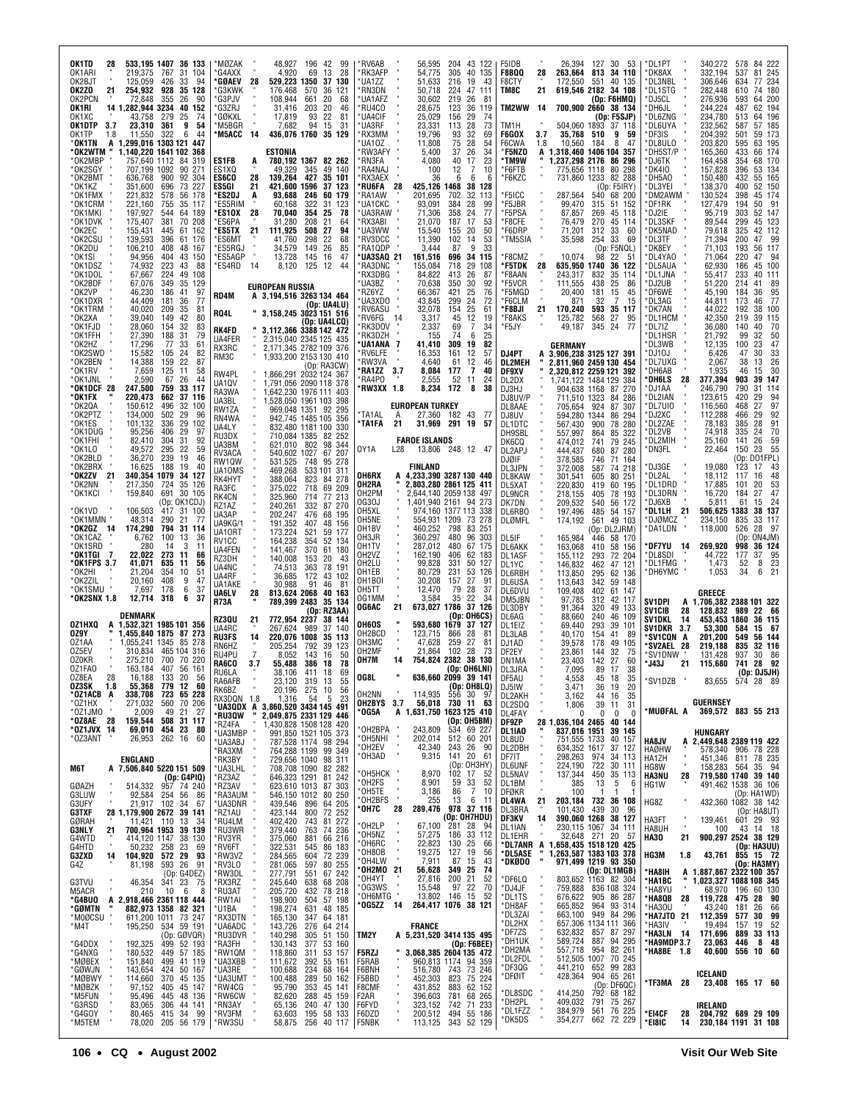| OK1TD<br>533,195 1407 36 133<br>28<br>219,375<br>31 104<br>OK1ARI<br>767<br>OK2BJT<br>426<br>94<br>125,059<br>33<br>OK2ZO<br>21<br>254.932<br>928<br>35 128<br>OK2PCN<br>72,848<br>355<br>26<br>90<br>14 1,282,944 3234<br>40 152<br>OK1RI<br>43,758<br>279<br>25<br>74<br>OK1XC<br>3.7<br>23,310<br>9<br>54<br>OK1DTP<br>361                                               | *MØZAK<br>48,927<br>196 42<br>99<br>4,920<br>28<br>*G4AXX<br>69<br>13<br>28<br>529,223 1350<br>*GØAEV<br>37 130<br>'G3KWK<br>176.468<br>570<br>36<br>121<br>*G3PJV<br>108,944<br>661<br>20<br>68<br>*G3ZRJ<br>31,416<br>203<br>20<br>46<br>*GØKXL<br>17,819<br>93<br>22<br>81<br>7,682<br>94<br>*M5BGR<br>31<br>15<br>- 14<br>*M5ACC | *RV6AB<br>56,595<br>204 43 122<br>*RK3AFP<br>54,775<br>305<br>40 135<br>*UA1ZZ<br>51,633<br>216<br>19<br>43<br>*RN3DN<br>50,718<br>224<br>47<br>111<br>*UA1AFZ<br>30,602<br>219<br>26<br>81<br>*RU4CO<br>28,675<br>123<br>36<br>119<br>*UA4CIF<br>25,029<br>156<br>29<br>74<br>73<br>*UA3RF<br>23,331<br>28<br>113                                                     | F5IDB<br>26,394<br>127<br>30 53<br>813 34 110<br>F8BQQ<br>28<br>263,664<br>551<br>F8CTY<br>172,550<br>40 135<br>TM8C<br>21<br>619,546 2182 34 108<br>(Op: F6HMQ)<br>TM2WW<br>-14<br>700,900 2660 38 134<br>(Op: F5SJP)<br>TM1H<br>504.060 1893<br>37 118                                                                                    | *DL1PT<br>340,272<br>578<br>84 222<br>332,194<br>245<br>*DK8AX<br>537<br>81<br>*DL3NBL<br>306,646<br>634<br>77 234<br>*DL1STG<br>282,448<br>610<br>74 180<br>276,936<br>*DJ5CL<br>593<br>64 200<br>*DH6JL<br>244,224<br>487<br>62 194<br>*DL6ZNG<br>234,780<br>513<br>64 196<br>232,562<br>*DL6UYA<br>57 185<br>587                                         |
|-----------------------------------------------------------------------------------------------------------------------------------------------------------------------------------------------------------------------------------------------------------------------------------------------------------------------------------------------------------------------------|--------------------------------------------------------------------------------------------------------------------------------------------------------------------------------------------------------------------------------------------------------------------------------------------------------------------------------------|------------------------------------------------------------------------------------------------------------------------------------------------------------------------------------------------------------------------------------------------------------------------------------------------------------------------------------------------------------------------|---------------------------------------------------------------------------------------------------------------------------------------------------------------------------------------------------------------------------------------------------------------------------------------------------------------------------------------------|-------------------------------------------------------------------------------------------------------------------------------------------------------------------------------------------------------------------------------------------------------------------------------------------------------------------------------------------------------------|
| OK1TP<br>322<br>6<br>44<br>1.8<br>11,550<br>A 1,299,016 1303 121 447<br>'OK1TN<br>*OK2WTM<br>1,140,220 1641 102<br>368<br>*OK2MBP<br>757,640 1112 84<br>319<br>*OK2SGY<br>707,199 1092<br>90<br>271<br>*OK2BMT<br>636,768<br>900<br>92 304<br>*OK1KZ<br>351,600<br>696<br>73<br>227<br>221,832<br>*OK1FMX<br>578<br>56 178<br>*OK1CRM<br>221,160<br>755<br>35 117           | 436,076 1760 35 129<br><b>ESTONIA</b><br>780,192 1367 82 262<br>ES1FB<br>A<br>49 140<br>ES1XQ<br>49,329<br>345<br>ES6CO<br>28<br>139.264<br>427<br>35 101<br>ES5GI<br>21<br>421,600 1596<br>37 123<br>*ES2DJ<br>93,688<br>246<br>60 179<br>A<br>322<br>*ES5RIM<br>60,168<br>31<br>123                                                | 19,796<br>*RX3MM<br>93<br>32<br>69<br>11,808<br>75<br>'UA10Z<br>28<br>54<br>*RW3AFY<br>5,400<br>34<br>37<br>26<br>*RN3FA<br>4,080<br>40<br>23<br>17<br>*RA4NAJ<br>10<br>100<br>12<br>7<br>*RX3AEX<br>36<br>6<br>6<br>f<br>28<br>*RU6FA<br>425,126 1468<br>38<br>128<br>'RA1AW<br>201,695<br>702<br>32<br>113<br><b>UA1CKC</b><br>93,091<br>384<br>28<br>99             | F6GOX<br>3.7<br>35.768<br>510<br>9<br>59<br>F6CWA<br>1.8<br>10,560<br>184<br>8<br>47<br>1.318.460 1406 104 357<br>*F5NZO<br>A<br>*TM9W<br>1,237,298 2176<br>86<br>296<br>80 298<br>'F6FTB<br>775,656 1118<br>*F6KZC<br>731,860 1233<br>82 288<br>(Op: F5IRY)<br>'F5ICC<br>287,564<br>540<br>68 200<br>'F5JBR<br>99,470<br>315<br>51 152     | DF3IS'<br>204,392<br>501<br>59 173<br>*DL8ULO<br>203,820<br>595<br>63 195<br>'DH5ST/P<br>165,360<br>66 174<br>433<br>164,458<br>68 170<br>*DJ6TK<br>354<br>*DK4IO<br>157,828<br>53 134<br>396<br>*DH5AO<br>150,480<br>55 165<br>432<br>*DL3YEI<br>138,370<br>400<br>52 150<br>*DM2AWM<br>130,524<br>45 174<br>398<br>*DF1RK<br>127,479<br>194<br>50<br>- 91 |
| 197,927<br>*OK1MKI<br>189<br>544<br>64<br>*OK1DVK<br>175,407<br>381<br>70 208<br>*OK2EC<br>155,431<br>445<br>61<br>162<br>*OK2CSU<br>139,593<br>396<br>61<br>176<br>*OK2DU<br>106,210<br>408<br>48<br>167<br>94,956<br>404<br>43<br>150<br>*OK1SI<br>*OK1DSZ<br>74,932<br>223<br>43<br>88<br>*OK1DOL<br>224<br>67,667<br>49<br>108<br>*OK2BDF<br>67,076<br>349<br>35<br>129 | 354<br>*ES10X<br>28<br>70.040<br>25<br>78<br>208<br>*ES6PA<br>31,280<br>21<br>64<br>508<br>*ES5TX<br>21<br>111,925<br>27<br>94<br>298<br>*ES6MT<br>41,760<br>22<br>68<br>149<br>26<br>*ES5RGJ<br>34,579<br>85<br>*ES5AGP<br>145<br>16<br>47<br>13,728<br>*ES4RD<br>-14<br>8,120<br>125 12<br>44                                      | *UA3RAW<br>71,306<br>358<br>24<br>77<br>*RX3ABI<br>21,070<br>187<br>17<br>53<br>*UA3WW<br>15,540<br>155<br>20<br>50<br>*RV3DCC<br>11,390<br>102<br>14<br>53<br>*RA1QDP<br>3,444<br>87<br>9<br>33<br>*UA3SAQ 21<br>161,516<br>696<br>34<br>115<br>*RA3DNC<br>155,084<br>718<br>29<br>108<br>'RX3DBG<br>84,822<br>413<br>26<br>87<br>*UA3BZ<br>70,638<br>350<br>30<br>92 | 'F5PSA<br>87,857<br>269<br>45 118<br>'F8CFE<br>76.479<br>270<br>45 114<br>33<br>'F6DRP<br>71,201<br>312<br>60<br>33<br>'TM5SIA<br>35,598<br>254<br>69<br>(0p:FSNQL)<br>*F8CMZ<br>10,074<br>98<br>22<br>-51<br>*F5TDK<br>28<br>635,950 1740<br>36 122<br>'F8AAN<br>243,317<br>832<br>35<br>114<br>'F5VCR<br>111,555<br>438<br>25<br>86       | *DJ2IE<br>95,719<br>303<br>52 147<br>*DL3SKF<br>89.544<br>299<br>45 123<br>*DK5NAD<br>79,618<br>325<br>42 112<br>*DL3TF<br>71,394<br>200<br>47<br>- 99<br>*DK8EY<br>71,103<br>193<br>56 117<br>*DL4YA0<br>71,064<br>220<br>- 94<br>47<br>*DL5AUA<br>62.930<br>186<br>45 100<br>*DL1JNA<br>55,417<br>233<br>40 111<br>*DJ2UB<br>51,220<br>214<br>41<br>89    |
| *OK2VP<br>46,230<br>186<br>97<br>41<br>44,409<br>*OK1DXR<br>181<br>36<br>77<br>40,020<br>*OK1TRM<br>209<br>35<br>81<br>*OK2XA<br>39,040<br>149<br>42<br>80<br>*OK1FJD<br>28,060<br>154<br>32<br>83<br>27,390<br>*OK1FFH<br>188<br>31<br>79<br>17,296<br>*OK2HZ<br>33<br>77<br>61                                                                                            | <b>EUROPEAN RUSSIA</b><br>RD4M<br>A 3,194,516 3263 134 464<br>(Op: UA4LU)<br>RQ4L<br>" 3,158,245 3023 151 516<br>(Op: UA4LCQ)<br>3,112,366 3388 142 472<br>RK4FD<br>2,315,040 2345 125 435<br>UA4FER<br>RX3RC<br>2,171,345 2782 109 376                                                                                              | 421<br>76<br>'RZ6YZ<br>66,367<br>25<br>299<br>24<br>72<br>'UA3XDO<br>43,845<br>32,078<br>*RV6ASU<br>154<br>25<br>61<br>RV6FG 14*<br>3,317<br>45<br>12<br>19<br>'RK3DOV<br>69<br>2,337<br>7<br>34<br>'RK3DZH<br>74<br>25<br>155<br>6<br>82<br>*UA1ANA<br>309<br>41,410<br>19                                                                                            | 20,400<br>'F5MGD<br>181<br>15<br>45<br>*F6CLM<br>871<br>32<br>7<br>15<br>21<br>593<br>'F8BJI<br>170,240<br>35<br>117<br>'F8AKS<br>125,782<br>568<br>27<br>95<br>345 24<br>'F5JY<br>49,187<br>77<br>GERMANY                                                                                                                                  | *DF6WE<br>45,190<br>184<br>36<br>95<br>*DL3AG<br>44,811<br>46<br>77<br>173<br>`DK7AN<br>44.022<br>192<br>38 100<br>42,350<br>*DL1HCM<br>219<br>39<br>115<br>70<br>*DL7IZ<br>36,080<br>140<br>40<br>*DL1HSR<br>21,792<br>99<br>32<br>50<br>*DL3WB<br>12,135<br>100<br>23<br>47                                                                               |
| *OK2SWD<br>15,582<br>105<br>24<br>82<br>*OK2BEN<br>14,388<br>159<br>22<br>87<br>*OK1RV<br>7,659<br>125<br>-11<br>58<br>2,590<br>*OK1JNL<br>67<br>26<br>44<br>*OK1DCF 28<br>759<br>247,500<br>33<br>-117<br>*OK1FX<br>220,473<br>662<br>37 116<br>*OK2QA<br>150,612<br>496<br>32<br>100<br>*OK2PTZ<br>502<br>134,000<br>29<br>96                                             | RM3C<br>1,933,200 2153 130 410<br>(Op:RA3CW)<br>RW4PL<br>1,866,291 2032 124 367<br>1,791,056 2090 118 378<br>UA1QV<br>RA3WA<br>1,642,230 1976 111 403<br>UA3BL<br>1,528,050 1961 103<br>398<br>RW1ZA<br>969,048 1351 92 295<br>942,745 1485 105<br>RN4WA<br>356                                                                      | *RV6LFE<br>16,353<br>161<br>12<br>57<br>*RW3VA<br>4,640<br>61<br>12<br>46<br>8,084<br>*RA1ZZ<br>3.7<br>177<br>7<br>40<br>'RA4P0<br>2,555<br>52<br>11<br>24<br><b>RW3XX 1.8</b><br>8,234<br>172<br>8<br>38<br><b>EUROPEAN TURKEY</b><br>*TA1AL<br>27,360 182 43<br>A<br>- 77                                                                                            | DJ4PT<br>3,906,238 3125 127 391<br>2,811,960 2459 130<br><b>DL2MEH</b><br>454<br>2,320,812 2259 121<br>DF9XV<br>392<br>1,741,122 1484 129<br>DL2DX<br>384<br>904,638 1168 87 270<br>DJ3HJ<br>DJ8UV/P<br>711,510 1323<br>84<br>286<br>924<br>87<br>307<br>DL8AAE<br>705,654<br>DJ8UV<br>594,280 1344<br>86 294                               | 'DJ10J<br>6,426<br>47<br>30<br>33<br>*DL7UXG<br>2,067<br>38<br>13<br>26<br>*DH6AB<br>1,935<br>46<br>15<br>30<br>*DH6LS<br>377,394<br>903<br>39<br>147<br>28<br>246,790<br>790<br>31<br>*DJ1AA<br>114<br>'DL2IAN<br>123,615<br>420<br>29<br>94<br>*DL7UI0<br>97<br>116,560<br>468<br>27<br>29<br>*DJ2XC<br>112,288<br>466<br>92                              |
| 336<br>*OK1ES<br>101,132<br>29<br>102<br>*OK1DUG<br>95,256<br>406<br>29<br>97<br>*OK1FHI<br>82,410<br>304<br>31<br>92<br>*OK1LO<br>49,572<br>295<br>22<br>59<br>*OK2BLD<br>36,270<br>239<br>19<br>46<br>*OK2BRX<br>16,625<br>188<br>19<br>40<br>340,354 1079<br>*OK2ZV<br>21<br>34 127<br>*OK2NN<br>217,350<br>724<br>35 126                                                | 832,480 1181 100<br>UA4LY<br>330<br>RU3DX<br>710,084 1385<br>82 252<br>621,010 802<br>98<br>UA3BM<br>344<br>RV3ACA<br>540,602 1027<br>67<br>207<br>RW1QW<br>531,525<br>748<br>95<br>278<br>469,268<br>UA10MS<br>533 101 311<br>RK4HYT<br>388,064<br>823<br>278<br>84<br>375,022<br>209<br>RA3FC<br>718<br>69                         | *TA1FA<br>21<br>31,969<br>291<br>19<br>-57<br><b>FAROE ISLANDS</b><br>OY1A<br>L <sub>28</sub><br>13,806 248 12 47<br><b>FINLAND</b><br>OH6RX<br>A 4,233,390 3287 130 440<br>2,803,280 2861 125 411<br>OH2RA                                                                                                                                                            | DL1DTC<br>567,430<br>900<br>78 280<br>DH9SBL<br>557,997<br>864<br>85<br>322<br>DK6CQ<br>474,012<br>79<br>245<br>741<br>DL2APJ<br>444,437<br>87<br>280<br>680<br>378,585<br>DJØIF<br>71 164<br>746<br>DL3JPN<br>372,008<br>587<br>74 218<br>DL8KAW<br>301,541<br>605<br>80 251<br>DL5XAT<br>220,830<br>60 195<br>419                         | *DL2ZAE<br>78,183<br>385<br>28<br>91<br>*DL2VB<br>70<br>74,918<br>335<br>24<br>'DL2MIH<br>25,160<br>141<br>26<br>59<br>*DN3FL<br>55<br>22,464<br>150<br>23<br>(Op: DO1FPL)<br>'DJ3GE<br>19,080<br>123<br>17<br>43<br>*DL2AL<br>18,112<br>16<br>48<br>117<br>'DL1DRD<br>17,885<br>20<br>53<br>101                                                            |
| *OK1KCI<br>691<br>159,840<br>30 105<br>(Op: OK1CDJ)<br>106,503<br>*OK1VD.<br>417 31 100<br>*OK1MMN<br>48,314<br>290<br>21<br>77<br>*OK2GZ 14<br>174,290<br>794<br>31 114<br>*OK1CAZ<br>6,762<br>100<br>13<br>36<br>*OK1SRD<br>280<br>14<br>3<br>11<br>22,022<br>273<br>*OK1TGI 7<br>11<br>66                                                                                | RK4CN<br>325,960<br>714<br>77<br>213<br>240,261<br>332<br>RZ1AZ<br>87<br>270<br>UA3AP<br>202,247<br>476<br>68<br>195<br>UA9KG/<br>191,352<br>407<br>48<br>156<br>521<br>UA10RT<br>173,224<br>59 177<br>RV1CC<br>164,238<br>354<br>52 134<br>UA4FEN<br>370<br>141,467<br>61 180                                                       | OH2PM<br>2,644,140 2059 138<br>497<br>0G30J<br>1,401,940 2161 94 273<br>OH5XL<br>974,160 1377 113 338<br>OH5NE<br>73 278<br>554,931 1209<br>OH1BV<br>460,252<br>798<br>83<br>251<br>360,297<br>OH3JR<br>480<br>96<br>303<br>OH1TV<br>287,012<br>480<br>67<br>175<br>OH2VZ<br>162,190<br>406<br>62<br>183                                                               | <b>DL9NCR</b><br>218,155<br>405<br>78 193<br>DK7DN<br>209,532<br>56 172<br>540<br>DL6RBO<br>197,496<br>485<br>54 157<br><b>DLØMFL</b><br>174,192<br>561<br>49 103<br>(Op: DL2JRM)<br>165,984<br>DL5IF<br>58 170<br>446<br>163,068<br>DL6AKK<br>410<br>58 156<br>DL1ASF<br>155,112<br>293<br>72 204                                          | *DL3DRN<br>16,720<br>184<br>27<br>47<br>*DJ6XB<br>5,811<br>61<br>24<br>15<br>*DL1LH<br>21<br>506,625<br>1383<br>38 137<br>234,150<br>33 117<br>*DJØMCZ<br>835<br>*DA1LDN<br>118,000<br>526<br>28<br>- 97<br>(Op:<br>ON4JM)<br>269,920<br>*DF7YU<br>998<br>36 124<br>-14<br>*DL8SDI<br>44,722<br>177<br>37<br>95                                             |
| *OK1FPS 3.7<br>41,071<br>635<br>11<br>56<br>*OK2HI<br>21,204<br>354<br>10<br>-51<br>*OK2ZIL<br>20,160<br>408<br>9<br>47<br>*OK1SMU<br>7,697<br>178<br>6<br>37<br>*OK2SNX 1.8<br>12,714<br>318<br>6<br>-37<br>DENMARK<br>OZ1HXQ<br>A 1,532,321 1985 101 356                                                                                                                  | RZ3DH<br>140,008<br>153<br>20<br>-43<br>UA4NC<br>363<br>74,513<br>78<br>191<br>172<br>UA4RF<br>36,685<br>43 102<br>UA1AKE<br>30,988<br>91<br>46<br>81<br>28<br>UA6LV<br>813,624 2068<br>40 163<br>R73A<br>789,399 2483 35 134<br>(Op: RZ3AA)<br>RZ3QU<br>772,954 2237<br>21<br>38 144                                                | OH2LU<br>99,828<br>331<br>50<br>127<br>OH1EB<br>80.729<br>231<br>53<br>126<br>OH <sub>1</sub> BOI<br>30,208<br>157<br>27<br>91<br>28<br>OH5TT<br>12,470<br>79<br>37<br>35<br>22<br>34<br>0G1MM<br>3,584<br>21<br>37 126<br>673,027 1786<br>OG6AC<br>(Op: OH6CS)<br>OH6OS<br>593,680 1679<br>37 127                                                                     | DL1YC<br>146,832<br>462<br>47<br>121<br>DL6RBH<br>295<br>62 136<br>113,850<br>342<br>DL6USA<br>113,643<br>59<br>148<br>DL6DVU<br>109,408<br>402<br>61 147<br>DM5JBN<br>97,785<br>312<br>42 117<br>DL3DBY<br>91,364<br>320<br>49 133<br>DL6AG<br>88,660<br>240<br>46<br>109<br>293<br>DL1EIZ<br>69,440<br>39<br>101                          | *DL1FMG<br>1,473<br>23<br>52<br>8<br>34<br>21<br>*DH6YMC<br>1.053<br>6<br>GREECE<br>SV1DPI<br>A 1,706,382 2388 101 322<br><b>SV1CIB</b><br>128,832<br>989<br>22 66<br>28<br>SV1DKL<br>14<br>453,453 1860<br>36 115                                                                                                                                          |
| 1,455,840 1875 87 273<br>OZ9Y<br>OZ1AA<br>1.055.241 1345 85 278<br>0Z5EV<br>310,834<br>465 104 316<br>700<br>0Z0KR<br>275,210<br>70 220<br>0Z1FA0<br>163,184<br>407<br>56 161<br>0Z8EA<br>28<br>16,188<br>133<br>20<br>56<br>55,368 779 12 60<br>OZ3SK 1.8                                                                                                                  | UA4RC<br>267.624<br>989<br>37<br>140<br>220,076 1008<br>RU3FS<br>14<br>35 113<br>RN6HZ<br>205,254<br>792<br>39<br>123<br>$\overline{7}$<br>RU4PU<br>8,052<br>143<br>50<br>16<br>RA6CO<br>386<br>55,488<br>18<br>78<br>3.7<br>RU6LA<br>38.106<br>411<br>-18<br>69<br>КАЬАГЬ<br>23,120 319 13<br>5t<br>56<br>20,196<br>275 10<br>RK6BZ | OH2BCD<br>123,715<br>28<br>866<br>81<br>онзмс<br>47,628<br>27<br>259<br>81<br>28<br>OH2MF<br>21,864<br>102<br>73<br>38 130<br>OH7M<br>14<br>754.824 2382<br>(Op: OH6LNI)<br>OG8L<br>636,660 2099 39 141<br>114.935                                                                                                                                                     | DL3LAB<br>40,170<br>154<br>41<br>89<br>DJ1AD<br>39,578<br>178<br>49<br>105<br>DF2EY<br>23,861<br>144<br>32<br>75<br>DN1MA<br>23,403<br>142<br>27<br>60<br>DL3JRA<br>7,095<br>89<br>-17<br>38<br>DF5AU<br>4.558<br>45 18<br>35<br>DJ5IW<br>DL2AKH<br>3,471<br>36 19<br>20                                                                    | SV1DKR<br>3.7<br>53,300<br>584<br>15<br>- 67<br>*SV1CQN<br>201,200<br>549<br>56 144<br>A<br>*SV2AEL<br>28<br>219,188<br>835<br>32 116<br>131,428<br>*SV1DNW<br>937<br>30<br>86<br>*J43J<br>115,680<br>28<br>92<br>21<br>741<br>(Op: DJ5JH)<br>*SV1DZB<br>5/4<br>-28<br>- გყ                                                                                 |
| 338,708<br>271,032<br>*OZ1ACB A<br><b>723 65 228</b><br>560 70 206<br>*OZ1HX<br>21<br>*OZ1JMO<br>2,009<br>49<br>27<br>*OZ8AE 28<br>159,544<br>508 31 117<br>*0Z1JVX 14<br>69,010<br>454 23<br>80<br>262 16<br>*0Z3ANT<br>26,953<br>60                                                                                                                                       | 54<br>RX3DQN 1.8<br>5<br>23<br>1,316                                                                                                                                                                                                                                                                                                 | $(0p: 0H8L0)$<br>$556$ 30 97<br>$730$ 11 63<br>OH2NN<br>OH2BYS 3.7<br>56,018<br>A 1,631,750 1623 125 410<br>*OG5A<br>(Op: OH5BM)<br>534 69 227<br>*OH2BPA<br>243,809<br>*OH5NHI<br>*OH2EV<br>512 60 201<br>202,014<br>26<br>42,340<br>243<br>- 90                                                                                                                      | 3,162<br>44<br>16<br>35<br>DL2SDQ<br>39<br>1,806<br>11<br>31<br>DL4FAY<br>$\bf{0}$<br>0<br>0<br>-0<br>DF9ZP<br>28 1,036,104 2465<br>40 144<br>DL1IA0<br>837,016 1951<br>39 145<br>751,555 1733<br>DL8UD<br>40 157<br>634,352 1617<br>DL2DBH<br>37 127                                                                                       | <b>GUERNSEY</b><br>*MUØFAL A<br>369,572 883 55 213<br>HUNGARY<br>HA8JV<br>A 2,449,648 2389 119 422<br><b>HAØHW</b><br>578,340 906<br>78 228                                                                                                                                                                                                                 |
| ENGLAND<br>A 7,506,840 5220 151 509<br>M6T<br>(Op: G4PIQ)<br>957 74 240<br>GØAZH<br>514,332<br>G3LUW<br>92,584<br>254<br>56<br>86<br>G3UFY<br>21,917 102<br>34<br>67<br>G3TXF<br>1,179,900 2672<br>28<br>39 141                                                                                                                                                             | 80 250<br>64 205<br>72 252<br>81 272<br>74 236<br>423,144<br>*RZ1AU<br>800                                                                                                                                                                                                                                                           | *OH3AD<br>141 20<br>61<br>9,315<br>(Op: OH3HY)<br>102 17 52<br>*ОН5НСК<br>8,970<br>*OH2FS<br>$\frac{33}{7}$<br>52<br>8,901<br>59<br>86<br>*OH5TE<br>3,186<br>10<br>×<br>*OH2BFS<br>6<br>255<br>13<br>11<br>*OH7C<br>28<br>289,476<br>978 37 116<br>(Op: OH7HDU)                                                                                                        | 298,263 974<br>DF7IT<br>34 113<br>722<br>$30$ 111<br>$35$ 113<br><b>DL6UNF</b><br>224,190<br>DL5NAV<br>450<br>137,344<br>DL1BM<br>385<br>13<br>5<br>6<br><b>DFØKR</b><br>100<br>-1<br>DL4WA<br>21<br>203,184<br>732<br>36 108<br>DL3BRA<br>101,430 439<br><b>390,060 1268</b><br>30 96<br>14<br>DF3KV<br>38 127                             | HA1ZH<br>451,346<br>78 235<br>811<br>HG8W<br>158,283<br>564<br>35 94<br>719,580 1740<br><b>HA3NU</b><br>28<br>39 140<br>HG1W<br>491,462 1538<br>36 106<br>(Op: HA1WD)<br>432,360 1082 38 142<br>HG8Z<br>(Op: HA8UT)                                                                                                                                         |
| GØRAH<br>11,421 110<br>13<br>34<br><b>G3NLY</b><br>700,964 1953<br>39 139<br>21<br>G4WTD<br>38 130<br>414,120 1147<br>23<br>50,232 258<br>G4HTD<br>69<br>572 29<br>93<br>G3ZXD<br>14<br>104,920<br>593 26<br>91<br>G4Z<br>81,198<br>(Op: G4DEZ)<br>341 23 75<br>46,354                                                                                                      | *RU4LM<br>402,420<br>743<br>*RU3WR<br>379,440<br>763<br>66 216<br>86 183<br>*RV3YR<br>881<br>375,060<br>322,531<br>545<br>*RV6FT<br>*RW3VZ<br>284,565<br>604<br>72 239<br>80 255<br>*RV3L0<br>281,065<br>597<br>*RW3DL<br>277,791<br>551<br>67 242<br>638<br>245,640                                                                 | 28 94<br>33 112<br>*OH2LP<br>*OH5NZ<br>67,100<br>281<br>57,275<br>186<br>*OH6RC<br>*OH8OB<br>25<br>22,823<br>130<br>66<br>19,275<br>19<br>56<br>127<br>*OH4LW<br>43<br>7,911<br>87<br>15<br>*OH2MO 21<br>74<br>56,628<br><b>349 25</b><br>200 21<br>27,816<br>52                                                                                                       | DL1IAN<br>230,115 1067 34 111<br>32,648 271 20 57<br>1,658,435 1518 120 425<br>1,263,587 1383 103 378<br>971,499 1219 93 350<br>DL1EHR<br>*DL7ANR A<br>ľ<br>*DL5ASE<br>'n,<br>*DKØDO<br>(Op: DL1MGB)<br>803,652 1163 82 304<br>*DF6LQ                                                                                                       | 139,461<br>29 93<br>HA3FT<br>601<br>HA8UH<br>43 14 18<br>100<br><b>HA30</b><br>900,297 2524<br>38 129<br>21<br>(Op: HA3UU)<br>HG3M<br>43,761<br>855 15 72<br>1.8<br>(Op: HA3MY)<br>*HA8IH<br>A 1,887,867 2322 100 357<br>*HA1BC<br>π<br>1,023,327 1088 108 345                                                                                              |
| G3TVU<br>M5ACR<br>6<br>210<br>10<br>8<br>*G4BUO<br>A 2,918,466 2361 118 444<br>" 882,973 1358 82 321<br>*GØMTN<br>*M0ØCSU '<br>73 247<br>611,200 1011<br>534 59 191<br>(Op: GØVQR)<br>499 52 193<br>449 57 185<br>449 57 185<br>*M4T<br>195,250<br>*G4DDX<br>192,325                                                                                                        | 68 208<br>78 218<br>78 198<br>57 198<br>48 185<br>*RX3RZ<br>*RU3AT<br>432<br>205,720<br>*RW1AI<br>198,900<br>504<br>*U1BA<br>198,274<br>631<br>165,130<br>64 181<br>*RX3DTN<br>347<br>*UA6ADC<br>*RU3DVR<br>64 214<br>51 150<br>143,726<br>140,298<br>276<br>305<br>*RA3FH<br>130,143<br>377<br>53 160                               | *OH4YT<br>*OG3WS<br>15,548<br>97<br>22<br>70<br>*OH6MTG<br>13,802<br>15<br>146<br>52<br>*0G5ZZ 14<br>264,417 1076 38 121<br>FRANCE<br>A 5,231,520 3414 135 495<br>TM2Y<br>(Op: F6BEE)                                                                                                                                                                                  | 759,888 836 108 324<br>*DJ4JF<br>905<br>*DL1TS<br>676,622<br>86 287<br>*DH8AF<br>665,852<br>964<br>93 314<br>*DL3ZAI<br>663,100 949 84 296<br>*DL2HX<br>657,306 1134 111 366<br>632,832<br>*DF7ZS<br>857<br>87 297<br>$\begin{array}{@{}c@{\hspace{1em}}c@{\hspace{1em}}}\n 94 & 295 \\ 82 & 261\n \end{array}$<br>*DH1UK<br>589,724<br>887 | 68,970<br>60 130<br>*HA8YU<br>196<br>*HA8QB<br>28<br>119,728<br>90<br>475<br>28<br>66<br>*HA3OU<br>43,240<br>181<br>26<br>*HA7JT0 21<br>99<br>112,359<br>577<br>30<br>*HA3IV<br>19,494<br>52<br>157<br>19<br>*HA3LN 14<br>171,696<br>889<br>33 113<br>*HA9MDP3.7<br>48<br>23,063<br>446<br>8                                                                |
| *G4NXG<br>180,532<br>*MØBEX<br>499 41 119<br>151,840<br>WOBEA<br>*GØWJN<br>*MØBZK<br>*M5FUN<br>*G3RSD<br>*G4GOY<br>*M5TEM<br>424 50 167<br>370 45 135<br>143,654<br>114,660<br>97,152<br>45 147<br>405<br>95,496<br>48 136<br>445<br>83,065<br>306<br>44 141<br>34<br>99<br>80,465<br>415                                                                                   | 118,860<br>*RW1QM<br>53 157<br>311<br>111,672<br>*UA3XBB<br>392<br>55 161<br>234<br>68 164<br>*UA3RE<br>100,688<br>100,488<br>*UA3UMT<br>289<br>50 162<br>*RW4CG<br>95,790<br>353<br>45 141<br>*RW6CW<br>82,620<br>288<br>45 159<br>*RN3AY<br>65,136<br>240<br>47 130<br>*RV3FM<br>195<br>63,603<br>58 133                           | 3,068,385 2604 135 472<br><b>F5RZJ</b><br>960,813 1174 94 359<br>F5RAB<br>743 73 246<br>823 75 224<br>F6BNH<br>516,780 743<br>F5BBD<br>452,303<br>62 152<br>F8CMF<br>431,852<br>883<br>F <sub>2</sub> AR<br>396,603<br>781<br>68 265<br>F6FYD<br>323,152<br>742<br>71 233<br>F6DZD<br>200,512                                                                          | *DH2MA<br>557,718<br>954<br>70 245<br>*DL2FDL<br>512,505 1007<br>441,210<br>99 283<br>*DF3QG<br>652<br>428,364<br>904 65 261<br>*DFØIT<br>(Op: DF6QC)<br>792 68 182<br>792<br>414,250<br>*DL8SDC<br>409,032<br>*DH2PL<br>791<br>75 267<br>76 225<br>384,979<br>*DL1FZZ<br>561                                                               | 60<br>*HA8BE 1.8<br>40,600<br>556<br>10<br>ICELAND<br>*TF3MA 28<br>23,408 165 17 60<br>IRELAND<br>204,792 689 29 109<br>*EI4CF<br>28                                                                                                                                                                                                                        |
| *M5TEM<br>78,020<br>205 56 179                                                                                                                                                                                                                                                                                                                                              | *RW3SU<br>58,875 256 40 117                                                                                                                                                                                                                                                                                                          | 494 55 186<br>343 52 129<br>F5NBK<br>113,125                                                                                                                                                                                                                                                                                                                           | *DK5DS<br>354,277 662 72 229                                                                                                                                                                                                                                                                                                                | *EI8IC<br>14<br>230,184 1191 31 108                                                                                                                                                                                                                                                                                                                         |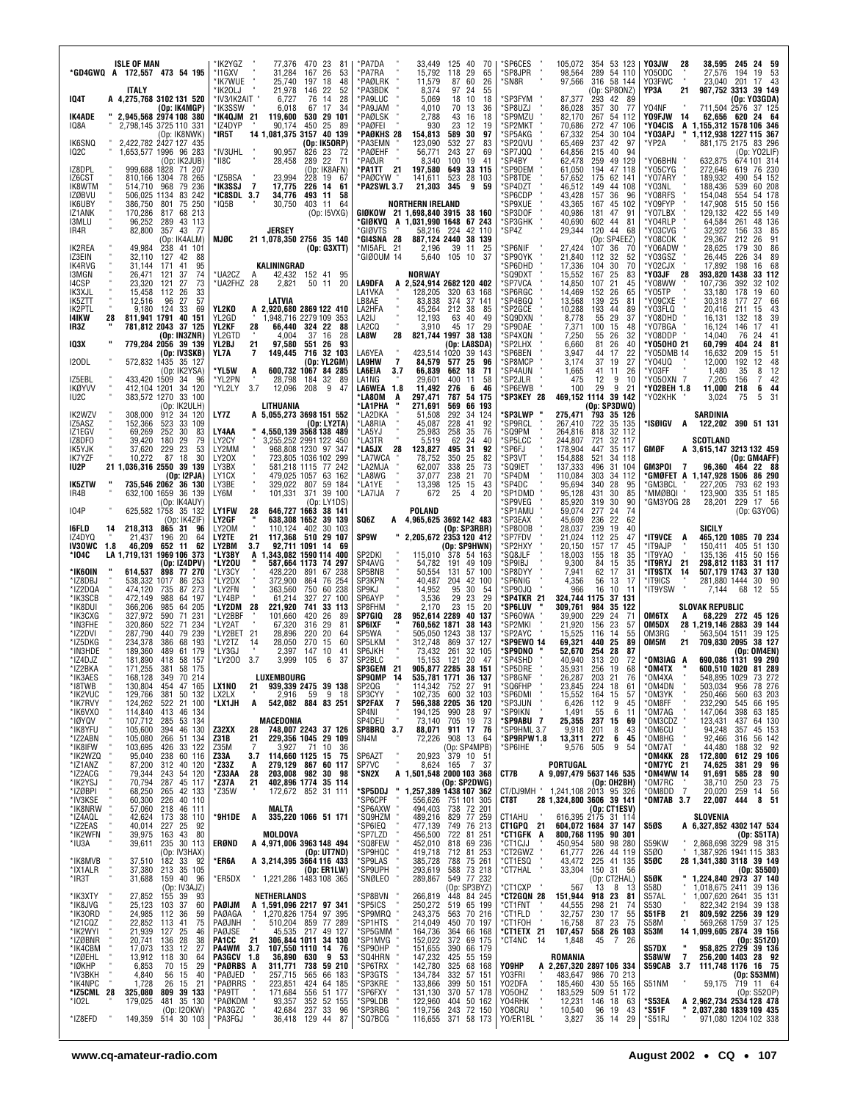| ISLE OF MAN<br>*GD4GWQ A 172,557 473 54 195                                                                                                                                                            | *IK2YGZ<br>77,376<br>470 23<br>-81<br>*I1GXV<br>31,284<br>167<br>26<br>53<br>'IK7WUE<br>25,740<br>197<br>18<br>48                                     | *PA7DA<br>33,449<br>125 40<br>70<br>15,792<br>*PA7RA<br>29<br>118<br>65<br>*PAØLRK<br>11,579<br>87<br>60<br>26                                        | *SP6CES<br>105,072<br>354 53 123<br>'SP8JPR<br>289<br>54 110<br>98,564<br>*SN8R<br>97,566<br>316 58 144                                          | Y03JW<br>245<br>24 59<br>38,595<br>28<br>Y050DC<br>27,576<br>19<br>- 53<br>194<br>Y03FWC<br>23,040<br>201<br>17 43                  |
|--------------------------------------------------------------------------------------------------------------------------------------------------------------------------------------------------------|-------------------------------------------------------------------------------------------------------------------------------------------------------|-------------------------------------------------------------------------------------------------------------------------------------------------------|--------------------------------------------------------------------------------------------------------------------------------------------------|-------------------------------------------------------------------------------------------------------------------------------------|
| <b>ITALY</b><br><b>IQ4T</b><br>A 4,275,768 3102 131 520<br>(Op: IK4MGP)                                                                                                                                | *IK20LJ<br>21,978<br>52<br>146<br>-22<br>*IV3/IK2AIT "<br>6,727<br>76<br>28<br>14<br>*IK3SSW<br>34<br>6,018<br>67<br>17                               | 8,374<br>*PA3BDK<br>97 24<br>55<br>*PA9LUC<br>5,069<br>18 10<br>18<br>*PA9JAM<br>4,010<br>70<br>13<br>36                                              | (Op: SP8ONZ)<br>*SP3FYM<br>87,377<br>42 89<br>293<br>*SP8UZJ<br>86,028<br>30<br>357<br>- 77                                                      | YP3A<br>987,752 3313<br>21<br>39 149<br>(Op: Y03GDA)<br>Y04NF<br>711,504 2576 37 125                                                |
| IK4ADE<br>2,945,568 2974 108 380<br>IQ8A<br>2,798,145 3725 110 331<br>(Op: IK8NWK)                                                                                                                     | *IK4QJM 21<br>119,600<br>530<br>29 101<br>*IZ4DYP<br>90,174<br>450<br>25<br>-89<br>14 1,081,375 3157 40 139<br>*IR5T                                  | *PAØLSK<br>2,788<br>43<br>16<br>18<br>*PAØFEI<br>930<br>23<br>12<br>19<br>*PAØKHS 28<br>154,813<br>589<br>30<br>97                                    | *SP9MZU<br>82,170<br>267<br>54 112<br>*SP2MKT<br>70,686<br>272<br>47 106<br>*SP5AKG<br>67,332<br>254<br>30 104                                   | Y09FJW<br>62,656<br>14<br>24 64<br>620<br>*Y04CIS<br>A 1,155,312 1578 106 346<br>*Y03APJ<br>ш<br>1,112,938 1227 115 367             |
| <b>IK6SNQ</b><br>2.422.782 2427 127 435<br><b>IQ2C</b><br>1,653,577 1996 96 283<br>(Op: IK2JUB)                                                                                                        | (Op: IK5ORP)<br>*IV3UHL<br>90,957<br>826<br>23<br>-72<br>22<br>*II8C<br>28,458<br>289<br>-71                                                          | <b>PA3EMN</b><br>123,090<br>532<br>27<br>83<br>*PAØEHF<br>243<br>27<br>56,771<br>69<br>*PAØJR<br>8,340<br>100<br>19<br>41                             | *SP2QVU<br>65,469<br>237<br>42<br>97<br>*SP7JQQ<br>215<br>64,856<br>40<br>94<br>*SP4BY<br>62,478<br>259<br>49<br>129                             | *YP2A<br>881,175 2175 83 296<br>(Op: YO2LIF)<br>*Y06BHN<br>632,875<br>674 101 314                                                   |
| IZ8DPL<br>999,688 1828<br>71 207<br>IZ6CST<br>810,166 1304<br>78 265<br>IK8WTM<br>514,710 968<br>79 236                                                                                                | (Op: IK8AFN)<br>228 19 67<br>*IZ5BSA<br>23,994<br>*IK3SSJ<br>$\overline{ }$<br>17,775<br>226 14<br>61                                                 | 21<br>*PA1TT<br>197,580<br>649<br>33 115<br>523<br>*PAØCYW<br>141,611<br>28 103<br>*PA2SWL 3.7<br>21,303<br>345<br>9<br>59                            | *SP9DEM<br>61,050<br>194<br>47 118<br>*SP8TDE<br>62 141<br>57,652<br>175<br>*SP4DZT<br>46,512<br>149<br>44 108                                   | *Y05CYG<br>272,646<br>619<br>76 230<br>*Y07ARY<br>189,932<br>490<br>54 152<br>*Y03NL<br>188,436<br>539<br>60 208                    |
| 506,025 1134<br>83 242<br>IZØBVU<br>75 250<br>IK6UBY<br>386,750 801                                                                                                                                    | *IC8SDL 3.7<br>34,776<br>493<br>11<br>58<br>* IQ5B<br>30,750<br>403<br>-11<br>-64                                                                     | <b>NORTHERN IRELAND</b>                                                                                                                               | 'SP6CDP<br>157<br>36<br>43,428<br>-96<br>*SP9XUE<br>43,365<br>167<br>45<br>102                                                                   | *Y08RFS<br>154,048<br>554<br>54 178<br>*Y09FYP<br>147,908<br>50 156<br>515                                                          |
| 170,286<br>IZ1ANK<br>817 68 213<br>I3MLU<br>96,252<br>43 113<br>289<br>82,800<br>357 43 77<br>IR4R                                                                                                     | (0p:15VXG)<br>JERSEY                                                                                                                                  | GIØKOW 21 1.698.840 3915 38 160<br>*GIØKVQ A 1,031,990 1648 67 243<br>*GIØVTS<br>42 110<br>58,216<br>224                                              | *SP3DOF<br>40.986<br>181<br>47<br>91<br>*SP3GHK<br>602 44<br>40,690<br>81<br>*SP4Z<br>120 44<br>29,344<br>68                                     | *Y07LBX<br>129,132<br>422<br>55 149<br>*Y04RLP<br>64,584<br>261<br>48 136<br>*Y03CVG<br>32,922<br>33<br>156<br>85                   |
| (Op: IK4ALM)<br>49,984<br>238<br>IK2REA<br>41 101<br>IZ3EIN<br>32.110<br>127<br>42<br>88                                                                                                               | <b>MJØC</b><br>21 1,078,350 2756 35 140<br>(Op: G3XTT)                                                                                                | *GI4SNA 28<br>887,124 2440<br>38 139<br>*MI5AFL 21<br>39<br>2,196<br>25<br>11<br>105 10<br>*GIØOUM 14<br>5,640<br>37                                  | (Op: SP4EEZ)<br>'SP6NIF<br>27,424<br>36<br>107<br>70<br>*SP90YK<br>21,840<br>112<br>32<br>52                                                     | *Y08COK<br>29,367<br>212<br>26<br>91<br>*Y06ADW<br>30<br>28,625<br>179<br>86<br>*Y03GSZ<br>26,445<br>226<br>34<br>89                |
| IK4RVG<br>31,144<br>171<br>41<br>95<br><b>I3MGN</b><br>26,471<br>74<br>121<br>37<br>14CSP<br>23,320<br>121<br>27<br>73                                                                                 | KALININGRAD<br>*UA2CZ<br>42,432 152 41<br>95<br>A<br>*UA2FHZ 28<br>2,821<br>50 11<br>20                                                               | <b>NORWAY</b><br>LA9DFA<br>A 2,524,914 2682 120 402                                                                                                   | 'SP6DHD<br>17,336<br>70<br>104<br>30<br>'SQ9DXT<br>15,552<br>167<br>25<br>83<br>'SP7VCA<br>14,850<br>107<br>21<br>45                             | *Y02CJX<br>17,892<br>198<br>16<br>- 68<br>*Y03JF<br>393,820 1438<br>33 112<br>28<br>*Y08WW<br>107,736<br>32 102<br>392              |
| IK3XJL<br>112<br>26<br>33<br>15,458<br>IK5ZTT<br>12,516<br>96<br>27<br>57                                                                                                                              | LATVIA                                                                                                                                                | LA1VKA<br>128,205<br>320 63 168<br>LB8AE<br>83,838<br>374 37 141                                                                                      | 'SP6RGC<br>14,469<br>26<br>152<br>65<br>*SP4BGQ<br>13,568<br>139<br>25<br>81                                                                     | *Y05TP<br>33,180<br>178<br>19<br>60<br>*Y09CXE<br>30,318<br>177<br>27<br>66                                                         |
| IK2PTL<br>9,180<br>124<br>33<br>69<br>141KW<br>811,941 1791<br>28<br>40<br>151<br>781,812 2043 37<br>IR3Z<br>125                                                                                       | YL2KO<br>A 2,920,680 2869 122 410<br>YL2GD<br>1,948,716 2279 109 353<br><b>YL2KF</b><br>66,440 324 22<br>28<br>88                                     | LA2HFA<br>45,264<br>212 38<br>85<br>LA2IJ<br>12,193<br>63<br>40<br>49<br>LA2CQ<br>17<br>29<br>3,910<br>45                                             | *SP2GCE<br>10,288<br>193<br>44<br>89<br>*SQ9DXN<br>8,778<br>29<br>55<br>37<br>*SP9DAE<br>7,371<br>100<br>15<br>48                                | *Y03FLQ<br>20.416<br>211<br>43<br>15<br>*Y08DHD<br>16,131<br>132<br>18<br>39<br>*Y07BGA<br>16,124<br>17<br>146<br>41                |
| (Op: IN3ZNR)<br>103X<br>779,284 2056 39 139<br>(Op: IV3SKB)                                                                                                                                            | YL2GTD<br>37<br>4,004<br>16<br>28<br>551 26<br>YL2BJ<br>21<br>97,580<br>93<br>716 32 103<br>YL7A<br>7<br>149,445                                      | LA8W<br>28<br>821,744 1997 38 138<br>(Op: LA8SDA)<br>LA6YEA<br>423.514 1020 39 143                                                                    | *SP4XQN<br>7,250<br>26<br>55<br>32<br>'SP2LHX<br>6,660<br>81<br>26<br>40<br>'SP6BEN<br>3,947<br>44<br>22<br>17                                   | *Y08DDP<br>14,040<br>76<br>24<br>41<br>60.799<br>*Y050HO 21<br>404<br>24<br>81<br>*Y05DMB 14<br>16,632<br>209<br>15<br>51           |
| <b>I20DL</b><br>572,832 1435 35 127<br>(Op: IK2YSA)<br>433,420 1509<br>IZ5EBL<br>96<br>-34                                                                                                             | (Op: YL2GM)<br>*YL5W<br>600,732 1067<br>84 285<br>A<br>*YL2PN<br>28,798<br>32<br>- 89<br>184                                                          | LA9HW<br>84,579<br>25<br>-7<br>577<br>96<br><b>LA6EIA</b><br>66,839<br>18<br>71<br>3.7<br>662<br>LA1NG<br>400<br>11<br>58<br>29,601                   | 'SP8MCP<br>3,174<br>37<br>19<br>27<br>'SP4AUN<br>1,665<br>41<br>26<br>-11<br>*SP2JLR<br>12<br>9<br>475<br>10                                     | *Y04UQ<br>12,000<br>192<br>12<br>48<br>12<br>*Y03FF<br>1,480<br>35<br>8<br>42<br>*Y050XN 7<br>7,205<br>156<br>$\overline{7}$        |
| <b>IKØYVV</b><br>412,104 1201<br>34 120<br>IU2C<br>383,572 1270<br>33 100<br>(Op: IK2ULH)                                                                                                              | 3.7<br>*YL2LY<br>12,096<br>208<br>9<br>47<br>LITHUANIA                                                                                                | LA6WEA 1.8<br>11.492<br>276<br>- 6<br>46<br>*LA80M<br>297,471<br>787<br>54 175<br>A<br>*LA1PHA<br>271,691<br>569<br>66 193                            | 29<br>9<br>*SP6EWB<br>100<br>21<br>*SP3KEY 28<br>469,152 1114 39 142<br>(Op: SP3DWQ)                                                             | *Y02BEH 1.8<br>11.000<br>218<br>6<br>-44<br>*Y02KHK<br>3,024<br>75<br>5<br>31                                                       |
| 912<br>IK2WZV<br>308,000<br>34 120<br>152,366<br>523<br>33<br>IZ5ASZ<br>109                                                                                                                            | LY7Z<br>A 5,055,273 3698 151 552<br>(Op: LY2TA)                                                                                                       | *LA2DKA<br>51,508<br>292<br>124<br>34<br>*LA8RIA<br>228<br>92<br>45,087<br>41                                                                         | *SP3LWP<br>275,471<br>793 35 126<br>'SP9RCL<br>722<br>35 135<br>267,410                                                                          | SARDINIA<br>*ISØIGV A<br>122,202 390 51 131                                                                                         |
| IZ1EGV<br>69,269<br>252<br>30<br>83<br>IZ8DFO<br>39,420<br>180<br>29<br>79<br>IK5YJK<br>37,620<br>229<br>23<br>53                                                                                      | 4.550.139 3568 138 489<br>LY4AA<br>3,255,252 2991 122 450<br>LY2CY<br>LY2MM<br>968,808 1230 97 347                                                    | 258<br>76<br>*LA5YJ<br>25,983<br>35<br>5,519<br>62<br>*LA3TR<br>24<br>40<br>*LA5JX<br>28<br>123,827<br>495<br>31<br>92                                | 'SQ9PM<br>264,816<br>818<br>32 112<br>'SP5LCC<br>244,807<br>721<br>32 117<br>'SP6FJ<br>178,904<br>35 117<br>447                                  | <b>SCOTLAND</b><br>GMØF<br>A 3,615,147 3213 132 459                                                                                 |
| <b>IK7YZF</b><br>10,272<br>87<br>18<br>30<br>IU2P<br>21 1,036,316 2550 39 139<br>(Op: I2PJA)                                                                                                           | 723,805 1036 102 299<br>LY20X<br>LY3BX<br>581,218 1115 77 242<br>LY1CX<br>479,025 1057 63 162                                                         | *LA7WCA<br>25<br>82<br>78,752<br>350<br>*LA2MJA<br>338<br>25<br>73<br>62,007<br>*LA8WG<br>37,077<br>238<br>21<br>70                                   | 'SP3VT<br>154,888<br>521<br>34 118<br>*SQ9IET<br>137,333<br>496<br>31 104<br>*SP4DM<br>110,084<br>303<br>34 112                                  | (Op: GM4AFF)<br>GM3POI<br>464 22 88<br>96,360<br>- 7<br>*GMØFET A 1,147,928 1506<br>86 290                                          |
| 735,546 2062 36 130<br><b>IK5ZTW</b><br>632,100 1659<br>IR4B<br>36 139<br>(Op: IK4AUY)                                                                                                                 | LY3BE<br>329,022 807<br>59 184<br>101,331<br>371<br>39 100<br>LY6M<br>(Op: LY1DS)                                                                     | *LA1YE<br>13,398<br>125<br>15<br>43<br>*LA7IJA<br>7<br>672<br>25<br>20<br>4                                                                           | *SP4DC<br>95,694<br>340<br>28<br>95<br>*SP1DMD<br>95,128<br>431<br>30<br>85<br>*SP9VEG<br>319<br>30<br>85,920<br>90                              | *GM3BCL<br>227,205<br>793<br>62 193<br>*MMØBQI<br>123,900<br>335<br>51 185<br>GM3YOG 28*<br>28,201<br>229<br>17 56                  |
| <b>IO4P</b><br>625,582 1758 35 132<br>(Op: IK4ZIF)                                                                                                                                                     | <b>LY1FW</b><br>646,727 1663<br>28<br>38 141<br>LY2GF<br>638,308 1652<br>39 139                                                                       | POLAND<br>SQ6Z<br>A 4,965,625 3692 142 483                                                                                                            | 277<br>'SP1AMU<br>24<br>59,074<br>74<br>*SP3EAX<br>45,609<br>236<br>22<br>62                                                                     | (Op: G3YOG)                                                                                                                         |
| 16FLD<br>218,313 865 31<br>96<br>14<br>196<br>20<br>64<br>IZ4DYQ<br>21,437<br>46,209 652 11<br>62<br><b>IN3OWC</b><br>1.8                                                                              | LY20M<br>110,124 402<br>30 103<br>117,368 510 29 107<br>LY2TE<br>21<br>3.7<br>92,711 1091 14<br>LY2BM<br>-69                                          | (Op: SP3RBR)<br><b>SP9W</b><br>2,205,672 2353 120 412<br>(Op: SP9HWN)                                                                                 | *SP800B<br>28,037<br>239<br>19<br>40<br>'SP7FDV<br>21,024<br>112<br>25<br>47<br>'SP2HXY<br>17<br>20,150<br>157<br>45                             | SICILY<br>*IT9VCE<br>465,120 1085 70 234<br>A<br>150,411 405<br>51 130<br>*IT9AJP                                                   |
| LA 1,719,131 1969 106 373<br>*104C<br>(Op: IZ4DPV)<br>*IK6OIN<br>898 77 270<br>614,537                                                                                                                 | *LY3BY<br>A 1,343,082 1590 114 400<br>*LY20U<br>587,664 1173 74 297<br>428,220<br>*LY3CY<br>891<br>67 238                                             | SP2DKI<br>115,010<br>378 54 163<br>SP4AVG<br>54,782<br>191<br>49 109<br>SP5BNB<br>50,554<br>131 57 100                                                | 'SQ8JLF<br>18,003<br>155<br>18<br>35<br>*SP9IBJ<br>9,300<br>84<br>15<br>35<br>*SP8DYY<br>7,941<br>62<br>17<br>31                                 | *IT9YA0<br>135,136 415<br>50 156<br>298,812 1183<br>*IT9RYJ<br>-21<br>31 117<br>*IT9STX<br>507,179 1743<br>14<br>37 130             |
| *IZ8DBJ<br>538,332 1017 86 253<br>273<br>*IZ2DQA<br>474,120<br>87<br>735<br>*IK3SCB<br>472,149<br>988<br>197<br>64                                                                                     | *LY2DX<br>372,900<br>864<br>76 254<br>*LY2FN<br>750<br>60 238<br>363,560<br>*LY4BP<br>61,214<br>327<br>27 100                                         | SP3KPN<br>204<br>42 100<br>40,487<br>SP9KJ<br>14,952<br>95<br>30<br>54<br>3,536<br>29<br>23<br>29<br>SP6AYP                                           | *SP6NIG<br>4,356<br>56<br>13<br>17<br>*SP90JQ<br>966<br>10<br>16<br>-11<br>*SP4TKR 21<br>324,744 1175<br>37<br>131                               | *IT9ICS<br>281,880 1444<br>30<br>- 90<br>*IT9YSW<br>7,144<br>68<br>12<br>55                                                         |
| 366,206<br>*IK8DUI<br>985<br>64 205<br>327,972<br>71<br>231<br>*IK3CXG<br>590<br>*IN3FHE<br>320,860<br>71<br>234                                                                                       | *LY2DM 28<br>221,920<br>741<br>33 113<br>101,660<br>420<br>*LY2BBF<br>26<br>89<br>*LY2AT<br>67,320<br>316<br>29                                       | 23<br>SP8FHM<br>2.170<br>15<br>20<br>SP7GIQ<br>952,614 2289<br>28<br>40 137                                                                           | *SP6LUV<br>309.761<br>984<br>35 122<br>39,900<br>229<br>'SP60WA<br>24<br>71                                                                      | <b>SLOVAK REPUBLIC</b><br>68,229 272 45 126<br>OM6TX<br>A                                                                           |
| 522<br>*IZ2DVI<br>287,790<br>440<br>79 239                                                                                                                                                             | 81                                                                                                                                                    |                                                                                                                                                       |                                                                                                                                                  |                                                                                                                                     |
| 68<br>193<br>*IZ5DKG<br>234,378<br>386                                                                                                                                                                 | *LY2BET 21<br>220<br>20<br>28,896<br>64<br>270<br>*LY2TZ<br>14<br>28,050<br>15<br>60                                                                  | <b>SP6IXF</b><br>760,562 1871<br>38 143<br>SP5WA<br>505,050 1243<br>38 137<br>SP5LKM<br>869<br>312,748<br>37 127                                      | 'SP2MKI<br>21,920<br>156<br>23<br>57<br>'SP2AYC<br>15,525<br>14<br>55<br>116<br>*SP9EWO 14<br>69,321<br>440<br>25<br>89                          | OM5DX<br>28 1,219,146 2883<br>39 144<br>39 125<br>OM3RG<br>563,504 1511<br>OM5M<br>21<br>709,830 2095<br>38 127                     |
| *IN3HDE<br>189,360<br>489<br>61 179<br>*IZ4DJZ<br>181,890<br>418<br>58 157<br>*IZ2BKA<br>171,255<br>381<br>58 175                                                                                      | *LY3GJ<br>2.397<br>147<br>10<br>41<br>*LY200<br>3.7<br>3,999<br>105<br>6<br>-37                                                                       | SP6JKH<br>73,432<br>261<br>32 105<br>SP2BLC<br>15,153<br>121<br>20<br>-47<br>21<br>905.877 2285<br><b>SP3GEM</b><br>38 151                            | *SP9DNO<br>52,670<br>254<br>28<br>87<br>*SP4SHD<br>40,940<br>313<br>20<br>72<br>*SP5DRE<br>35,931<br>256<br>19<br>68                             | (Op: OM4EN)<br>*OM3IAG A<br>690,086 1131 99 290<br>*OM4TX<br>600,510 1020 81 289                                                    |
| 168,128<br>349 70<br>214<br>'IK3AES<br>130,804 454 47 165                                                                                                                                              | <b>LUXEMBOURG</b><br>LX1NO<br>21<br>939,339 2475 39 138                                                                                               | 36 137<br>SP9QMP<br>535,781 1771<br>114,342 752 27<br>SP2QG<br>91                                                                                     | *SP8GNF<br>26,287<br>203<br>21<br>76<br>'SQ6FHP<br>224 18<br>23,845<br>61                                                                        | 'OM4XA<br>548,895<br>1029<br>73 272<br>78 276<br>956                                                                                |
| *I8TWB<br>*IK2VUC<br>381<br>50 132<br>129,766<br>*ik7rvy<br>124,262 522 21 100<br>*IK6VXO<br>114,840 413 46 134                                                                                        | 59<br>9 18<br>LX2LX<br>2,916<br>542,082 884 83 251<br>*LX1JH<br>Α                                                                                     | 102,735 600 32 103<br>SP3CYY<br>SP2FAX<br>596,388 2205 36 120<br>-7<br>194,125<br>SP4NI<br>990<br>28<br>97                                            | *SP6DMI<br>15,552<br>164<br>15<br>57<br>*SP3JUN<br>112<br>9<br>6,426<br>45<br>'SP9IKN<br>1,491<br>55<br>6<br>-11                                 | *OM4DN<br>*OM3YK<br>503,034<br>250,466<br>63 203<br>560<br>232,290<br>*OM8FF<br>545<br>66 195<br>*OM7AG<br>147,064<br>398<br>63 185 |
| *IØYQV<br>107,712<br>53 134<br>285<br>105,600<br>46 130<br>394<br>266<br>51 134<br>105,080                                                                                                             | MACEDONIA<br>Z32XX<br>28<br>748,007 2243 37 126<br>229,356 1045 29 109<br>Z31B<br>21                                                                  | 73,140<br>705 19<br>SP4DEU<br>73<br>911 17 76<br>SP8BRQ 3.7<br>88,071<br>908 13<br>SN4M<br>72,226<br>64                                               | *SP9ABU 7<br>25,355<br>237<br>15<br>69<br>*SP9HML 3.7<br>201<br>8<br>43<br>9,918<br>*SP9RPW1.8<br>13,311 272<br>6<br>45                          | *OM3CDZ<br>123,431<br>437<br>64 130<br>OM6CU*<br>OM8HG*<br>94,248<br>45 153<br>357<br>56 142<br>92,466<br>316                       |
| 103,695<br>426<br>33 122<br>95,040<br>60 116<br>238<br>87,200<br>312<br>40 120                                                                                                                         | 3,927<br>71<br>Z35M<br>7<br>10<br>36<br>114,660 1125<br>Z33A<br>3.7<br>15<br>75<br>*Z33Z<br>279,129 867<br>60 117<br>Α                                | (Op: SP4MPB)<br>$379$ 10 51<br>165 7 37<br>20,923<br>SP6AZT<br>SP7VC<br>8,624<br>37                                                                   | *SP6IHE<br>9,576<br>505<br>9<br>54<br>PORTUGAL                                                                                                   | *OM7AT<br>44,480<br>32 92<br>188<br>*OM4KK<br>172,800<br>$\frac{28}{21}$<br>612<br>29 106<br>*OM7YC<br>74,625<br>29<br>96<br>381    |
| 243 54 120<br>79,344                                                                                                                                                                                   | 28<br>203.008<br>982<br>*Z33AA<br>30<br>98<br>402,896 1774 35 114<br>*Z37A<br>21<br>*Z35W<br>172,672 852 31 111                                       | *SN2X<br>*SP5DDJ                                                                                                                                      | CT7B<br>A 9,097,479 5637 146 535<br>(Op: OH2BH)<br>CT/DJ9MH "                                                                                    | *0M4WW 14<br>91,691<br>28<br>90<br>585<br>*OM7RC<br>23<br>75<br>38,710<br>250<br>56<br>*OM8DD<br>-7<br>20,020<br>259<br>14          |
| PERTY<br>* IK8YFU<br>* IK8IFW<br>* IK2WZQ<br>* IZ2ACG<br>* IK2YSJ<br>* IV3KSE<br>* IV3KSE<br>70,794 287 45 117<br>68,250 265 42 133<br>60,300 226 40 110<br>*IV3KSE<br>*IK8NRW<br>57,060 218<br>46 111 | MALTA                                                                                                                                                 | A 1,501,548 2000 103 368<br>(Op: SP2DWG)<br>"1,257,389 1438 107 362<br>*SP6CPF<br>751 101 305<br>738 72 201<br>556,626<br>'SP6AXW<br>494,403          | 1,241,108 2013 95 326<br>28 1,324,800 3606 39 141<br>CT8T<br>(Op: CT1ESV)                                                                        | 22,007<br>*OM7AB 3.7<br>8 51<br>444                                                                                                 |
| *IZ4AQL<br>38 110<br>42,624 173<br>*IZ2EAS<br>25<br>40,014 227<br>92<br>*IK2WFN<br>39,975<br>163<br>43<br>80                                                                                           | *9H1DE<br>335,220 1066 51 171<br>A<br>MOLDOVA                                                                                                         | *SQ9HZM<br>829 77 259<br>489,216<br>*SP6IEQ<br>477,139<br>749 76 213<br>'SP7LZD<br>456,500<br>722 81 251                                              | 616,395 2175 31 114<br>CT1AHU<br>CT1GPQ 21<br>604,072 1684 37 147<br>*CT1GFK<br>800,768 1195<br>90 301<br>A                                      | SLOVENIA<br>S5ØS<br>A 6,327,852 4302 147 534<br>(Op: S51TA)                                                                         |
| 30 113<br>*IU3A<br>39,611<br>235<br>(Op: IV3HAX)<br>33<br>182<br>*IK8MVB<br>37,510<br>92                                                                                                               | ERØND<br>A 4,971,006 3963 148 494<br>(Op: UT7ND)<br>*ER6A                                                                                             | *SQ8FEW<br>452,010<br>818<br>69 236<br>*SP9HQC<br>419,718<br>712 81 253<br>385,728<br>75 261<br>788                                                   | *CT1CJJ<br>450,954<br>580<br>98 280<br>226<br>*CT2GWZ<br>61,777<br>44 119<br>*CT1ESQ<br>43,472<br>225 41 135                                     | 2,868,698 3229 98 315<br>S59KW<br>1,387,926 1941 115 383<br>S5Ø0<br>S5ØC<br>28 1,341,380 3118 39 149                                |
| 213 35 105<br>*IX1ALR<br>37,380<br>*IR3T<br>31,688<br>159 40<br>96<br>(Op: IV3AJZ)                                                                                                                     | A 3,214,395 3664 116 433<br>(Op: ER1LW)<br>*ER5DX<br>1,221,286 1483 108 365                                                                           | *SP9LAS<br>*SP9UPH<br>588 73 218<br>293,619<br>*SNØLEO<br>289,867<br>549 77 232<br>(Op: SP3BYZ)                                                       | 33,304<br>150 31 56<br>*CT7HAL<br>(Op: CT2HAL)<br>°CT1CXP<br>567<br>$13 \quad 8 \quad 13$                                                        | (Dp: S5500)<br>1,224,840 2973 37 140<br>S5ØK<br>1,018,675 2411<br>39 136<br>S58D                                                    |
| 155 39<br>*IK3XTY<br>93<br>27,852<br>*IK8JVG<br>25,123<br>37<br>60<br>103<br>24,985 112<br>-36<br>59                                                                                                   | NETHERLANDS<br>PAØIJM<br>A 1,591,096 2217 97 341<br>PAØAGA<br>1,270,826 1754 97 395                                                                   | 'SP8BVN<br>448 84 245<br>266,819<br>*SP5ICS<br>250,272<br>519 65 199<br>*SP9MRQ<br>243,375<br>563 70 216                                              | *CT2GQN 28<br>151,944<br>918 23<br>81<br>21<br>*CT1FNT<br>44,555<br>298<br>74<br>*CT1FLD<br>55<br>32,757<br>230 17                               | 1,007,620 2641<br>S57AL<br>35 131<br>822,342 2194<br>S530<br>39 138<br>809,592 2256<br>39 129<br>S51FB<br>21                        |
| 22,852<br>75<br>113<br>41<br>127<br>25<br>46                                                                                                                                                           | PAØJNH<br>510,204 859<br>77 289<br>PAØJSE<br>45,535 217<br>49 127                                                                                     | *SP1HTS<br>214,049<br>450 70 197<br>66 168<br>364                                                                                                     | *CT1FOH<br>16,758<br>87 23<br>75<br>*CT1ETX 21<br>107,457<br>558 26 103                                                                          | 569,268 1759<br>37 125<br>S58M<br>14 1,099,605 2874 39 156<br>S53M                                                                  |
| 21,939<br>20,741<br>28<br>38<br>136<br>27<br>17,073<br>13,912<br>133<br>12<br>30<br>118<br>64                                                                                                          | PA1CC<br>21<br>306,844 1011<br>34 130<br>3.7<br>107,550 1110<br>36,890 630<br>PA4WM<br>14<br>76<br>PA3GCV 1.8<br>9<br>53                              | *SP5GMM<br>*SP1MVG<br>164,736<br>152,022<br>372<br>69 175<br>*SP90HP<br>*SQ4HRN<br>151,655<br>147,232<br>390<br>66 179<br>55 159<br>425               | *CT4NC<br>14<br>1,848<br>45<br>7 26<br>ROMANIA                                                                                                   | (0p: \$51Z0)<br>958,825 2729 39 136<br>S57DX<br>$\overline{7}$<br>256,200 1403<br>28 92<br><b>S58WW</b>                             |
| "IK8JVG"<br>*IK30RD<br>*IZ1CQZ<br>*IZØBNR<br>*IZØEHL<br>*IV3BKJ<br>6,853<br>70<br>29<br>15<br>*IV3BKH<br>4,840<br>56<br>15<br>40<br>*IK4NPC<br>1,728<br>15<br>26<br>21                                 | *PAØRBS A<br>311,771<br>738<br>59 210<br>*PAØJED<br>257,715<br>565<br>66 183<br>*PAØRRS<br>223,851<br>424<br>64 185                                   | 142,780<br>'SP6TRX<br>325 68 168<br>'SP3GTS<br>134,784<br>332<br>57 151<br>'SP3KRE<br>133,866<br>399<br>50 151                                        | Y09HP<br>2,267,320 2897 106 334<br>A<br>Y03FRI<br>483,647<br>986 70 213<br>430 55 165<br>Y02DFA<br>185,460                                       | S59CAB<br>3.7<br>111,748 1176 16 75<br>(Op: S53MM)<br>719 11 64<br>S51NM<br>59,175                                                  |
| 809<br>39 133<br>*IZ5CML 28<br>325,080<br>35 130<br>179,025<br>* 102L<br>481<br>(Op: I2OKW)<br>514 30 103<br>*IZ8EFD<br>149,359                                                                        | *PA9TT<br>171,684<br>556<br>51 177<br>352<br>52 155<br>*PAØKDM<br>93,357<br>*PA3GZC<br>42,684<br>237<br>33<br>96<br>*PA3FGJ<br>36,418<br>129 44<br>87 | *SP6FXY<br>57 178<br>131,130<br>370<br>*SP9LDB<br>122,960<br>404<br>50 162<br>*SP3RBG<br>119,756<br>72 150<br>243<br>*SQ7BCG<br>116,655<br>371 58 173 | Y050HZ<br>183,529<br>509 51 172<br>Y04RHK<br>12,231<br>146<br>18<br>63<br>Y08CRU<br>10,540<br>96<br>19<br>43<br>YO/ER1BL<br>3,827<br>35 14<br>29 | (Op: S52OP)<br>A 2,962,734 2534 128 478<br>*S53EA<br>*S51F<br>2,037,280 1839 109 435<br>*S51RJ<br>971,080 1204 102 338              |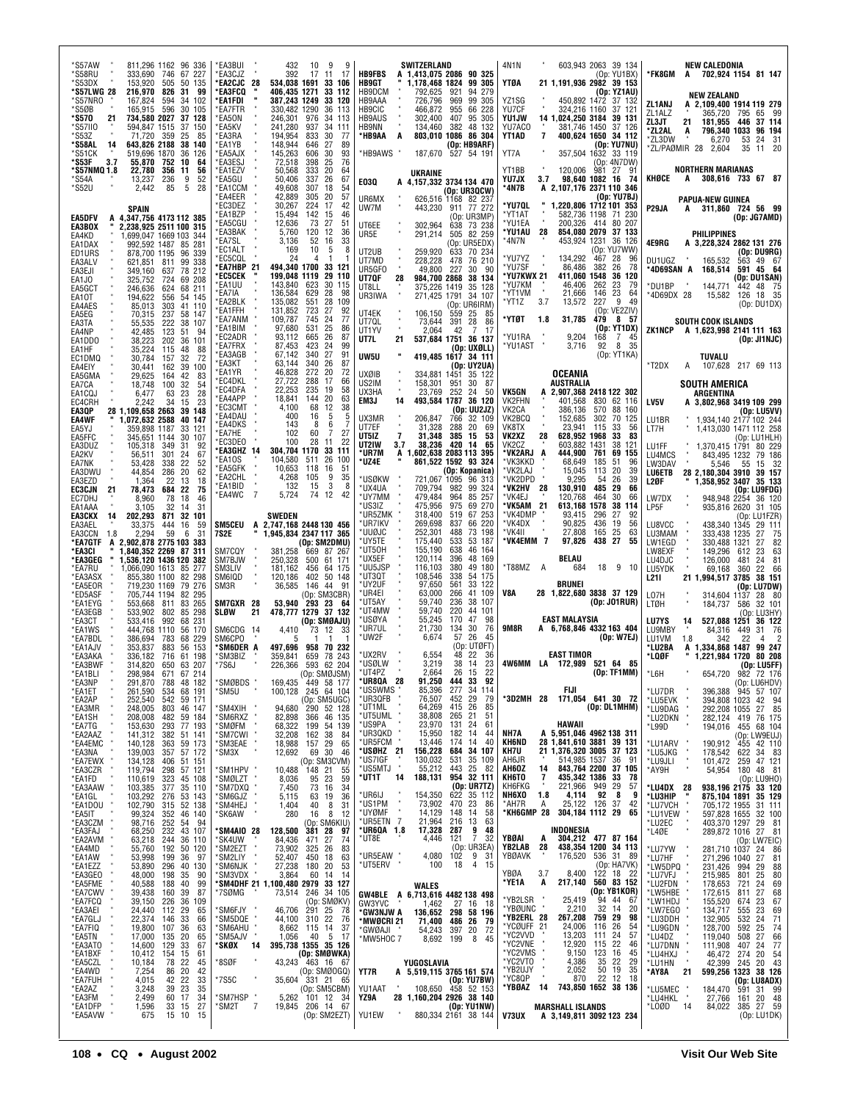| `S57AW<br>811,296 1162 96 336<br>*S58RU<br>333,690 746<br>67 227<br>*S53DX<br>153,920<br>505<br>50 135<br>*S57LWG 28<br>216,970<br>826<br>31<br>99<br>*S57NRO<br>167,824<br>594<br>34 102<br>*S5ØB<br>165,915 596<br>30 105<br>*S570<br>734,580 2027<br>37 128<br>21<br>'S57II0<br>594,847 1515<br>37<br>150<br><i><b>S53Z</b></i><br>359<br>25<br>71,720<br>85<br>643,826 2188 38 140<br>*S58AL<br>14<br>ʻS51CK<br>519,696 1870<br>36<br>126<br>55,870 752<br>10<br>*S53F<br>3.7<br>64<br>*S57NMQ 1.8<br>22,780<br>356<br>-11<br>56<br>236<br>9<br>52<br>*S54A<br>13,237<br>5<br>*S52U<br>2.442<br>85<br>28<br>SPAIN<br>A 4,347,756 4173 112 385<br><b>EA5DFV</b><br>2.238.925 2511 100 315<br>EA3BOX<br>1.699.047 1669 103<br>EA4KD<br>-344<br>992,592 1487 85 281<br>EA1DAX<br>878,700 1195 96 339<br>ED1URS<br>621,851 811 99 338<br>EA3ALV<br>78 212<br>EA3EJI<br>349,160<br>637<br>69 208<br>724<br>325,752<br>EA1JO<br>EA5GCT<br>246,636<br>624<br>68 211                                                                                                                                                                                                                                                                                                                                                                                                                                                                                                                                                                                                                                                                                                                                                                                                                                                                                                                                                                                                                                                                                                                                                                                                                                                                                                                                                                                                                                                                                                                                                                                                                                                                                                                                                                                                                                                                                                                                                                                                                                                                                                                                                                                                                                                                                                                                                                                                                                 | 'EA3BUI<br>432<br>10<br>9<br>- 9<br>EA3CJZ<br>392<br>17 11<br>-17<br><b>EA2CJC 28</b><br>534,038 1691<br>33 106<br><b>EA3FCQ</b><br>406.435 1271<br>33 112<br>'EA1FDI<br>387,243 1249<br>33 120<br><b>EA7FTR</b><br>330,482 1290<br>36 113<br>EA50N<br>246,301 976<br>34 113<br>EA5KV<br>241,280<br>937<br>34 111<br>833<br>EA3RA<br>194,954<br>30<br>-77<br>EA1YB<br>148,944<br>646<br>27<br>89<br>EA5AJX<br>145,263<br>606<br>30<br>93<br>EA3ESJ<br>72,518<br>398<br>25<br>76<br>EA1EZV<br>333<br>20<br>50,568<br>64<br>337<br>26<br>67<br>EA5GU<br>50,406<br>'EA1CCM<br>49,608<br>307<br>18<br>54<br>'EA4EER<br>42,889<br>57<br>305<br>20<br><b>EC3DEZ</b><br>30,267<br>224<br>17<br>42<br>EA1BZP<br>15,494<br>142<br>15<br>46<br>27<br>EA5CGU<br>51<br>12,636<br>73<br>EA3BAK<br>5,760<br>120<br>12<br>36<br>EA7SL<br>3,136<br>52<br>16<br>33<br>EC1ALT<br>169<br>10<br>5<br>8<br>EC5CQL<br>24<br>4<br>-1<br><b>EA7HBP 21</b><br>494,340 1700<br>33 121<br><b>EC5CEK</b><br>199,048 1119<br>29 110<br>143,840<br>EA1UU<br>623<br>30<br>115<br>EA7IA<br>136,584<br>629<br>28<br>98                                                                                                                                                                                                                                                                                                                                                                                                                                                                                                                                                                                                                                                                                                                                                                                                                                                                                                                                                                                                                                                                                                                                                                                                                                                                                                                                                                                                                                                                                                                                                                                                                                                                                                                                                                                     | SWITZERLAND<br><b>HB9FBS</b><br>A 1,413,075 2086 90 325<br>HB9GT<br>1,178,468 1824<br>99 305<br>HB9DCM<br>792,625<br>921<br>94 279<br>HB9AAA<br>726,796<br>969<br>99 305<br>HB9CIC<br>466,872<br>955<br>66 228<br><b>HB9AUS</b><br>302,400<br>95 305<br>407<br>HB9NN<br>382<br>48 132<br>134,460<br>803,010 1086 86 304<br>*HB9AA<br>A<br>(Op: HB9ARF)<br>*HB9AWS<br>187,670<br>527 54 191<br>UKRAINE<br>E03Q<br>A 4,157,332 3734 134 470<br>(Op: UR3QCW)<br>UR6MX<br>626,516 1168 82 237<br>UW7M<br>443,230<br>911 77 272<br>(Op: UR3MP)<br>UT6EE<br>302.964<br>638 73 238<br>UR5E<br>505 82 259<br>291,214<br>(Op: UR5EDX)<br>UT2UB<br>259,920<br>633 70 234<br>228,228<br>UT7MD<br>478<br>76 210<br>49,800<br>227<br>UR5GFO<br>30<br>-90<br>UT7QF<br>984,700 2868<br>38 134<br>28<br>375,226 1419<br>35 128<br>UT8LL                                                                                                                                                                                                                                                                                                                                                                                                                                                                                                                                                                                                                                                                                                                                                                                                                                                                                                                                                                                                                                                                                                                                                                                                                                                                                                                                                                                                                                                                                                                                                                                                                                                                                                                                                                                                                                                                                                                                                                                                                                                                             | 4N1N<br>603,943 2063 39 134<br>(Op: YU1BX)<br>YTØA<br>21 1,191,936 2982 39 153<br>(Op: YZ1AU)<br>YZ1SG<br>450,892 1472 37 132<br>324,216 1160<br>YU7CF<br>37 121<br>YU1JW<br>14 1,024,250 3184<br>39 131<br>381,746 1450<br>YU7ACO<br>37 126<br>YT1AD<br>7<br>400,624 1650 34 112<br>(Op: YU7NU)<br>YT7A<br>357.504 1632 33 119<br>(Op: 4N7DW)<br>YT1BB<br>120,006<br>981 27<br>91<br>98,640 1082 16 74<br>3.7<br>YU7JX<br>*4N7B<br>A 2,107,176 2371 110 346<br>(Op: YU7BJ)<br>*YU7QL<br>1,220,806 1712 101 353<br>*YT1AT<br>582,736 1198<br>71 230<br>200,326 414 80 207<br>*YU1EA<br>28<br>854,080 2079 37 133<br>*YU1AU<br>453,924 1231 36 126<br>*4N7N<br>(Op: YU7WW)<br>*YU7YZ<br>134,292<br>28<br>467<br>96<br>*YU7SF<br>86,486<br>382<br>26<br>78<br>*YU7KWX 21<br>411,060 1548<br>36 120<br>*YU7KM<br>46,406<br>262<br>23<br>79<br>×<br>*YT1VM<br>21,666<br>23<br>146<br>64                                                                                                                                                                                                                                                                                                                                                                                                                                                                                                                                                                                                                                                                                                                                                                                                                                                                                                                                                                                                                                                                                                                                                                                                                                                                                                                                                                                                                                                                                                                                                                                                                               | <b>NEW CALEDONIA</b><br>*FK8GM<br>A 702,924 1154 81 147<br><b>NEW ZEALAND</b><br>ZL1ANJ<br>A 2.109.400 1914 119 279<br>ZL1ALZ<br>795<br>365,720<br>65 99<br>ZL3JT<br>181,955<br>446<br>21<br>37 114<br>*ZL2AL<br>796,340 1033<br>96 194<br>A<br>*ZL3DW<br>6,270<br>24<br>31<br>53<br>*ZL/PAØMIR 28 2.604<br>20<br>35<br>11<br><b>NORTHERN MARIANAS</b><br>KHØCE<br>308,616 733 67 87<br>A<br><b>PAPUA-NEW GUINEA</b><br>P <sub>29</sub> JA<br>311,860 724 56 99<br>A<br>(Op: JG7AMD)<br><b>PHILIPPINES</b><br>4E9RG<br>A 3,228,324 2862 131 276<br>(Op: DU9RG)<br>DU1UGZ<br>563 49 67<br>165,532<br>*4D69SAN A<br>591 45 64<br>168,514<br>(Op: DU1SAN)<br>- 8<br>*DU1BP<br>144,771<br>442 48 75                                                                                                                                                                                                                                                                                                                                                                                                                                                                                                                                                                                                                                                                                                                                                                                                                                                                                                                                                                                                                                                                                                                                                                                                                                                                                                                                                                                                                                                                                                                                                                                                                                                                                                                                                                                                                                                                                                                                                                                              |
|--------------------------------------------------------------------------------------------------------------------------------------------------------------------------------------------------------------------------------------------------------------------------------------------------------------------------------------------------------------------------------------------------------------------------------------------------------------------------------------------------------------------------------------------------------------------------------------------------------------------------------------------------------------------------------------------------------------------------------------------------------------------------------------------------------------------------------------------------------------------------------------------------------------------------------------------------------------------------------------------------------------------------------------------------------------------------------------------------------------------------------------------------------------------------------------------------------------------------------------------------------------------------------------------------------------------------------------------------------------------------------------------------------------------------------------------------------------------------------------------------------------------------------------------------------------------------------------------------------------------------------------------------------------------------------------------------------------------------------------------------------------------------------------------------------------------------------------------------------------------------------------------------------------------------------------------------------------------------------------------------------------------------------------------------------------------------------------------------------------------------------------------------------------------------------------------------------------------------------------------------------------------------------------------------------------------------------------------------------------------------------------------------------------------------------------------------------------------------------------------------------------------------------------------------------------------------------------------------------------------------------------------------------------------------------------------------------------------------------------------------------------------------------------------------------------------------------------------------------------------------------------------------------------------------------------------------------------------------------------------------------------------------------------------------------------------------------------------------------------------------------------------------------------------------------------------------------------------------------------------------------------------------------------------------------------------------------------------------------------------------------------------------|---------------------------------------------------------------------------------------------------------------------------------------------------------------------------------------------------------------------------------------------------------------------------------------------------------------------------------------------------------------------------------------------------------------------------------------------------------------------------------------------------------------------------------------------------------------------------------------------------------------------------------------------------------------------------------------------------------------------------------------------------------------------------------------------------------------------------------------------------------------------------------------------------------------------------------------------------------------------------------------------------------------------------------------------------------------------------------------------------------------------------------------------------------------------------------------------------------------------------------------------------------------------------------------------------------------------------------------------------------------------------------------------------------------------------------------------------------------------------------------------------------------------------------------------------------------------------------------------------------------------------------------------------------------------------------------------------------------------------------------------------------------------------------------------------------------------------------------------------------------------------------------------------------------------------------------------------------------------------------------------------------------------------------------------------------------------------------------------------------------------------------------------------------------------------------------------------------------------------------------------------------------------------------------------------------------------------------------------------------------------------------------------------------------------------------------------------------------------------------------------------------------------------------------------------------------------------------------------------------------------------------------------------------------------------------------------------------------------------------------------------------------------------------------------------------------------------------------------------------------------------|-----------------------------------------------------------------------------------------------------------------------------------------------------------------------------------------------------------------------------------------------------------------------------------------------------------------------------------------------------------------------------------------------------------------------------------------------------------------------------------------------------------------------------------------------------------------------------------------------------------------------------------------------------------------------------------------------------------------------------------------------------------------------------------------------------------------------------------------------------------------------------------------------------------------------------------------------------------------------------------------------------------------------------------------------------------------------------------------------------------------------------------------------------------------------------------------------------------------------------------------------------------------------------------------------------------------------------------------------------------------------------------------------------------------------------------------------------------------------------------------------------------------------------------------------------------------------------------------------------------------------------------------------------------------------------------------------------------------------------------------------------------------------------------------------------------------------------------------------------------------------------------------------------------------------------------------------------------------------------------------------------------------------------------------------------------------------------------------------------------------------------------------------------------------------------------------------------------------------------------------------------------------------------------------------------------------------------------------------------------------------------------------------------------------------------------------------------------------------------------------------------------------------------------------------------------------------------------------------------------------------------------------------------------------------------------------------------------------------------------------------------------------------------------------------------------------------------------------------------------------------------------------------------|-------------------------------------------------------------------------------------------------------------------------------------------------------------------------------------------------------------------------------------------------------------------------------------------------------------------------------------------------------------------------------------------------------------------------------------------------------------------------------------------------------------------------------------------------------------------------------------------------------------------------------------------------------------------------------------------------------------------------------------------------------------------------------------------------------------------------------------------------------------------------------------------------------------------------------------------------------------------------------------------------------------------------------------------------------------------------------------------------------------------------------------------------------------------------------------------------------------------------------------------------------------------------------------------------------------------------------------------------------------------------------------------------------------------------------------------------------------------------------------------------------------------------------------------------------------------------------------------------------------------------------------------------------------------------------------------------------------------------------------------------------------------------------------------------------------------------------------------------------------------------------------------------------------------------------------------------------------------------------------------------------------------------------------------------------------------------------------------------------------------------------------------------------------------------------------------------------------------------------------------------------------------------------------------------------------------------------------------------------------------------------------------------------------------------------------------------------------------------------------------------------------------|----------------------------------------------------------------------------------------------------------------------------------------------------------------------------------------------------------------------------------------------------------------------------------------------------------------------------------------------------------------------------------------------------------------------------------------------------------------------------------------------------------------------------------------------------------------------------------------------------------------------------------------------------------------------------------------------------------------------------------------------------------------------------------------------------------------------------------------------------------------------------------------------------------------------------------------------------------------------------------------------------------------------------------------------------------------------------------------------------------------------------------------------------------------------------------------------------------------------------------------------------------------------------------------------------------------------------------------------------------------------------------------------------------------------------------------------------------------------------------------------------------------------------------------------------------------------------------------------------------------------------------------------------------------------------------------------------------------------------------------------------------------------------------------------------------------------------------------------------------------------------------------------------------------------------------------------------------------------------------------------------------------------------------------------------------------------------------------------------------------------------------------------------------------------------------------------------------------------------------------------------------------------------------------------------------------------------------------------------------------------------------------------------------------------------------------------------------------------------------------------------------------------------------------------------------------------------------------------------------------------------------------------------------------------------------------------|
| EA10T<br>194,622<br>556<br>54 145<br>303<br>41 110<br>EA4AES<br>85,013<br>237<br>58 147<br>EA5EG<br>70,315<br>222<br>38<br>EA3TA<br>107<br>55,535<br>123<br>EA4NP<br>42.485<br>51<br>94<br>38,223<br>EA1DD0<br>202<br>36<br>101<br>35,224<br>88<br>EA1HF<br>115<br>48<br>32<br>72<br>EC1DMQ<br>30,784<br>157<br>162<br>39<br>100<br>EA4EIY<br>30,441<br>EA5GMA<br>29,625<br>164<br>42<br>83<br>EA7CA<br>18,748<br>100<br>32<br>54<br>6,477<br>23<br>28<br>EA1CQJ<br>63<br>EC4CRH<br>2,242<br>23<br>34<br>15<br>EA3QP<br>28 1,109,658 2663<br>-39<br>148<br><b>EA4WF</b><br>1,072,632 2588<br>40<br>147<br>EA5YJ<br>359,898 1187<br>33<br>121<br>345,651 1144<br>30<br>107<br>EA5FFC<br>EA3DUZ<br>92<br>105,318 349<br>31<br>301<br>67<br>EA2KV<br>56,511<br>24<br>22<br>52<br>EA7NK<br>53,428<br>338<br>44,854<br>EA3DWU<br>286<br>20<br>62<br>EA3EZD<br>1,364<br>22<br>13<br>18<br><b>EC3CJN</b><br>78,473<br>684<br>22<br>75<br>21<br>EC7DHJ<br>8,960<br>78<br>18<br>46<br>31<br>EA1AAA<br>3.105<br>32<br>14<br><b>EA3CKX</b><br>14<br>202,293<br>871<br>32 101<br>16<br>59<br>EA3AEL<br>33,375<br>444<br>EA3CCN<br>59<br>1.8<br>2,294<br>6<br>31<br>*ea7gtf<br>2,902,878 2775 103 383<br>A<br>*EA3CI<br>1,840,352 2269 87 311<br>*EA3GEG<br>1,536,120 1436 120 382<br>1,066,090 1613 85<br>277<br>*EA7RU<br>855,380 1100<br>82 298<br>*EA3ASX<br>79 276<br>719,230 1169<br>*EA5EOR<br>*ED5ASF<br>705.744 1194<br>82 295<br>553,668 811<br>*EA1EYG<br>83 265<br>*EA3EGB<br>533,902 802<br>85 298<br>533,416 992<br>231<br>*EA3CT<br>68<br>*EA1WS<br>444.768 1110<br>56 170<br>*EA7BDL<br>386,694<br>783<br>68 229<br>883<br>*EA1AJV<br>353.837<br>56 153<br>61 198<br>*ЕАЗАКА<br>336.182<br>716<br>207<br>*EA3BWF<br>314,820<br>650<br>63<br>67 214<br>*EA1BLI<br>298,984<br>671<br>'EA3NP<br>291,870 788 48 182<br>*EA1ET<br>261,590<br>534 68 191<br>*EA2AP<br>252,540 542 59 171<br>EARNIR<br>* EA3MR<br>* EA7TG<br>* EA7TG<br>46 147<br>248,005<br>208,008<br>803<br>482 59 184<br>293 77 193<br>153,630<br>*EA2AAZ<br>141,312<br>382 51 141<br>*EA4EMC<br>59 173<br>140,128<br>363<br>*EA3NA<br>*EA7EWX<br>*EA3CZR<br>*EA1FD<br>*EA3AAM<br>57 172<br>$139,003$<br>$134,128$<br>$119,794$<br>357<br>406<br>51 151<br>57 121<br>298<br>323<br>110,619<br>45 108<br>*EA3AAW<br>103,385<br>377<br>35 110<br>EASAAW<br>*EA1GL<br>*EA5IT<br>*EA3CZM<br>*EA3FAJ<br>*EA3FAJ<br>103,292<br>102,790<br>53 143<br>276<br>52 138<br>315<br>99,324<br>352 46 140<br>98,716<br>252 54<br>94<br>68,250<br>232<br>43 107<br>" EASFAJ<br>"EA2AVM"<br>"EA1AW"<br>"EA1EZZ<br>"EA3GEO<br>"EA7CW"<br>"EA7CU<br>"EA3AEI<br>"EA3AEI<br>"EA3AEI<br>63,218<br>55,760<br>244<br>36 110<br>50 120<br>192<br>53,998<br>36<br>199<br>- 97<br>53,890<br>296 40<br>130<br>35<br>48,000 198<br>90<br>40<br>99<br>40,588<br>39,438<br>188<br>39<br>87<br>160<br>39,150<br>36<br>226<br>109<br>24,440 112<br>29<br>65<br>"EASAEL"<br>"EATGLJ<br>"EATFIQ"<br>"EASATO<br>"EASACZL<br>"EASCZLD<br>"EATFIDAT"<br>"EASAM"<br>"EATFUH"<br>"EATFUH"<br>"EATFUH"<br>"EATFUH"<br>22,374 146<br>33<br>66<br>107<br>19,800<br>17,000<br>63<br>36<br>135<br>20<br>65<br>14,600 129<br>33<br>67<br>10,412 154<br>15<br>61<br>10,184<br>78<br>22<br>45<br>86<br>20<br>42<br>7,254<br>4,015<br>33<br>42<br>22<br>35<br>39<br>23<br>3,248<br>2,499<br>60<br>17<br>34<br>*EA1DFP<br>27<br>1,596<br>33<br>15<br>*EA5AVW<br>15 10<br>675<br>15 | EA2BLK<br>135,082<br>551<br>28<br>109<br>723<br>27<br>EA1FFH<br>131,852<br>92<br>EA7ANM<br>77<br>109.787<br>745<br>24<br>EA1BIM<br>97,680 531<br>25<br>86<br>EC2ADR<br>93,112 665<br>26<br>87<br>EA7FRX<br>423<br>24<br>99<br>87,453<br>27<br>91<br>340<br>EA3AGB<br>67,142<br>EA3KT<br>63,144<br>340<br>26<br>87<br>46,828<br>272<br>EA1YR<br>20<br>72<br>EC4DKL<br>27,722<br>288<br>17<br>66<br>EC4DFA<br>22,253<br>235<br>19<br>58<br>EA4APP<br>20<br>18,841<br>144<br>63<br>EC3CMT<br>4,100<br>68<br>12<br>38<br>EA4DAU<br>400<br>16<br>5<br>5<br>EA4DKS<br>143<br>8<br>6<br>7<br>EA7HE<br>102<br>60<br>7<br>27<br>EC3DEO<br>22<br>100<br>28<br>11<br>EA3GHZ 14<br>304,704 1170<br>33 111<br>EA10S<br>104,580<br>511<br>26<br>100<br>EA5GFK<br>10,653<br>118<br>16<br>51<br>EA2CHL<br>105<br>9<br>4,268<br>35<br>3<br>EA1BID<br>132<br>15<br>8<br>$\overline{7}$<br>EA4WC<br>5,724<br>74 12<br>-42<br><b>SWEDEN</b><br><b>SM5CEU</b><br>A 2,747,168 2448 130 456<br>7S2E<br>1,945,834 2347 117 365<br>(Op: SM2DMU)<br>SM7CQY<br>381,258<br>669 87 267<br>SM7BJW<br>250,328<br>500<br>61 171<br>SM3LIV<br>181,162<br>456<br>64 175<br>SM6IQD<br>402<br>50 148<br>120,186<br>SM3R<br>146<br>44<br>-91<br>36,585<br>(Op: SM3CBR)<br>53,940 293 23 64<br>SM7GXR 28<br>SLØW<br>21<br>478.777 1279 37 132<br>(Op: SMØAJU)<br>SM6CDG 14<br>4,410<br>73<br>12<br>33<br>SM6CPO<br>5<br>-1<br>'SM6DER A<br>497.696<br>958 70 232<br>SM3BIZ<br>359,841<br>78 243<br>659<br>226,366<br>593 62 204<br>'7S6J<br>(Op: SMØJSM)<br>449 58 177<br>SMØBDS<br>169,435<br>'SM5U<br>100,128 245 64 104<br>(Op: SM5UGC)<br>290 52 128<br>366 46 135<br>94,680<br>SM4XIH<br>SM6RXZ<br>82,898<br>54 139<br>'SMØFM<br>68,322<br>199<br>'SM7CWI<br>32,208<br>162<br>38<br>84<br>'SM3EAE<br>18,988<br>157<br>29<br>65<br>12,692<br>69<br>30<br>'SM3X<br>46<br>(Op: SM3CVM)<br>SM1HPV<br>10,488 148 21<br>55<br>'SMØLZT<br>8,036<br>95<br>23<br>59<br>'SM7DXQ<br>7,450<br>73<br>16<br>34<br>63<br>19<br>36<br>SM6GJZ<br>5,115<br>$\frac{8}{8}$<br>SM4HEJ<br>40<br>31<br>1,404<br>'SK6AW<br>280<br>16<br>12<br>(Op: SM6KIU)<br>381 28<br>SM4AIO 28<br>128,500<br>97<br>SK4UW<br>27<br>84,436<br>471<br>74<br>73,902<br>325 26<br>SM2EZT<br>83<br>'SM2LIY<br>52,407<br>450<br>63<br>18<br>'SM6NJK<br>27,238<br>180<br>20<br>53<br>'SM3VDX<br>3,864<br>60<br>14<br>14<br><b>SM4DHF 21 1,100,480 2979</b><br>00,480 2979 33 127<br>73,514 246 34 105<br>'7SØMG<br>(Op: SMØKV)<br>46,706<br>291 25<br>'SM6FJY<br>78<br>'SM5DQE<br>44,100<br>310<br>22<br>76<br>'SM6AHU<br>8,662 115<br>37<br>14<br>'SM5AJV<br>40<br>$5\phantom{.0}$<br>17<br>1,056<br>395,738 1355 35 126<br>*SKØX<br>14<br>(Op: SMØWKA)<br>'8SØF<br>43,243 463 16 67<br>(Op: SMØOGQ)<br>'7S5C<br>35,604 331 21 65<br>(Op: SM5CBM)<br>'SM7HSP "<br>101 12 34<br>5,262<br>$\overline{7}$<br>206 14 67<br>*SM2T<br>19,845<br>(Op: SM2EZT) | UR3IWA<br>271,425 1791 34 107<br>(Op: UR6IRM)<br>UT4EK<br>106,150<br>559 25<br>85<br>UT7QL<br>28<br>73,644<br>391<br>86<br>UT1YV<br>2,064<br>42<br>7<br>17<br>21<br>537,684 1751 36 137<br>UT7L<br>(Op: UXØLL)<br>UW5U<br>419,485 1617 34 111<br>(Op: UY2UA)<br><b>UXØIB</b><br>35 122<br>334,881<br>1451<br>US2IM<br>158,301<br>30<br>951<br>-87<br>UX3HA<br>23,769<br>252<br>24<br>50<br>EM3J<br>493.584 1787 36 120<br>14<br>(Op: UU2JZ)<br>UX3MR<br>206,847<br>766<br>32 109<br>UT7EF<br>31,328<br>20<br>288<br>69<br>UT5IZ<br>$\overline{7}$<br>31,348<br>385 15<br>53<br>38,236 420 14<br>UT2IW<br>3.7<br>65<br>*UR7M<br>A 1,602,638 2083 113 395<br>*UZ4E<br>861,522 1592 93 324<br>(Op: Kopanica)<br>*USØKW<br>96 313<br>721,067 1095<br>*UX4UA<br>99 324<br>709,794<br>982<br>*UY7MM<br>479,484<br>85 257<br>964<br>*US3IZ<br>475,956<br>975<br>69 270<br>*UR5ZMK<br>318,400<br>67 253<br>519<br>66 220<br>*UR7IKV<br>269,698<br>837<br>252,301<br>73 198<br>*UUØJC<br>488<br>*UY5TE<br>175,440<br>533<br>53 187<br>*UT50H<br>155,190<br>638<br>46 164<br>120,114<br>48 169<br>*UX5EF<br>396<br>*UU5JSP<br>49 180<br>116,103<br>380<br>*UT3QT<br>108,546<br>338<br>54 175<br>*UY2UF<br>97,650<br>561<br>33 122<br>*UR4EI<br>63,000<br>266<br>41 109<br>*UT5AY<br>59,740<br>236<br>38 107<br>*UT4MW<br>59,740<br>220<br>44 101<br>55,245<br>*USØYA<br>170<br>47<br>98<br>*UR7UL<br>21,730<br>134<br>30<br>76<br>*UW2F<br>6,674<br>57<br>26<br>45<br>(Op: UTØFT)<br>*UX2RV<br>48<br>22<br>6,554<br>36<br>*USØLW<br>3,219<br>38<br>14<br>23<br>*UT4PZ<br>2,664<br>26<br>15<br>22<br>'UR8QA<br>28<br>91,250<br>444<br>33<br>92<br>*US5WMS<br>85,396<br>277<br>34 114<br>*UR3QFB<br>452<br>415<br>$\begin{array}{c} 29 \\ 26 \\ 21 \end{array}$<br>79<br>76,507<br>*UT1ML<br>85<br>64,269<br>*ut5uml<br>38,808<br>265<br>51<br>*US9PA<br>24<br>23,970<br>131<br>61<br>*UR3QKD<br>15,950<br>182<br>14<br>44<br>*UR5FCM<br>13,446<br>14<br>40<br>174<br>*USØHZ 21<br>156,228<br>684<br>34 107<br>*US7IGF<br>130,032<br>35 109<br>531<br>*US5MTJ<br>55,212<br>25<br>443<br>82<br>188,131<br>954 32 111<br>*UT1T<br>14<br>$(0p: URTT2)$<br>622 35 112<br>*UR6IJ<br>154,350<br>*US1PM<br>73,902<br>470 23<br>86<br>*UYØMF<br>14,129<br>148<br>14<br>58<br>21,964<br>*UR5ETN 7<br>216 13<br>63<br>9<br>48<br>*UR6QA 1.8<br>17,328<br>287<br>$\overline{7}$<br>32<br>*UT8E<br>4,446<br>121<br>(Op: UR3EA)<br>*UR5EAW<br>4,080<br>102<br>9 31<br>4 15<br>18<br>*UT5ERV<br>100<br>WALES<br>GW4BLE A 6,713,616 4482 138 498<br>GW3YVC<br>1,462<br>27 16 18<br>*GW3NJW A<br>136,652<br>298 58 196<br>71,400<br>486 26<br>*MWØCRI 21<br>79<br>397 20<br>72<br>*GWØAJI<br>54,243<br>*MW5HOC 7<br>8,692 199<br>8<br>45<br>YUGOSLAVIA<br>YT7R<br>A 5,519,115 3765 161 574<br>(Op: YU7BW)<br>458 52 153<br>YU1AAT<br>108,650<br>YZ9A<br>28 1,160,204 2926 38 140<br>(Op: YU1NW)<br>YU1EW<br>880,334 2161 38 144 | 227<br>3.7<br>9<br>*YT1Z<br>13,572<br>49<br>(Op: VE2ZIV)<br>*YTØT<br>31.785<br>479<br>857<br>1.8<br>(Op: YT1DX)<br>*YU1RA<br>9,204<br>168<br>7<br>45<br>8 35<br>*YU1AST<br>3,716<br>92<br>(Op: YT1KA)<br>OCEANIA<br>AUSTRALIA<br>A 2,907,368 2418 122 302<br><b>VK5GN</b><br><b>VK2FHN</b><br>401.568 830 62 116<br>VK2CA<br>386,136<br>570<br>88 160<br>VK2BCQ<br>152,685<br>302<br>70 125<br>23,941<br>VK8TX<br>115<br>33<br>56<br>VK2XZ<br>628,952 1968<br>28<br>33<br>83<br>603,882 1431<br>VK2CZ<br>38<br>-121<br>*VK2ARJ A<br>444.900 761<br>69 155<br>*VK3KKD<br>185<br>68,649<br>51<br>96<br>*VK2LAJ<br>15,045<br>113<br>20<br>39<br>*VK2DPD<br>9,295<br>54<br>26<br>39<br>*VK2HV<br>-28<br>130,910<br>485<br>29<br>66<br>*VK4EJ<br>120,768<br>464<br>30<br>66<br>*VK5AM<br>- 21<br>613,168 1578<br>38<br>114<br>*VK4DMP<br>93,415<br>296<br>27<br>92<br>*VK4DX<br>90,825<br>436<br>19<br>56<br>*VK4II<br>27,808<br>165<br>25<br>63<br>*VK4EMM 7<br>97,826<br>438 27<br>55<br><b>BELAU</b><br>*T88MZ<br>684<br>18<br>9<br>10<br>A<br>BRUNEI<br>V8A<br>28 1,822,680 3838 37 129<br>(Op: JO1RUR)<br><b>EAST MALAYSIA</b><br>9M8R<br>A 6,768,846 4332 163 404<br>(Op: W7EJ)<br><b>EAST TIMOR</b><br>4W6MM LA 172,989 521 64 85<br>(Op: TF1MM)<br>FIJI<br>*3D2MH 28<br>171,054 641 30 72<br>(Op: DL1MHM)<br>HAWAII<br>NH7A<br>A 5,951,046 4962 138 311<br><b>KH6ND</b><br>28 1,841,610 3881 39 131<br>21 1,376,320 3005 37 123<br>KH7U<br>AH6JR<br>514,985 1537<br>36<br>91<br>843,764 2200<br>AH6OZ<br>37 105<br>14<br>435,342 1386<br>KH6TO<br>33<br>7<br>78<br>221,966 949<br>4,114 92<br>29<br>KH6FKG<br>57<br>NH6X0<br>8<br>1.8<br>9<br>25,122 126<br>37<br>*AH7R<br>Α<br>42<br>*KH6GMP 28<br>304,184 1112 29<br>65<br>INDONESIA<br>YBØAI<br>304,212 477 87 164<br>A<br>28<br>438,354 1200 34 113<br>YB2LAB<br>YBØAVK<br>176,520<br>536 31 89<br>(Op: HA7VK)<br>$122$ 18 $22$<br>560 83 152<br>8,400<br>YBØA<br>3.7<br>217,140<br>*YE1A<br>A<br>(Op: YB1KOR)<br>*YB2LSR<br>25,419<br>94 44<br>67<br>*YBØUNC<br>2,210<br>32<br>14<br>20<br>*YB2ERL 28<br>759 29<br>267,208<br>98<br>*YCØUFF 21<br>116<br>24,006<br>26<br>54<br>*YC2VVD<br>13,203<br>111<br>24<br>57<br>*YC2VNE<br>*YC2VMS<br>12,920<br>115<br>22<br>46<br>9,150<br>123<br>16<br>45<br>*YC2VTO<br>$\begin{array}{c} 35 \\ 50 \end{array}$<br>22<br>4,386<br>29<br>*YB2UJY<br>2,052<br>19<br>35<br>22<br>12<br>*YC8QP<br>870<br>18<br>*YBØAZ<br>- 14<br>743,850 1652 38 136<br><b>MARSHALL ISLANDS</b><br>V73UX<br>A 3,149,811 3092 123 234 | *4D69DX 28<br>126 18 35<br>15,582<br>(Op: DUIDX)<br><b>SOUTH COOK ISLANDS</b><br>ZK1NCP A 1,623,998 2141 111 163<br>(Dp: JIMJC)<br>TUVALU<br>$*T2DX$<br>A 107,628 217 69 113<br><b>SOUTH AMERICA</b><br><b>ARGENTINA</b><br>LV5V<br>A 3,802,968 3419 109 299<br>(Op: LU5VV)<br>1.934.140 2177 102 244<br>LU1BR<br>LT7H<br>1,413,030 1471 112 258<br>(Op: LU1HLH)<br>1,370,415 1791<br>LU1FF<br>80 229<br>LU4MCS<br>843,495 1232<br>79 186<br>LW3DAV<br>5,546<br>55<br>15 32<br><b>LU6ETB</b><br>28 2,180,304 3910 39 157<br>L2ØF<br>1,358,952 3407 35 133<br>(Op: LU9FDG)<br>LW7DX<br>948,948 2254 36 120<br>LP5F<br>935,816 2620 31 105<br>(Op: LU1FZR)<br>LU8VCC<br>438,340 1345 29 111<br>LU3MAM<br>333,438 1235<br>27 75<br>LW1EGD<br>330,488 1321<br>27<br>82<br>LW8EXF<br>149,296<br>612<br>23<br>63<br>LU4DJC<br>126,000<br>481<br>24<br>81<br>LU5YDK<br>22<br>69,168<br>360<br>66<br>L211<br>21 1,994,517 3785 38 151<br>(Op: LU7DW<br>L07H<br>314,604 1137<br>28 80<br>LTØH<br>184,737<br>586 32 101<br>(Op: LU3HY)<br><b>LU7YS</b><br>527,088 1251<br>36 122<br>14<br>31 76<br>LU9MBY<br>84,316<br>449<br>LU1VM<br>342<br>22<br>$\overline{2}$<br>1.8<br>4<br>*LU2BA<br>A 1,334,868 1487<br>99 247<br>*LQØF<br>1,221,984 1720<br>80 208<br>(0p:LU5FF)<br>$*$ L6H<br>654,720<br>982 72 176<br>(Op: LU6HDV<br>945 57 107<br>*LU7DR<br>396,388<br>394,808 1023 42 94<br>*LU5EVK<br>*LU9DAG<br>292,208 1055<br>27 85<br>*LU2DKN<br>282,124 419<br>76 175<br>*L99D<br>194,016<br>455 68 104<br>(Op: LW9EUJ)<br>455 42 110<br>*LU1ARV<br>190,912<br>*LU5JKG<br>178,542<br>622<br>34 83<br>*LU9JLI<br>101,472<br>259 47 121<br>*AY9H<br>54,954<br>180 48 81<br>(Op: LU9HO)<br>*LU4DX<br>28<br>938,196 2175 33 120<br>*LU3HIP<br>875,104 1891 35 129<br>*LU7VCH<br>705,172 1955<br>31 111<br>*LU1VEW<br>597,828 1655<br>32 100<br>*LU2EC<br>403,370 1297<br>289,872 1016<br>29<br>81<br>27 81<br>*L4ØE<br>(Op: LW7EIC)<br>*LU7YW<br>281,710 1037<br>24 86<br>*LU7HF<br>271,296 1040<br>27<br>81<br>*LW5DPQ<br>231,426<br>994<br>29<br>88<br>*LU7VFJ<br>215,985<br>80<br>801<br>25<br>*LU2FDN<br>*LW5HBE<br>*LW1HDJ<br>*LU3DDH<br>69<br>178,653<br>24<br>721<br>172,615<br>68<br>811<br>27<br>155,520<br>23<br>67<br>674<br>134,717<br>555<br>23<br>69<br>132,905<br>24<br>71<br>532<br>*LU9GDN<br>*LU4DZ<br>128,700<br>592<br>25<br>74<br>66<br>119,040<br>508<br>27<br>*LU7DNN<br>111,908<br>407<br>24<br>77<br>*LU4HXJ<br>46,472<br>274<br>20<br>54<br>43<br>*LU1HN<br>42,399<br>245<br>20<br>21<br>599,256 1323 38 126<br>*AY8A<br>(Op: LU8ADX)<br>591 31 99<br>*LU5MEC<br>184,470<br>$\,$<br>*LU4HKL<br>27,766<br>20<br>48<br>161<br>385 27 59<br>*LOØD<br>14<br>84,022<br>(Op: LU1DK) |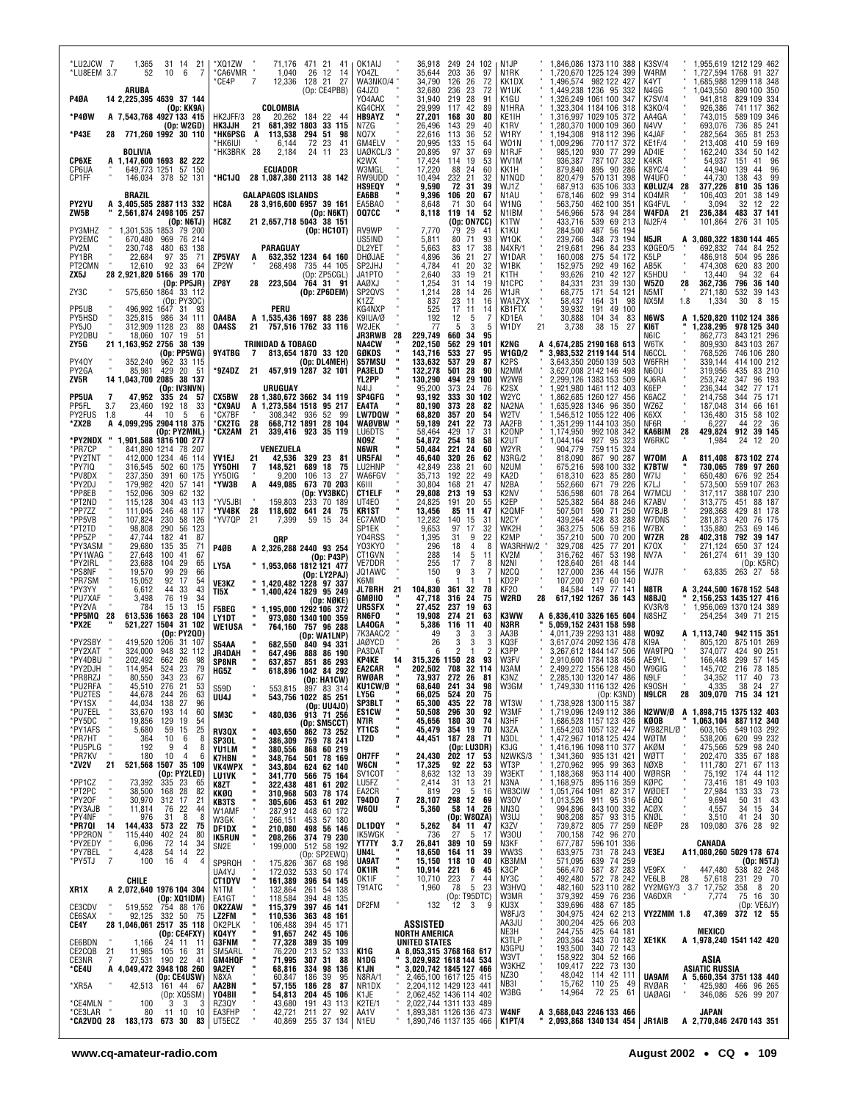| *LU2JCW 7<br>1,365<br>31 14 21<br>6<br>*LU8EEM 3.7<br>52<br>10<br>-7<br>ARUBA                         | *XQ1ZW<br>71,176<br>471 21 41<br>*CA6VMR<br>26 12 14<br>1,040<br>128 21 27<br>*CE4P<br>7<br>12,336<br>(Op: CE4PBB)      | OK1AIJ<br>Y04ZL<br>WA3NKO/4<br>G4JZ0 | 36,918<br>249 24 102<br>203<br>35,644<br>36<br>97<br>34,790<br>126<br>72<br>26<br>32,680<br>236<br>23<br>72 | N <sub>1</sub> JP<br>N1RK<br>KK1DX<br>W <sub>1</sub> UK | 1,846,086 1373 110 388<br>1,720,670 1225 124 399<br>1,496,574 982 122 427<br>1,449,238 1236 95 332 | <b>K3SV/4</b><br>1,955,619 1212 129 462<br>W4RM<br>1,727,594 1768 91 327<br>K4YT<br>1,685,988 1299 118 348<br>N4GG<br>1,043,550<br>890 100 350 |
|-------------------------------------------------------------------------------------------------------|-------------------------------------------------------------------------------------------------------------------------|--------------------------------------|-------------------------------------------------------------------------------------------------------------|---------------------------------------------------------|----------------------------------------------------------------------------------------------------|------------------------------------------------------------------------------------------------------------------------------------------------|
| P4ØA<br>14 2,225,395 4639 37 144<br>(Ор: КК9А)                                                        | COLOMBIA                                                                                                                | Y04AAC<br>KG4CHX                     | 31,940<br>219<br>28<br>91<br>29,999<br>117<br>42<br>89                                                      | K1GU<br>N1HRA                                           | 1,326,249 1061 100 347<br>1,323,304 1184 106 318                                                   | <b>K7SV/4</b><br>829 109 334<br>941,818<br>K3K0/4<br>741 117 362<br>926,386                                                                    |
| *P4ØW<br>A 7,543,768 4927 133 415<br>(Op: W2GD)                                                       | <b>HK2JFF/3 28</b><br>20,262 184 22 44<br>681,392 1803<br><b>HK3JJH</b><br>21<br>33 115                                 | <b>HB9AYZ</b><br>N7ZG                | 27,201<br>168<br>30<br>80<br>26,496<br>143<br>29<br>40                                                      | KE1IH<br>K1RV                                           | 1,316,997 1029 105 372<br>1,280,370 1000 109<br>360                                                | 589 109 346<br>AA4GA<br>743,015<br>N4VV<br>85 241<br>693,076<br>736                                                                            |
| *P43E<br>771.260 1992 30 110<br>28                                                                    | *HK6PSG<br>A<br>113,538<br>294 51<br>98<br>*HK6IUI<br>6,144<br>72 23<br>41                                              | NQ7X<br>GM4ELV                       | 22,616<br>113<br>36<br>52<br>20,995<br>133<br>15<br>64                                                      | W1RY<br>W01N<br>1,009,296                               | 1,194,308 918 112<br>396<br>770 117 372                                                            | 81 253<br>K4JAF<br>282,564<br>365<br>KE1F/4<br>59 169<br>213,408<br>410                                                                        |
| BOLIVIA<br>A 1,147,600 1693 82 222<br>CP6XE                                                           | *HK3BRK 28<br>2,184<br>24 11<br>23                                                                                      | UAØKCL/3<br>K2WX                     | 20,895<br>97<br>37<br>69<br>17,424<br>114<br>19<br>53                                                       | N1RJF<br>985,120<br>WV1M<br>936,387                     | 930 77 299<br>787 107 332                                                                          | AD4IE<br>162,240<br>50 142<br>334<br>K4KR<br>54,937<br>41 96<br>151                                                                            |
| CP6UA<br>649,773 1251 57 150<br>CP1FF<br>146,034 378 52 131                                           | <b>ECUADOR</b><br>*HC1JQ 28 1,087,380 2113 38 142                                                                       | W3MGL<br>RW9UDD                      | 17,220<br>88<br>24<br>60<br>10.494<br>232<br>21<br>32                                                       | KK1H<br>879,840<br>N1NQD<br>820,479                     | 895 90 286<br>570 131 398                                                                          | K8YC/4<br>44,940<br>96<br>139<br>44<br>W4UF0<br>44,730<br>138<br>43<br>- 99                                                                    |
| <b>BRAZIL</b>                                                                                         | <b>GALAPAGOS ISLANDS</b>                                                                                                | <b>HS9EQY</b><br>EA6BB               | 9,590<br>72<br>31<br>39<br>9,396<br>106<br>20<br>67                                                         | 687,913<br>WJ1Z<br>N1AU<br>678,146                      | 635 106 333<br>602 99 314                                                                          | KØLUZ/4<br>377,226<br>28<br>810<br>35 136<br>K04MR<br>106,403<br>201<br>38 149                                                                 |
| PY2YU<br>A 3,405,585 2887 113 332<br>ZW5B<br>2,561,874 2498 105 257                                   | HC8A<br>28 3,916,600 6957 39 161<br>(Op: N6KT)                                                                          | EA5BA0<br><b>007CC</b>               | 8,648<br>71<br>30<br>64<br>8,118<br>119<br>14<br>52                                                         | W1NG<br>563,750<br>N1IBM<br>546,966                     | 462 100 351<br>94 284<br>578                                                                       | KG4FVL<br>3,094<br>32<br>12 22<br>W4FDA<br>236,384<br>21<br>483<br>37 141                                                                      |
| (Dp: NGTJ)                                                                                            | HC8Z<br>21 2,657,718 5043 38 151                                                                                        |                                      | (Op: ON7CC)<br>41                                                                                           | K1TW<br>433,716                                         | 539<br>69 213                                                                                      | <b>NJ2F/4</b><br>101,864<br>276<br>31 105                                                                                                      |
| PY3MHZ<br>1,301,535 1853 79 200<br>PY2EMC<br>670.480 969 76 214<br>PV2M<br>230,748<br>480<br>63 138   | (Dp: HC10T)<br>PARAGUAY                                                                                                 | RV9WP<br>US5IND<br>DL2YET            | 7,770<br>79<br>29<br>5,811<br>80<br>71<br>93<br>38<br>5,663<br>83<br>17                                     | K1KU<br>284,500<br>239,766<br>W1QK<br>N4XR/1<br>219.681 | 487<br>56 194<br>73 194<br>348<br>296<br>84 233                                                    | N5JR<br>3,080,322 1830 144 465<br>A<br>KØGE0/5<br>692,832<br>84 252<br>744                                                                     |
| 22,684<br>97<br>35<br>71<br>PY1BR                                                                     | ZP5VAY<br>632,352 1234 64 160<br>A                                                                                      | DHØJAE                               | 21<br>4,896<br>36<br>27                                                                                     | W1DAR<br>160,008                                        | 275<br>54 172                                                                                      | 504<br>95 286<br>K5LP<br>486,918                                                                                                               |
| PT2CMN<br>12,610<br>92<br>33<br>64<br>ZX5J<br>28 2,921,820 5166<br>39 170                             | ZP2W<br>268,498 735 44 105<br>(Op: ZP5CGL)<br>ZP8Y<br>223,504 764 31 91                                                 | SP2JHJ<br>JA1PT0                     | 4,784<br>41<br>20<br>32<br>2,640<br>33<br>19<br>21<br>1,254<br>31<br>14<br>19                               | W <sub>1</sub> BK<br>152,975<br>K1TH<br>93,626          | 292<br>49 162<br>210<br>42 127                                                                     | AB5K<br>474.308<br>620<br>83 200<br>K5HDU<br>13,440<br>94<br>32 64<br>W5ZO<br>362,736<br>796<br>36 140<br>28                                   |
| (Op: PP5JR)<br>ZY3C<br>575,650 1864 33 112                                                            | 28<br>(Op: ZP6DEM)                                                                                                      | <b>AAØXJ</b><br>SP2QVS               | 1,214<br>28<br>14<br>26<br>23                                                                               | N1CPC<br>84,331<br>W1JR<br>68,775                       | 231<br>39 130<br>171<br>54 121                                                                     | N5MT<br>532<br>39 143<br>271,180<br>1,334<br>30<br>8<br>- 15                                                                                   |
| (Op: PY3OC)<br>PP5UB<br>496,992 1647 31<br>- 93                                                       | PERU                                                                                                                    | K1ZZ<br>KG4NXP                       | 837<br>11<br>16<br>525<br>17<br>11<br>14                                                                    | WA1ZYX<br>58,437<br><b>KB1FTX</b><br>39,932             | 31<br>164<br>98<br>191<br>49<br>100                                                                | NX5M<br>1.8                                                                                                                                    |
| PY5HSD<br>325,815 986<br>34<br>111<br>312,909 1128<br>PY5J0<br>23<br>88                               | A 1,535,436 1697 88 236<br>OA4BA<br>757,516 1762 33 116<br>OA4SS<br>21                                                  | K9IUA/Ø<br>W2JEK                     | 192<br>12<br>5<br>7<br>77<br>5<br>3<br>5                                                                    | KD1EA<br>30,888<br>W1DY<br>21<br>3,738                  | 104<br>-34<br>83<br>38<br>27<br>15                                                                 | <b>N6WS</b><br>1,520,820 1102 124 386<br>A<br>1,238,295<br>978 125 340<br>KI6T                                                                 |
| PY2DBU<br>18,060<br>107 19<br>-51<br>ZY5G<br>21 1,163,952 2756 38 139                                 | <b>TRINIDAD &amp; TOBAGO</b>                                                                                            | JR3RWB<br>- 28<br><b>NA4CW</b>       | 229,749<br>660<br>95<br>34<br>202,150<br>29<br>101<br>562                                                   | K2NG                                                    | A 4,674,285 2190 168 613                                                                           | 862,773<br>843 121 296<br>N6IC<br>W6TK<br>809,930<br>843 103 267                                                                               |
| (Op: PP5WG)<br>PY40Y<br>352.240<br>962<br>33 115                                                      | 9Y4TBG<br>813,654 1870 33 120<br>$\overline{7}$<br>(Op: DL4MEH)                                                         | GØKDS<br>S57MSU                      | 143,716<br>533<br>27<br>95<br>133,632<br>537<br>29<br>87                                                    | <b>W1GD/2</b><br>K2PS                                   | 3.983.532 2119 144 514<br>3,643,350 2050 139<br>503                                                | N6CCL<br>768,526<br>746 106 280<br>W6FRH<br>414 100 212<br>339,144                                                                             |
| PY2GA<br>85,981<br>429<br>20<br>-51<br>ZV5R<br>14 1,043,700 2085 38 137                               | *9Z4DZ 21<br>457.919 1287 32 101                                                                                        | <b>PA3ELD</b><br>YL2PP               | 132,278<br>501<br>28<br>90<br>130,290<br>494<br>29 100                                                      | N2MM<br>W2WB                                            | 3,627,008 2142 146 498<br>2,299,126 1383 153<br>509                                                | 319,956<br><b>N6OU</b><br>435<br>83 210<br>253,742<br>KJ6RA<br>347<br>96 193                                                                   |
| (Op: IV3NVN)<br><b>PP5UA</b><br>47.952<br>335 24<br>- 57<br>7                                         | URUGUAY<br><b>CX5BW</b><br>28 1,380,672 3662 34 119                                                                     | N4IJ<br>SP4GFG                       | 95,200<br>373<br>24<br>76<br>93.192<br>333<br>30 102                                                        | K2SX<br>W <sub>2</sub> YC                               | 1.921.980 1461 112 403<br>1,862,685 1260 127 456                                                   | K6EP<br>236,344<br>342<br>77 171<br>K6ACZ<br>214,758<br>344<br>75 171                                                                          |
| PP5FL<br>3.7<br>23,460<br>192 18<br>33<br>PY2FUS<br>10<br>5<br>6<br>1.8<br>44                         | *CX9AU<br>A 1,273,584 1518 95 217<br>308,342 936<br>52 99<br>*CX7BF                                                     | EA4TA<br><b>LW7DQW</b>               | 80,190<br>373<br>28<br>82<br>68,820<br>357<br>20<br>54                                                      | NA2NA<br>W2TV                                           | 1,635,928 1346 96<br>350<br>1,546,512 1055 122 406                                                 | WZ6Z<br>187,048<br>314<br>66 161<br>K6XX<br>136,480<br>315<br>58 102                                                                           |
| A 4,099,295 2904 118 375<br>*ZX2B<br>(Op: PY2MNL)                                                     | *CX2TG<br>668,712 1891 28 104<br>28<br>*CX2AM 21<br>339,416 923 35 119                                                  | <b>WAØVBW</b><br>LU6DTS              | 59,189<br>241<br>22<br>73<br>429<br>17<br>31<br>58,464                                                      | AA2FB<br>K <sub>2</sub> ONP                             | 1,351,299 1144 103 350<br>1,174,950 992 108 342                                                    | NF6R<br>6,227<br>22 36<br>44<br>429,824<br>912 39 145<br>KA6BIM<br>28                                                                          |
| *PY2NDX<br>1.901.588 1816 100 277<br>*PR7CP<br>841,890 1214 78 207                                    | VENEZUELA                                                                                                               | NO9Z<br>N6WR                         | 54,872<br>254<br>18<br>58<br>50,484<br>221<br>24<br>60                                                      | K2UT<br>1,044,164<br>W2YR<br>904,779                    | 927 95<br>323<br>759 115 324                                                                       | W6RKC<br>1,984<br>24<br>12 20                                                                                                                  |
| *PY2TNT<br>412,000 1234<br>46<br>114<br>*PY7IQ<br>502<br>316,545<br>60 175                            | 42,536<br>YV1EJ<br>21<br>329 23<br>- 81<br>YY50HI<br>148,521<br>689<br>7<br>18<br>-75                                   | UR5FAI<br>LU2HNP                     | 46,640<br>320<br>26<br>62<br>42,849<br>21<br>238<br>60                                                      | 818,090<br>N3RG/2<br>N2UM<br>675,216                    | 867 90 287<br>598 100 332                                                                          | W70M<br>811,408<br>873 102 274<br><b>K7BTW</b><br>730,065<br>789 97 260                                                                        |
| *PV8DX<br>237,350<br>391<br>60 175<br>179,982<br>*PY2DJ<br>420<br>57 141                              | YY50IG<br>9,200<br>106<br>13<br>27<br>*YW3B<br>449,085 673 70 203<br>A                                                  | WA6FGV<br>K6III                      | 192<br>22<br>35,713<br>49<br>30,804<br>168<br>21<br>47                                                      | 618,310<br>KA2D<br>N2BA<br>552,660                      | 85 280<br>623<br>671<br>79 226                                                                     | 676 92 254<br>W7IJ<br>650,480<br>K7LJ<br>573,500<br>559 107 263                                                                                |
| *PP8EB<br>152,096<br>309<br>62 132<br>*PT2ND<br>115,128<br>304<br>43 113                              | (Op: YV3BKC)<br>*YV5JBI<br>159,803<br>233 70 189                                                                        | CT1ELF<br>UT4E0                      | 29,808<br>213<br>19<br>53<br>24,825<br>191<br>20<br>55                                                      | K2NV<br>536,598<br>K2EP<br>525,382                      | 601<br>78 264<br>564<br>88 246                                                                     | W7MCU<br>388 107 230<br>317,117<br>88 187<br>K7ABV<br>313,775<br>451                                                                           |
| *PP7ZZ<br>111,045<br>246<br>48<br>117<br>*PP5VB<br>107,824<br>230<br>58<br>126                        | *YV4BK<br>28<br>118,602<br>641 24<br>- 75<br>21<br>*YV7QP<br>7,399<br>59 15<br>-34                                      | KR1ST<br>EC7AMD                      | 13,456<br>85<br>11<br>47<br>12,282<br>140<br>15<br>31                                                       | K2QMF<br>507,501<br>N2CY<br>439,264                     | 590<br>71 250<br>428<br>83 288                                                                     | W7BJB<br>298,368<br>81 178<br>429<br>W7DNS<br>281,873<br>420<br>76 175                                                                         |
| *PT2TD<br>98,808<br>290<br>56<br>123<br>*PP5ZP<br>47,744<br>182<br>87<br>41                           | QRP                                                                                                                     | SP1EK<br>Y04RSS                      | 9,653<br>97<br>17<br>32<br>1,395<br>31<br>9<br>22                                                           | WK2H<br>363,275<br>357,210<br>K2MP                      | 506<br>59 216<br>500<br>70 200                                                                     | W7BX<br>135,880<br>253<br>69 146<br><b>W7ZR</b><br>402,318<br>28<br>792<br>39 147                                                              |
| *PY3ASM<br>29,680<br>135<br>35<br>71<br>*PY1WAG<br>27,648<br>100<br>41<br>67                          | P4ØB<br>A 2,326,288 2440 93 254<br>(Op: P43P)                                                                           | YO3KYO<br>CT1GVN                     | 296<br>18<br>8<br>288<br>5<br>14<br>11                                                                      | 329,708<br>WA3RHW/2<br>KV2M<br>316,762                  | 77 201<br>425<br>467<br>53 198                                                                     | K70X<br>271,124<br>650<br>37 124<br>NV7A<br>261,274<br>611 39 130                                                                              |
| *PY2IRL<br>23,688<br>29<br>104<br>65<br>*PS8NF<br>19,570<br>99<br>29<br>66                            | LY5A<br>" 1,953,068 1812 121 477<br>(Op: LY2PAJ)                                                                        | VE7DDR<br>JQ1AWC                     | 255<br>17<br>8<br>150<br>9<br>3                                                                             | N2NI<br>128,640<br>N2CQ<br>127,000                      | 261<br>48 144<br>236<br>44 156                                                                     | (Op: K5RC)<br>WJ7R<br>63,835<br>263 27 58                                                                                                      |
| 92<br>*PR7SM<br>15,052<br>17<br>54<br>44<br>*PY3YY<br>6,612<br>33<br>43                               | <b>VE3KZ</b><br>" 1,420,482 1228 97 337<br>TI5X<br>1,400,424 1829 95 249                                                | K6MI<br>JL7BRH<br>21                 | 6<br>104,830<br>361<br>32<br>78                                                                             | KD2P<br>107,200<br>84,584<br>KF20                       | 217<br>60 140<br>149<br>77 141                                                                     | N8TR<br>A 3,244,500 1678 152 548                                                                                                               |
| 76<br>19<br>34<br>*PU7XAF<br>3,498<br>13<br>*PY2VA<br>15<br>15<br>784                                 | (Op: NØKE)<br>1,195,000 1292 106 372<br><b>F5BEG</b>                                                                    | GMØIIO<br>UR5SFX                     | 47,718<br>316<br>24<br>75<br>27,452<br>237<br>19<br>63                                                      | <b>W2RD</b><br>28                                       | 617,192 1267 36 143                                                                                | N8BJQ<br>2,156,253 1435 127 416<br>KV3R/8<br>1.956.069 1370 124 389                                                                            |
| 613,536 1663 28<br>*PP5MQ<br>-28<br>104<br>*PX2E<br>521,227 1504 31 102                               | LY1DT<br>973,080 1340 100 359<br><b>WE1USA</b><br>764,160 757 96 288                                                    | RN6FO<br>LA40GA                      | 19.908<br>274<br>21<br>63<br>5,386<br>116<br>11<br>40                                                       | K3WW<br>A<br>N3RR                                       | 6,836,410 3326 165 604<br>5,059,152 2431 158 598                                                   | N8SHZ<br>254,254 349 71 215                                                                                                                    |
| (Op: PY2QD)<br>*PY2SBY<br>419,520 1206<br>31 107                                                      | (Op: WA1LNP)<br><b>S54AA</b><br>682,550 840 94 331                                                                      | 7K3AAC/2<br>JAØYCD                   | 49<br>3<br>26<br>3<br>3<br>3                                                                                | AA3B<br>KQ3F                                            | 4,011,739 2293 131 488<br>3,617,074 2092 136 478                                                   | WO9Z<br>A 1,113,740<br>942 115 351<br>805,120<br>875 101 269<br>KI9A                                                                           |
| *PY2XAT<br>32 112<br>324,000<br>948<br>*PY4DBU<br>202,492<br>662<br>26<br>98                          | JR4DAH<br>647,496<br>888<br>86 190<br><b>SP8NR</b><br>637,857 851 86 293                                                | PA3DAT<br>KP4KE<br>14                | 2<br>2<br>6<br>1<br>315,326 1150 28<br>93                                                                   | K3PP<br>W3FV                                            | 3,267,612 1844 147 506<br>2,910,600 1784 138 456                                                   | <b>WA9TPQ</b><br>90 251<br>374,077<br>424<br>AE9YL<br>166,448<br>299<br>57 145                                                                 |
| 114,954<br>*PY2DJH<br>524<br>23<br>79<br>343<br>23<br>*PR8RZJ<br>80,550<br>67                         | 618,896 1042 84 292<br>HG5Z<br>(Op: HA1CW)                                                                              | EA2CAR<br>RWØAR                      | 202,502 708<br>32 114<br>73,937 272 26<br>81                                                                | N3AM<br>K3NZ                                            | 2,499,272 1556 128 450<br>2,285,130 1320 147 486                                                   | W9GIG<br>145,702<br>216 78 185<br>N9LF<br>34,352 117 40 73                                                                                     |
| *PU2RFA<br>*PU2TES<br>*PY1SX<br>45,510 276 21<br>44,678 244 26<br>44,034 138 27<br>53<br>63           | S59D<br>UU4J                                                                                                            | KU1CW/Ø<br>LY5G                      | 68,640<br>241 34<br>98<br>66,025<br>65,300<br>524<br>20<br>75                                               | W3GM                                                    | 1,749,330 1116 132 426<br>(Op: K3ND)<br>1,738,928 1300 115 387                                     | K90SH<br>4,335<br>38<br>24 27<br>309,070 715 34 121<br>N9LCR<br>28                                                                             |
| 96<br>*PU7EEL<br>*PY5DC<br>33,670<br>193<br>-14<br>60                                                 | 553,815 897 83 314<br>543,756 1022 85 251<br>(0p: UU4J0)<br>480,036 913 71 256<br>SM3C                                  | л<br>SP3BLT<br><b>ES1CW</b>          | 435 22<br>78<br>50,508<br>296<br>30<br>92                                                                   | WT3W<br>W3MF                                            | 1,719,096 1249 112 386                                                                             | N2WW/Ø<br>A 1,898,715 1375 132 403                                                                                                             |
| 19,856<br>129<br>19<br>54<br>*PY1AFS<br>25<br>5,680<br>59<br>15                                       | (Op: SM5CCT)<br>862 73 252<br>RV3QX<br>403,650                                                                          | ш<br>N7IR<br>YT1CS                   | 45,656<br>180<br>30<br>74<br>45,479<br>354<br>19<br>70                                                      | N3HF<br>N3ZA                                            | 1,686,528 1157 123 426<br>1,654,203 1057 132 447                                                   | KØOB<br>1,063,104<br>887 112 340<br>WB8ZRL/Ø<br>603,165<br>549 103 292                                                                         |
| *PR7HT<br>364<br>10<br>6<br>8<br>*PU5PLG<br>192<br>9<br>4<br>8                                        | 759 78 241<br>SP30L<br>386,309<br><b>YU1LM</b><br>380,556<br>868<br>60 219                                              | LT2D                                 | 187 28<br>44,451<br>71<br>(Op: LU3DR)                                                                       | N3DL<br>K3JG                                            | 1,472,967 1018 125 424<br>1,416,196 1098 110 377                                                   | 620<br>99 232<br>538,206<br>WØTM<br>475,566<br>529<br>98 240<br>AKØM                                                                           |
| *PR7KV<br>180<br>10<br>4<br>6<br>*ZV2V<br>521,568 1507 35 109<br>21                                   | <b>K7HBN</b><br>348,764<br>501<br>78 169<br>343,804<br>624 62 140<br><b>VK4WPX</b>                                      | OH7FF<br>W6CN                        | 202 17<br>53<br>24,430<br>17,325<br>92 22<br>53                                                             | N2WKS/3<br>WT3P                                         | 1,341,360 935 131 421<br>1,270,962 995 99 363                                                      | WØTT<br>202,470<br>335 67 188<br>111,780<br>271<br>67 113<br>NØXB                                                                              |
| (Op: PY2LED)<br>*PP1CZ<br>*PT2PC<br>73,392<br>335 23<br>65                                            | 75 164<br>61 202<br>78 174<br>341,770 566<br>322,438 481<br>310,968 503<br>LU1VK<br>K8ZT                                | SV <sub>1</sub> COT<br>LU5FZ         | 8,632<br>132<br>39<br>13<br>13<br>21<br>2,414<br>31                                                         | 1,188,368<br>W3EKT<br>N3NA                              | 953 114 400<br>1,168,975 895 116 359<br>1,051,764 1091 82 317                                      | WØRSR<br>75,192<br>174<br>44 112<br>KØPC<br>49 103<br>73,416<br>181                                                                            |
| 168 28<br>82<br>38,500<br>*PY20F<br>*PY3AJB<br>30,970<br>312<br>17<br>21                              | KKØQ<br>61 202<br><b>KB3TS</b><br>305,606 453                                                                           | EA2CR<br>7<br>T94DO                  | 5<br>16<br>819<br>29<br>298<br>12<br>28,107<br>69                                                           | WB3CIW<br>W30V<br>1,013,526                             | 911 95 316                                                                                         | 27,984<br>73<br>WØDET<br>133<br>33<br>$\frac{43}{34}$<br>AEØQ<br>9,694<br>50<br>31                                                             |
| 11,814<br>76<br>22<br>44<br>*PY4NF<br>976<br>31<br>8<br>8                                             | 287,912<br>60 172<br>W1AMF<br>448<br>453<br>W3GK                                                                        | W6QU                                 | 5,360<br>58<br>14<br>26<br>(Op: W8QZA)                                                                      | 994,896<br>NN3Q<br>W3UJ<br>908,208                      | 843 100 332<br>857 93 315                                                                          | <b>ACØX</b><br>4,557<br>34<br>15<br>KNØL<br>24<br>30<br>3,510<br>41                                                                            |
| *PR7QI 14<br>573 22<br><b>144,433</b><br>115,440<br>75<br>*PP2RON<br>402<br>24<br>80                  | 266,151<br><b>210,080</b><br>$\frac{57}{56}$ 180<br>56 146<br>79 230<br>498<br>DF1DX<br><b>IK5RUN</b><br>208,266<br>374 | DL1DQY<br>IK5WGK                     | 11<br>47<br>5,262<br>84<br>5<br>736<br>27<br>17                                                             | 739,872<br>K3ZV<br><b>W30U</b><br>700,158               | 805 77 259<br>742 96 270                                                                           | NEØP<br>28<br>376 28 92<br>109,080                                                                                                             |
| *PY2EDY<br>*PY7BEL<br>6,096<br>72<br>14<br>34<br>54 14<br>4,428<br>22                                 | SN <sub>2E</sub><br>199,000                                                                                             | YT7TY<br>3.7<br>UN4L                 | 389 10<br>26,841<br>59<br>18,650<br>164<br>11<br>39                                                         | N3KF<br>677,787<br>633,975<br>WW3S                      | 596 101 336<br>731<br>78 243                                                                       | CANADA<br>A11,080,260 5029 178 674<br>VE3EJ                                                                                                    |
| *PY5TJ<br>7<br>100<br>16<br>$\overline{4}$<br>$\overline{4}$                                          | 512 58 192<br>(Op: SP2EWQ)<br>367 68 198<br>533 50 174<br>SP9RQH<br>175,826<br>UA4YJ<br>172,032                         | UA9AT<br>OK1IR                       | 118<br>10<br>40<br>15,150<br>221<br>6<br>10,914<br>45                                                       | KB3MM<br>571,095<br>566,470<br>K3CP                     | 639<br>74 259<br>87 283<br>587                                                                     | (Op: N5TJ)<br>447,480<br>538 82 248<br>VE9FX                                                                                                   |
| CHILE<br>XR1X<br>A 2,072,640 1976 104 304                                                             | 396 54 145<br>161,389<br><b>CT1DYV</b><br>132,864<br>261<br>54 138<br>N1TM                                              | OK1IF<br>T91ATC                      | 223<br>10,710<br>7<br>44<br>1,960<br>78<br>5<br>23                                                          | 492,480<br>NY3C<br>W3HVQ<br>482,160                     | 572 78 242<br>523 110 282<br>459 76 236                                                            | VE6LB<br>28<br>57,618<br>231 29 70<br>VY2MGY/3 3.7<br>8 20<br>17,752<br>358                                                                    |
| (Op: XQ1IDM)<br>CE3CDV<br>519,552<br>754 88 176                                                       | 118,584<br>394<br>48 135<br>EA1GT<br>397<br>46 141<br>OK2ZAW<br>115,379                                                 | DF2FM                                | (Op: T95DTC)<br>12<br>$\mathbf{3}$<br>9<br>132                                                              | 379,392<br>W3MR<br>339,696<br>KU3X                      | 488<br>67 185                                                                                      | VA6DXR<br>75 16 30<br>7,774<br>(0p:VE6JY)                                                                                                      |
| 50 75<br>92,125<br>332<br>CE6SAX<br>28 1,046,061 2517 35 118<br>CE4Y                                  | 48 161<br>110,536<br>LZ2FM<br>363<br>106,488<br>394<br>45 171<br>OK2PLK                                                 |                                      | ASSISTED                                                                                                    | 304,975<br>W8FJ/3<br>300,204<br>AA3JU                   | 424<br>62 213<br>425<br>66 203                                                                     | <b>VY2ZMM 1.8</b><br>372 12 55<br>47,369                                                                                                       |
| (Op: CE4FXY)<br>$24$ 11 11<br><b>CE6BDN</b><br>1,166                                                  | KQ4YY<br>91,657<br>242<br>45 106<br>77,328<br>35 109<br><b>G3FNM</b><br>389                                             |                                      | NORTH AMERICA<br><b>UNITED STATES</b>                                                                       | 244,755<br>NE3H<br>203,364<br>K3TLP                     | 425<br>64 181<br>343<br>70 182                                                                     | MEXICO<br>XE1KK<br>A 1,978,240 1541 142 420                                                                                                    |
| CE2CQB<br>21<br>21 11,985 105 16 31<br>7 27,531 190 22 41<br><b>A 4,049,472 3948 108 260</b><br>CE3NR | 76,220<br>$\frac{52}{31}$ 133<br>$\frac{213}{307}$<br>SM5ARL<br>71,995<br>GM4HQF                                        | KI1G<br>N1DG                         | A 8,053,315 3768 168 617<br>3,029,982 1618 144 534                                                          | N3GPU<br>193,500<br>158,922<br>W3VT                     | 340 72 143<br>304<br>52 166                                                                        | ASIA                                                                                                                                           |
| *CE4U                                                                                                 | 98 136<br>68,816<br>334<br>9A2EY<br>N8XA<br>60,847<br>186<br>39<br>95                                                   | K1JN<br>N8RA/1                       | 3,020,742 1845 127 466                                                                                      | 109,417<br>W3KHZ<br>48,042<br>NZ30                      | 222<br>73 130<br>114<br>42 111                                                                     | ASIATIC RUSSIA<br>UA9AM<br>A 5,660,354 3751 138 440                                                                                            |
| (Op: CE4USW)<br>161 44 67<br>*XR5A<br>42,513                                                          | 87<br>AA2BN<br>57,155<br>186<br>28<br>204<br>Y04BII                                                                     | NR1DX<br>K1JE                        | 2,465,100 1617 125 415<br>2,204,112 1429 123 441<br>2,062,452 1436 114 402<br>2,022,744 1311 133 489        | NB3I<br>15,762<br>W3BG<br>14,964                        | 110 25<br>49<br>72 25<br>61                                                                        | <b>RVØAR</b><br>425,980 466 96 265<br><b>UAØAGI</b><br>346,086<br>526 99 207                                                                   |
| $(0p: XQ5SM)$<br>3 3 3<br>*CE4MLN<br>100<br>*CE3LAR<br>80<br>11 10<br>10                              | <b>45 106</b><br>43 113<br><b>54,813</b><br>43,680<br>191<br>RZ3QY<br>EA3FHP<br>42,721<br>211 27<br>92                  | K2TE/1<br>AA1V                       | 1,893,381 1126 136 473                                                                                      | <b>W4NF</b>                                             | A 3,688,043 2246 133 466                                                                           | JAPAN                                                                                                                                          |
| *CA2VDQ 28<br>183,173 673 30<br>83                                                                    | UT5ECZ<br>40,869<br>255 37 134                                                                                          | N1EU                                 | 1,890,746 1137 135 466                                                                                      | <b>K1PT/4</b>                                           | 2,093,868 1340 134 454                                                                             | JR1AIB<br>A 2,770,846 2470 143 351                                                                                                             |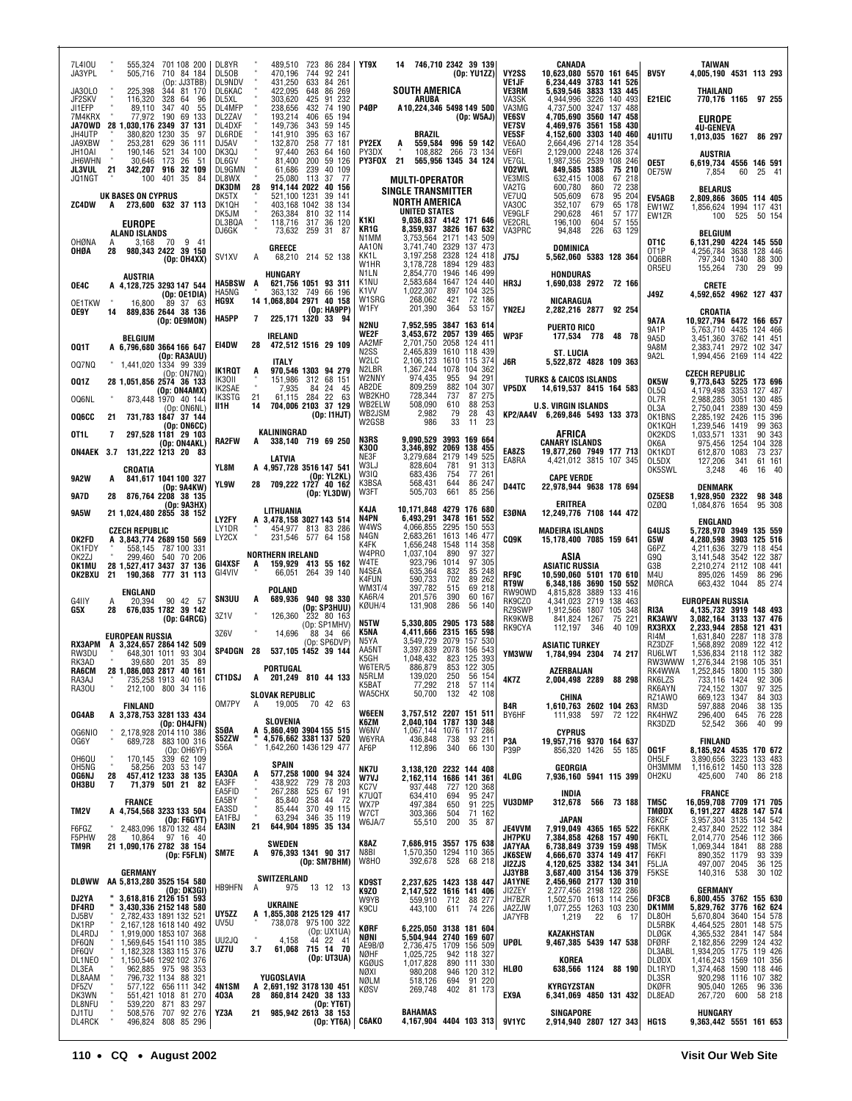|              | 7L410U<br>JA3YPL           |              | 555,324<br>505,716                          | 701 108 200<br>710 84 184                                                  | DL8YR<br>DL50B             |                      | 489,510<br>470.196                               | 723<br>744        | 86 284<br>92 241                                            | YT9X                         | 14 |                                                    |                 | 746,710 2342 39 139<br>(Op: YU1ZZ)                                         | VY2SS                                 | CANADA<br>10,623,080 5570 161 645                                          |                                |     | BV5Y                                | <b>TAIWAN</b><br>4,005,190 4531 113 293                            |             |                               |                  |
|--------------|----------------------------|--------------|---------------------------------------------|----------------------------------------------------------------------------|----------------------------|----------------------|--------------------------------------------------|-------------------|-------------------------------------------------------------|------------------------------|----|----------------------------------------------------|-----------------|----------------------------------------------------------------------------|---------------------------------------|----------------------------------------------------------------------------|--------------------------------|-----|-------------------------------------|--------------------------------------------------------------------|-------------|-------------------------------|------------------|
|              | JA30L0                     |              | 225,398                                     | (Op: JJ3TBB)<br>344 81 170                                                 | DL9NDV<br>DL6KAC           |                      | 431,250<br>422,095                               | 633               | 84 261<br>648 86 269                                        |                              |    | <b>SOUTH AMERICA</b>                               |                 |                                                                            | VE1JF<br><b>VE3RM</b>                 | 6,234,449 3783 141 526<br>5,639,546 3833 133 445                           |                                |     |                                     | THAILAND                                                           |             |                               |                  |
|              | JF2SKV<br>JI1EFP           |              | 116,320<br>89,110                           | 328<br>64 96<br>347<br>40<br>55                                            | DL5XL<br>DL4MFP            |                      | 303,620 425<br>238,656                           | 432               | 91 232<br>74 190                                            | P4ØP                         |    | ARUBA                                              |                 | A10,224,346 5498 149 500                                                   | VA3SK<br>VA3MG                        | 4,944,996 3226 140 493<br>4,737,500 3247 137 488                           |                                |     | E21EIC                              | 770,176 1165 97 255                                                |             |                               |                  |
|              | 7M4KRX<br>JA70WD<br>JH4UTP |              | 77.972<br>28 1,030,176 2349<br>380,820 1230 | 190<br>69<br>133<br>37 131<br>35<br>-97                                    | DL2ZAV<br>DL4DXF<br>DL6RDE |                      | 193,214<br>149,736<br>141,910                    | 406<br>343<br>395 | 65 194<br>59 145<br>63 167                                  |                              |    | BRAZIL                                             |                 | (Dp: W5AJ)                                                                 | <b>VE6SV</b><br><b>VE7SV</b><br>VE5SF | 4,705,690 3560 147 458<br>4.469.976 3561 158 430<br>4,152,600 3303 140     |                                | 460 |                                     | <b>EUROPE</b><br><b>4U-GENEVA</b>                                  |             |                               |                  |
|              | JA9XBW<br>JH10AI           |              | 253,281<br>190,146                          | 629<br>36 111<br>521<br>34 100                                             | DJ5AV<br>DK3QJ             |                      | 132,870<br>97,440                                | 258<br>263        | 77 181<br>64 160                                            | PY2EX<br>PY3DX               | A  | 559,584<br>108,882                                 | 266             | 996 59 142<br>73 134                                                       | VE6A0<br>VE6FI                        | 2,664,496 2714<br>2,129,000 2248                                           | 128<br>126 374                 | 354 | 4U1ITU                              | 1,013,035 1627                                                     |             | 86 297                        |                  |
|              | JH6WHN<br>JL3VUL           | 21           |                                             | 30,646 173 26 51<br>342,207 916 32 109                                     | DL6GV<br>DL9GMN            |                      | 81.400<br>61,686                                 | 200<br>239        | 59 126<br>40 109                                            | <b>PY3FOX 21</b>             |    |                                                    |                 | 565,956 1345 34 124                                                        | VE7GL<br>VO2WL                        | 1,987,356 2539<br>849,585 1385                                             | 108 246<br>75 210              |     | OE5T<br>0E75W                       | <b>AUSTRIA</b><br>6,619,734 4556 146 591<br>7,854                  | 60          | 25 41                         |                  |
|              | JQ1NGT                     |              | 100                                         | 401 35<br>84                                                               | DL8WX<br>DK3DM             | 28                   | 25,080 113 37                                    |                   | - 77<br>914,144 2022 40 156                                 |                              |    | <b>MULTI-OPERATOR</b><br><b>SINGLE TRANSMITTER</b> |                 |                                                                            | VE3MIS<br>VA2TG                       | 632,415 1008<br>600,780                                                    | 67 218<br>860<br>72 238        |     |                                     | <b>BELARUS</b>                                                     |             |                               |                  |
|              | <b>ZC4DW</b>               | A            | UK BASES ON CYPRUS                          | 273,600 632 37 113                                                         | DK5TX<br>DK1QH             |                      | 521,100 1231                                     |                   | 39 141<br>403,168 1042 38 134                               |                              |    | <b>NORTH AMERICA</b>                               |                 |                                                                            | VE7UQ<br>VA30C                        | 505,609<br>352,107                                                         | 678<br>95 204<br>679<br>65 178 |     | <b>EV5AGB</b><br>EW1WZ              | 2,809,866 3605 114 405<br>1,856,624 1994 117 431                   |             |                               |                  |
|              |                            |              | <b>EUROPE</b>                               |                                                                            | DK5JM<br>DL3BQA            |                      | 263,384 810                                      |                   | 32 114<br>118,716 317 36 120                                | K1KI<br>KR1G                 |    | <b>UNITED STATES</b>                               |                 | 9,036,837 4142 171 646<br>8,359,937 3826 167 632                           | VE9GLF<br>VE2CRL                      | 290.628<br>196,100                                                         | 461<br>57 177<br>604<br>57 155 |     | EW1ZR                               | 100                                                                | 525         | 50 154                        |                  |
|              | OHØNA                      | A            | ALAND ISLANDS<br>3.168                      | 9 41<br>70                                                                 | DJ6GK                      |                      | 73,632 259 31<br>GREECE                          |                   | -87                                                         | N1MM<br>AA10N                |    | 3,753,564 2171<br>3,741,740 2329                   |                 | 143 509<br>137 473                                                         | VA3PRC                                | 94,848<br><b>DOMINICA</b>                                                  | 226<br>63 129                  |     | OT <sub>1</sub> C                   | <b>BELGIUM</b><br>6,131,290 4224 145 550                           |             |                               |                  |
|              | OHØA                       | 28           |                                             | 980,343 2422 39 150<br>(Op: OH4XX)                                         | SV <sub>1</sub> XV         | A                    |                                                  |                   | 68,210 214 52 138                                           | KK1L<br>W1HR                 |    | 3,197,258<br>3,178,728                             | 2328            | 124 418<br>1894 129 483                                                    | <b>J75J</b>                           | 5,562,060 5383 128 364                                                     |                                |     | OT <sub>1</sub> P<br>006BR<br>0R5EU | 4,256,784 3638<br>797,340 1340                                     | 730         | 128 446<br>88 300<br>29 99    |                  |
| OE4C         |                            |              | <b>AUSTRIA</b>                              | A 4,128,725 3293 147 544                                                   | <b>HA5BSW</b>              | A                    | <b>HUNGARY</b><br>621,756 1051 93 311            |                   |                                                             | N1LN<br>K <sub>1</sub> NU    |    | 2,854,770<br>2,583,684                             | 1946            | 146 499<br>1647 124 440                                                    | HR3J                                  | HONDURAS<br>1,690,038 2972 72 166                                          |                                |     |                                     | 155,264<br><b>CRETE</b>                                            |             |                               |                  |
|              | <b>OE1TKW</b>              |              | 16,800                                      | (Op: OE1DIA)<br>89 37 63                                                   | HA5NG<br>HG9X              |                      | 14 1,068,804 2971 40 158                         |                   | 363,132 749 66 196                                          | K <sub>1</sub> W<br>W1SRG    |    | 1,022,307<br>268,062                               | 897<br>421      | 104 325<br>72 186                                                          |                                       | NICARAGUA                                                                  |                                |     | J49Z                                | 4,592,652 4962 127 437                                             |             |                               |                  |
| 0E9Y         |                            | 14           |                                             | 889,836 2644 38 136<br>(Op: OE9MON)                                        | HA5PP                      | 7                    | 225,171 1320 33 94                               |                   | (Op: HA9PP)                                                 | W1FY<br>N2NU                 |    | 201,390<br>7.952.595                               | 364             | 53 157<br>3847 163 614                                                     | YN2EJ                                 | 2,282,216 2877 92 254                                                      |                                |     | <b>9A7A</b>                         | CROATIA<br>10,927,794 6472 166 657                                 |             |                               |                  |
|              |                            |              | <b>BELGIUM</b>                              |                                                                            | E14DW                      | 28                   | <b>IRELAND</b><br>472,512 1516 29 109            |                   |                                                             | <b>WE2F</b><br>AA2MF         |    | 3.453.672<br>2,701,750                             |                 | 2057 139 465<br>2058 124 411                                               | WP3F                                  | <b>PUERTO RICO</b><br>177,534 778 48 78                                    |                                |     | 9A1P<br>9A5D                        | 5,763,710 4435 124 466<br>3,451,360 3762 141 451                   |             |                               |                  |
| 001T         | 007NQ                      |              |                                             | A 6,796,680 3664 166 647<br>(Op: RA3AUU)<br>1.441.020 1334 99 339          |                            |                      | <b>ITALY</b>                                     |                   |                                                             | N <sub>2</sub> SS<br>W2LC    |    | 2,465,839<br>2,106,123                             |                 | 1610 118 439<br>1610 115 374                                               | J6R                                   | <b>ST. LUCIA</b><br>5.522.872 4828 109 363                                 |                                |     | 9A8M<br>9A2L                        | 2,383,741 2972 102 347<br>1,994,456 2169 114 422                   |             |                               |                  |
| 001Z         |                            |              |                                             | (Op: ON7NQ)<br>28 1,051,856 2574 36 133                                    | IK1RQT<br>IK30II           | A                    |                                                  |                   | 970,546 1303 94 279<br>151.986 312 68 151                   | N <sub>2</sub> LBR<br>W2NNY  |    | 1,367,244<br>974,435                               | 1078<br>955     | 104 362<br>94 291                                                          |                                       | <b>TURKS &amp; CAICOS ISLANDS</b>                                          |                                |     | OK5W                                | <b>CZECH REPUBLIC</b><br>9,773,643 5225 173 696                    |             |                               |                  |
|              | OQ6NL                      |              |                                             | (Op: ON4AMX)<br>873,448 1970 40 144                                        | IK2SAE<br>IK3STG           | 21                   | 7,935<br>61,115 284 22                           |                   | 84 24<br>45<br>63                                           | AB2DE<br>WB2KHO              |    | 809,259<br>728,344                                 | 737             | 882 104 307<br>87 275                                                      | VP5DX                                 | 14,619,537 8415 164 583                                                    |                                |     | OL5Q<br>OL7R                        | 4,179,498 3353<br>2,988,285 3051                                   |             | 127 487<br>130 485            |                  |
|              | <b>006CC</b>               | 21           |                                             | (0p:ON6NL)<br>731,783 1847 37 144                                          | II1H                       | 14                   | 704,006 2103 37 129                              |                   | (0p:11HJT)                                                  | WB2ELW<br>WB2JSM<br>W2GSB    |    | 508,090<br>2.982<br>986                            | 610<br>79<br>33 | 88 253<br>28<br>43<br>23<br>11                                             |                                       | <b>U.S. VIRGIN ISLANDS</b><br>KP2/AA4V 6,269,846 5493 133 373              |                                |     | OL3A<br>OK1BNS                      | 2,750,041<br>2,285,192 2426                                        | 2389        | 130 459<br>115 396            |                  |
| OT1L         |                            | 7            |                                             | (Op: ON6CC)<br>297,528 1181 29 103                                         | <b>RA2FW</b>               | A                    | KALININGRAD<br>338,140 719 69 250                |                   |                                                             | N3RS                         |    | 9,090,529                                          |                 | 3993 169 664                                                               |                                       | AFRICA                                                                     |                                |     | OK1KQH<br>OK2KDS                    | 1,239,546 1419<br>1,033,571 1331                                   |             | 99 363<br>90 343              |                  |
|              | ON4AEK 3.7                 |              |                                             | (Op: ON4AKL)<br>131.222 1213 20<br>- 83                                    |                            |                      | LATVIA                                           |                   |                                                             | K300<br>NE3F                 |    | 3,346,892<br>3,279,684                             | 2179            | 2069 138 455<br>149 525                                                    | EA8ZS<br>EA8RA                        | <b>CANARY ISLANDS</b><br>19,877,260 7949 177 713<br>4,421,012 3815 107 345 |                                |     | OK6A<br>OK1KDT<br>OL5DX             | 975,456<br>612,870 1083<br>127,206                                 | 1254<br>341 | 104 328<br>73 237<br>61 161   |                  |
|              | 9A2W                       | A            | CROATIA                                     | 841,617 1041 100 327                                                       | YL8M                       |                      | A 4,957,728 3516 147 541                         |                   | (Op: YL2KL)                                                 | W3LJ<br>W3IQ                 |    | 828,604<br>683,436                                 | 781<br>754      | 91 313<br>77 261                                                           |                                       | <b>CAPE VERDE</b>                                                          |                                |     | OK5SWL                              | 3,248                                                              | 46          | 16 40                         |                  |
| 9A7D         |                            | 28           |                                             | (Op: 9A4KW)<br>876,764 2208 38 135                                         | YL9W                       |                      | 28 709,222 1727 40 162                           |                   | (Op: YL3DW)                                                 | K3BSA<br>W3FT                |    | 568,431<br>505,703                                 | 644<br>661      | 86 247<br>85 256                                                           | D44TC                                 | 22,978,944 9638 178 694                                                    |                                |     | OZ5ESB                              | <b>DENMARK</b><br>1,928,950 2322                                   |             | 98 348                        |                  |
|              | <b>9A5W</b>                |              |                                             | (Op: 9A3HX)<br>21 1,024,480 2855 38 152                                    |                            |                      | LITHUANIA                                        |                   |                                                             | K4JA<br>N4PN                 |    | 6,493,291                                          |                 | 10,171,848 4279 176 680<br>3478 161 552                                    | E3ØNA                                 | <b>ERITREA</b><br>12,249,776 7108 144 472                                  |                                |     | 0ZØQ                                | 1,084,876 1654                                                     |             | 95 308                        |                  |
|              |                            |              | <b>CZECH REPUBLIC</b>                       |                                                                            | LY2FY<br>LY1DR<br>LY2CX    |                      | A 3,478,158 3027 143 514                         |                   | 454,977 813 83 286<br>231,546 577 64 158                    | W4WS<br>N4GN                 |    | 4,066,855<br>2,683,261                             |                 | 2295 150 553<br>1613 146 477                                               |                                       | <b>MADEIRA ISLANDS</b>                                                     |                                |     | G4UJS                               | <b>ENGLAND</b><br>5,728,970 3949 135 559                           |             |                               |                  |
|              | OK2FD<br>OK1FDY<br>OK2ZJ   |              |                                             | A 3,843,774 2689 150 569<br>558,145 787 100 331                            |                            |                      | Northern Ireland                                 |                   |                                                             | K4FK<br>W4PR0                |    | 1,656,248<br>1,037,104                             | 1548<br>890     | 114 358<br>97 327                                                          | <b>CQ9K</b>                           | 15,178,400 7085 159 641<br>ASIA                                            |                                |     | G5W<br>G6PZ                         | 4,280,598 3903 125 516<br>4,211,636 3279                           |             | 118 454                       |                  |
|              | OK1MU<br>OK2BXU            |              |                                             | 299,460 540 70 206<br>28 1,527,417 3437 37 136<br>21 190,368 777 31 113    | GI4XSF<br>GI4VIV           | A                    | 159,929 413 55 162                               |                   | 66,051 264 39 140                                           | W4TE<br>N4SEA                |    | 923,796<br>635,364                                 | 1014<br>832     | 97 305<br>85 248                                                           | RF9C                                  | <b>ASIATIC RUSSIA</b><br>10,590,060 5101 170 610                           |                                |     | G9Q<br>G3B<br>M4U                   | 3,141,548 3542 122 387<br>2,210,274 2112<br>895,026 1459           |             | 108 441<br>86 296             |                  |
|              |                            |              | ENGLAND                                     |                                                                            |                            |                      | POLAND                                           |                   |                                                             | K4FUN<br><b>WM3T/4</b>       |    | 590,733<br>397,782                                 | 702<br>515      | 89 262<br>69 218                                                           | RT9W<br>RW90WD                        | 6,348,186 3690 150 552<br>4,815,828                                        | 3889<br>133 416                |     | MØRCA                               | 663,432 1044                                                       |             | 85 274                        |                  |
| G4IIY<br>G5X |                            | A<br>28      | 20.394                                      | 90 42 57<br>676,035 1782 39 142                                            | <b>SN3UU</b>               | A                    | 689,936 940 98 330                               |                   | (Op: SP3HUU)                                                | <b>KA6R/4</b><br>KØUH/4      |    | 201,576<br>131,908                                 | 390<br>286      | 60 167<br>56 140                                                           | RK9CZO<br>RZ9SWP                      | 4.341.023 2719<br>1.912.566 1807                                           | 138 463<br>105 348             |     | RI3A                                | <b>EUROPEAN RUSSIA</b><br>4,135,732 3919 148 493                   |             |                               |                  |
|              |                            |              |                                             | (Op: G4RCG)                                                                | 3Z1V<br>3Z6V               |                      | 126,360<br>14,696                                |                   | 232 80 163<br>(Op: SP1MHV)<br>88 34 66                      | N5TW<br>K5NA                 |    | 5.330.805<br>4,411,666                             |                 | 2905 173 588<br>2315 165 598                                               | RK9KWB<br>RK9CYA                      | 841,824 1267<br>112,197                                                    | 75<br>346<br>40 109            | 221 | <b>RK3AWV</b><br><b>RX3RXX</b>      | 3,082,164 3133 137 476<br>2,233,944 2858                           |             | 121 431                       |                  |
|              | RX3APM<br>RW3DU            |              | <b>EUROPEAN RUSSIA</b>                      | A 3,324,657 2864 142 509<br>648,301 1011 93 304                            | SP4DGN 28                  |                      | 537,105 1452 39 144                              |                   | (Op: SP6DVP)                                                | N5YA<br>AA5NT                |    | 3,549,729<br>3,397,839                             |                 | 2079 157 530<br>2078 156 543                                               | YM3WW                                 | <b>ASIATIC TURKEY</b><br>1,784,994 2304 74 217                             |                                |     | RI4M<br>RZ3DZF<br>RU6LWT            | 1,631,840<br>1,568,892 2089<br>1,536,834 2118                      | 2287        | 118 378<br>122 412<br>112 382 |                  |
|              | RK3AD<br>RA6CM             |              |                                             | 39,680 201 35 89<br>28 1,086,003 2817 40 161                               |                            |                      | PORTUGAL                                         |                   |                                                             | K5GH<br>W6TER/5              |    | 1.048.432<br>886,879                               |                 | 823 125 393<br>853 122 305                                                 |                                       | AZERBAIJAN                                                                 |                                |     | RW3WWW<br>RK4WWA                    | 1,276,344 2198<br>1,252,845 1800 115 380                           |             | 105 351                       |                  |
|              | RA3AJ<br>RA30U             |              |                                             | 735,258 1913 40 161<br>212,100 800 34 116                                  | CT1DSJ A                   |                      |                                                  |                   | 201,249 810 44 133                                          | N5RLM<br>K5BAT               |    | 139.020<br>77,292<br>50,700                        |                 | 250 56 154<br>218 57 114<br>132 42 108                                     | 4K7Z                                  | 2,004,498 2289                                                             | 88 298                         |     | RK6LZS<br>RK6AYN                    | 733,116 1424<br>724,152 1307                                       |             | 92 306<br>97 325              |                  |
|              |                            |              | <b>FINLAND</b>                              |                                                                            | OM7PY                      | A                    | SLOVAK REPUBLIC                                  |                   | 19,005 70 42 63                                             | WA5CHX                       |    |                                                    |                 |                                                                            | B4R                                   | CHINA<br>1,610,763 2602 104 263                                            |                                |     | RZ1AW0<br>RM3D                      | 669,123 1347<br>597,888 2046                                       |             |                               | 84 303<br>38 135 |
|              | OG4AB<br>OG6NIO            |              |                                             | A 3,378,753 3281 133 434<br>(Op: OH4JFN)                                   | S5ØA                       |                      | SLOVENIA<br>A 5,860,490 3904 155 515             |                   |                                                             | <b>WGEEN</b><br>K6ZM<br>W6NV |    |                                                    |                 | 3,757,512 2207 151 511<br>2,040,104 1787 130 348<br>1,067,144 1076 117 286 | BY6HF                                 | 111,938 597 72 122<br><b>CYPRUS</b>                                        |                                |     | RK4HWZ<br>RK3DZD                    | 296,400<br>52,542                                                  | 645<br>366  | 76 228<br>40 99               |                  |
|              | 0G6Y                       |              |                                             | 2,178,928 2014 110 386<br>689,728 883 100 316<br>(Op: OH6YF)               | S52ZW<br>S56A              |                      | 4,576,662 3381 137 520<br>1,642,260 1436 129 477 |                   |                                                             | W6YRA<br>AF6P                |    | 436,848<br>112,896                                 | 738<br>340      | 93 211<br>66 130                                                           | P3A<br>P39P                           | 19,957,716 9370 164 637<br>856,320 1426 55 185                             |                                |     | OG1F                                | <b>FINLAND</b><br>8,185,924 4535 170 672                           |             |                               |                  |
|              | OH6QU<br>OH5NG             |              | 170,145                                     | 170,145 339 62 109<br>58,256 203 53 147                                    |                            |                      | SPAIN                                            |                   |                                                             | NK7U                         |    |                                                    |                 | 3,138,120 2232 144 408                                                     |                                       | GEORGIA                                                                    |                                |     | OH5LF<br>OH3MMM                     | 3,890,656 3223 133 483<br>1,116,612 1450 113 328                   |             |                               |                  |
|              | OG6NJ<br>OH3BU             | 28<br>7      |                                             | 457,412 1233 38 135<br>71,379 501 21<br>82                                 | EA3QA<br>EA3FF             | A<br>$\bar{a}$       |                                                  |                   | <b>577,258 1000 94 324</b><br>438,922 729 78 203            | W7VJ<br>KC7V                 |    | 937,448                                            |                 | 2,162,114 1686 141 361<br>727 120 368                                      | 4LØG                                  | 7,936,160 5941 115 399                                                     |                                |     | OH2KU                               | 425,600                                                            | 740         | 86 218                        |                  |
|              |                            |              | <b>FRANCE</b>                               |                                                                            | EA5FID<br>EA5BY<br>EA3SD   |                      |                                                  |                   | 267,288 525 67 191<br>85,840 258 44 72<br>85.444 370 49 115 | K7UQT<br>WX7P                |    | 634,410<br>497,384                                 | 694<br>650      | 95 247<br>91 225                                                           | VU3DMP                                | INDIA<br>312,678                                                           | 566 73 188                     |     | TM5C                                | <b>FRANCE</b><br>16,059,708 7709 171 705                           |             |                               |                  |
| TM2V         | F6FGZ                      | $\mathbf{u}$ |                                             | A 4,754,568 3233 133 504<br>(0p:FGGYT)<br>2,483,096 1870 132 484           | EA1FBJ<br>EA3IN            | $\blacksquare$<br>21 | 63,294 346 35 119<br>644,904 1895 35 134         |                   |                                                             | W7CT<br>W6JA/7               |    | 303,366<br>55,510                                  | 504<br>200      | 71 162<br>35 87                                                            | JE4VVM                                | JAPAN<br>7,919,049 4365 165 522                                            |                                |     | TMØDX<br>F8KCF<br>F6KRK             | 6,191,227 4828 147 574<br>3,957,304 3135 134 542<br>2,437,840 2522 |             | 112 384                       |                  |
|              | F5PHW<br>TM9R              | 28           |                                             | 10,864 97 16 40<br>21 1,090,176 2782 38 154                                |                            |                      | <b>SWEDEN</b>                                    |                   |                                                             | K8AZ                         |    |                                                    |                 | 7,686,915 3557 175 638                                                     | <b>JH7PKU</b><br><b>JA7YAA</b>        | 7,384,858 4268 157 490<br>6,738,849 3739 159 498                           |                                |     | F6KTL<br>TM5K                       | 2,014,770 2546<br>1,069,344 1841                                   |             | 112 366<br>88 288             |                  |
|              |                            |              |                                             | (Op: F5FLN)                                                                | SM7E                       | A                    | 976,393 1341 90 317                              |                   | (Op: SM7BHM)                                                | N8BI<br>W8HO                 |    | 392,678                                            | 528             | 1,570,350 1294 110 365<br>68 218                                           | <b>JK6SEW</b><br>JI2ZJS               | 4,666,670 3374 149 417<br>4,120,625 3382 134 341                           |                                |     | F6KFI<br>F5LJA                      | 890,352 1179<br>497,007 2045                                       |             | 93 339<br>36 125              |                  |
|              | DLØWW                      |              | GERMANY                                     | AA 5,813,280 3525 154 580                                                  |                            |                      | SWITZERLAND                                      |                   |                                                             | KD9ST                        |    |                                                    |                 | 2,237,625 1423 138 447                                                     | JJ3YBB<br><b>JA1YNE</b>               | 3,687,400 3154 136 379<br>2,456,960 2177 130 310                           |                                |     | F5KSE                               | 140,316 538                                                        |             | 30 102                        |                  |
|              | DJ2YA                      |              |                                             | (Op: DK3GI)<br>" 3,618,816 2126 151 593                                    | <b>HB9HFN</b>              | Α                    | <b>UKRAINE</b>                                   |                   | 975 13 12 13                                                | K9ZO<br>W9YB                 |    | 559,910                                            |                 | 2,147,522 1616 141 406<br>712 88 277                                       | JI2ZEY<br>JH7BZR                      | 2,277,456 2198 122 286<br>1,502,570 1613 114 256<br>1,077,255 1263 103 230 |                                |     | DF3CB                               | GERMANY<br>6,800,455 3762 155 630<br>5,829,762 3776 162 624        |             |                               |                  |
|              | DF4RD<br>DJ5BV<br>DK1RP    |              |                                             | 3,430,336 2152 148 580<br>2,782,433 1891 132 521<br>2,167,128 1618 140 492 | UY5ZZ<br>UV5U              |                      | A 1,855,308 2125 129 417                         |                   | 738,078 975 100 322                                         | K9CU                         |    | 443,100                                            |                 | 611 74 226                                                                 | JA2ZJW<br>JA7YFB                      | 1,219                                                                      | 22<br>6 17                     |     | DK1MM<br>DL80H<br>DL5RBK            | 5,670,804 3640 154 578<br>4,464,525 2801 148 575                   |             |                               |                  |
|              | DL4RDJ<br>DF6QN            |              |                                             | 1,919,000 1853 107 368<br>1,569,645 1541 110 385                           | UU2JQ                      |                      | 4,158                                            |                   | (Op: UX1UA)<br>$44$ 22 41                                   | KØRF<br>NØNI                 |    |                                                    |                 | 6,225,050 3138 181 604<br>5,504,944 2740 169 607                           | UPØL                                  | KAZAKHSTAN<br>9,467,385 5439 147 538                                       |                                |     | <b>DLØGK</b><br>DFØRF               | 4,365,532 2841<br>2,182,856 2299                                   |             | 147 584<br>124 432            |                  |
|              | DF6QV<br>DL1NEO            |              |                                             | 1,182,328 1383 115 376<br>1,150,546 1292 102 376                           | UZ7U                       | 3.7                  |                                                  |                   | 61,068 715 14 70<br>(Op: UT3UA)                             | AE9B/Ø<br>NØHF<br>KGØUS      |    | 1,025,725<br>1,017,828                             |                 | 2,736,475 1709 156 509<br>942 118 327<br>890 111 330                       |                                       | KOREA                                                                      |                                |     | DL3ABL<br>DLØDX                     | 1,934,205 1775 119 426<br>1,416,243 1569                           |             | 101 356                       |                  |
|              | DL3EA<br>DL8AAM            |              |                                             | 962,885 975 98 353<br>796,732 1134 88 321<br>577,122 656 111 342           |                            |                      | YUGOSLAVIA                                       |                   |                                                             | NØXI<br>NØLM                 |    | 980,208<br>518,126                                 |                 | 946 120 312<br>694 91 220                                                  | HLØ0                                  | 638,566 1124 88 190                                                        |                                |     | DL1RYD<br>DL3SR                     | 1,374,468 1590 118 446<br>920,298 1116<br>905,040 1265             |             | 107 382                       |                  |
|              | DF5ZV<br>DK3WN             |              |                                             | 551,421 1018 81 270                                                        | 4N1SM<br>403A              | 28                   | A 2,691,192 3178 130 451<br>860,814 2420 38 133  |                   |                                                             | KØSV                         |    | 269,748                                            |                 | 402 81 173                                                                 | EX9A                                  | KYRGYZSTAN<br>6,341,069 4850 131 432                                       |                                |     | <b>DKØFR</b><br>DL8EAD              | 267,720                                                            | 600         | 96 336<br>58 218              |                  |
|              | DL8NFU<br>DJ1TU<br>DL4RCK  |              |                                             | 539,220 871 83 297<br>508,576 707 92 276<br>496,824 808 85 296             | YZ3A                       | 21                   | 985,942 2613 38 153                              |                   | (Op: YT6T)<br>(Op: YT6A)                                    | <b>C6AKO</b>                 |    | <b>BAHAMAS</b>                                     |                 | 4,167,904 4404 103 313                                                     | <b>9V1YC</b>                          | SINGAPORE<br>2,914,940 2807 127 343                                        |                                |     | HG1S                                | HUNGARY<br>9,363,442 5551 161 653                                  |             |                               |                  |
|              |                            |              |                                             |                                                                            |                            |                      |                                                  |                   |                                                             |                              |    |                                                    |                 |                                                                            |                                       |                                                                            |                                |     |                                     |                                                                    |             |                               |                  |